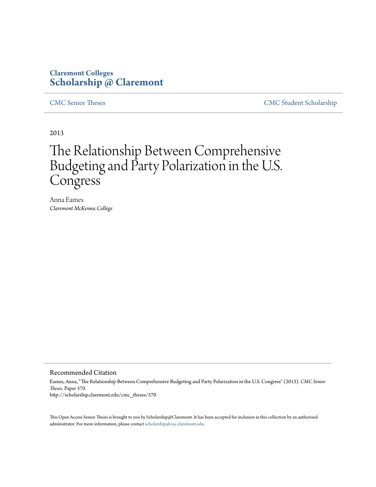## **Claremont Colleges [Scholarship @ Claremont](http://scholarship.claremont.edu)**

[CMC Senior Theses](http://scholarship.claremont.edu/cmc_theses) [CMC Student Scholarship](http://scholarship.claremont.edu/cmc_student)

2013

# The Relationship Between Comprehensive Budgeting and Party Polarization in the U.S. Congress

Anna Eames *Claremont McKenna College*

#### Recommended Citation

Eames, Anna, "The Relationship Between Comprehensive Budgeting and Party Polarization in the U.S. Congress" (2013). *CMC Senior Theses.* Paper 570. http://scholarship.claremont.edu/cmc\_theses/570

This Open Access Senior Thesis is brought to you by Scholarship@Claremont. It has been accepted for inclusion in this collection by an authorized administrator. For more information, please contact [scholarship@cuc.claremont.edu.](mailto:scholarship@cuc.claremont.edu)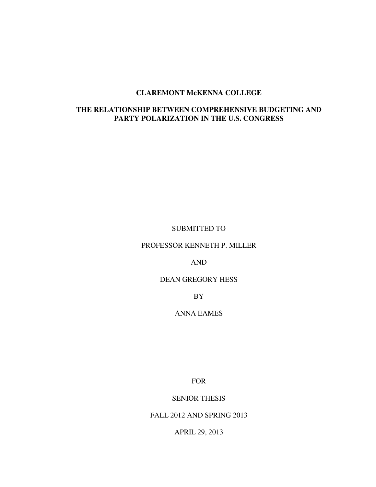#### **CLAREMONT McKENNA COLLEGE**

### **THE RELATIONSHIP BETWEEN COMPREHENSIVE BUDGETING AND PARTY POLARIZATION IN THE U.S. CONGRESS**

SUBMITTED TO

PROFESSOR KENNETH P. MILLER

AND

DEAN GREGORY HESS

BY

ANNA EAMES

FOR

SENIOR THESIS

FALL 2012 AND SPRING 2013

APRIL 29, 2013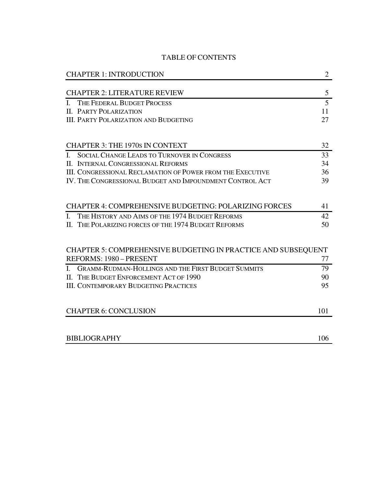#### TABLE OF CONTENTS

| <b>CHAPTER 1: INTRODUCTION</b>                                            | $\overline{2}$ |
|---------------------------------------------------------------------------|----------------|
| <b>CHAPTER 2: LITERATURE REVIEW</b>                                       | 5              |
| THE FEDERAL BUDGET PROCESS<br>L                                           | 5              |
| <b>II. PARTY POLARIZATION</b>                                             | 11             |
| <b>III. PARTY POLARIZATION AND BUDGETING</b>                              | 27             |
|                                                                           |                |
| <b>CHAPTER 3: THE 1970s IN CONTEXT</b>                                    | 32             |
| $\mathbf{I}$<br><b>SOCIAL CHANGE LEADS TO TURNOVER IN CONGRESS</b>        | 33             |
| II. INTERNAL CONGRESSIONAL REFORMS                                        | 34             |
| <b>III. CONGRESSIONAL RECLAMATION OF POWER FROM THE EXECUTIVE</b>         | 36             |
| IV. THE CONGRESSIONAL BUDGET AND IMPOUNDMENT CONTROL ACT                  | 39             |
|                                                                           |                |
| CHAPTER 4: COMPREHENSIVE BUDGETING: POLARIZING FORCES                     | 41             |
| THE HISTORY AND AIMS OF THE 1974 BUDGET REFORMS<br>L                      | 42             |
| II. THE POLARIZING FORCES OF THE 1974 BUDGET REFORMS                      | 50             |
|                                                                           |                |
| CHAPTER 5: COMPREHENSIVE BUDGETING IN PRACTICE AND SUBSEQUENT             |                |
| REFORMS: 1980 - PRESENT                                                   | 77             |
| <b>GRAMM-RUDMAN-HOLLINGS AND THE FIRST BUDGET SUMMITS</b><br>$\mathbf{I}$ | 79             |
| II. THE BUDGET ENFORCEMENT ACT OF 1990                                    | 90             |
| <b>III. CONTEMPORARY BUDGETING PRACTICES</b>                              | 95             |
|                                                                           |                |
| <b>CHAPTER 6: CONCLUSION</b>                                              | 101            |
|                                                                           |                |
| <b>BIBLIOGRAPHY</b>                                                       | 106            |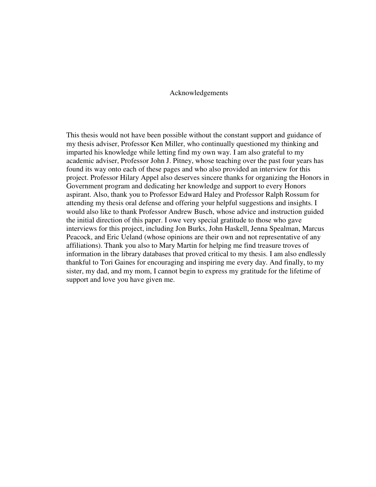#### Acknowledgements

This thesis would not have been possible without the constant support and guidance of my thesis adviser, Professor Ken Miller, who continually questioned my thinking and imparted his knowledge while letting find my own way. I am also grateful to my academic adviser, Professor John J. Pitney, whose teaching over the past four years has found its way onto each of these pages and who also provided an interview for this project. Professor Hilary Appel also deserves sincere thanks for organizing the Honors in Government program and dedicating her knowledge and support to every Honors aspirant. Also, thank you to Professor Edward Haley and Professor Ralph Rossum for attending my thesis oral defense and offering your helpful suggestions and insights. I would also like to thank Professor Andrew Busch, whose advice and instruction guided the initial direction of this paper. I owe very special gratitude to those who gave interviews for this project, including Jon Burks, John Haskell, Jenna Spealman, Marcus Peacock, and Eric Ueland (whose opinions are their own and not representative of any affiliations). Thank you also to Mary Martin for helping me find treasure troves of information in the library databases that proved critical to my thesis. I am also endlessly thankful to Tori Gaines for encouraging and inspiring me every day. And finally, to my sister, my dad, and my mom, I cannot begin to express my gratitude for the lifetime of support and love you have given me.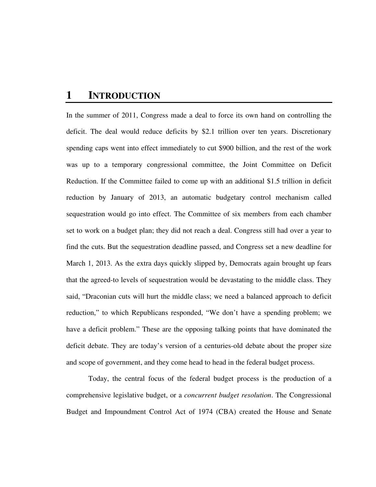# **1 INTRODUCTION**

In the summer of 2011, Congress made a deal to force its own hand on controlling the deficit. The deal would reduce deficits by \$2.1 trillion over ten years. Discretionary spending caps went into effect immediately to cut \$900 billion, and the rest of the work was up to a temporary congressional committee, the Joint Committee on Deficit Reduction. If the Committee failed to come up with an additional \$1.5 trillion in deficit reduction by January of 2013, an automatic budgetary control mechanism called sequestration would go into effect. The Committee of six members from each chamber set to work on a budget plan; they did not reach a deal. Congress still had over a year to find the cuts. But the sequestration deadline passed, and Congress set a new deadline for March 1, 2013. As the extra days quickly slipped by, Democrats again brought up fears that the agreed-to levels of sequestration would be devastating to the middle class. They said, "Draconian cuts will hurt the middle class; we need a balanced approach to deficit reduction," to which Republicans responded, "We don't have a spending problem; we have a deficit problem." These are the opposing talking points that have dominated the deficit debate. They are today's version of a centuries-old debate about the proper size and scope of government, and they come head to head in the federal budget process.

Today, the central focus of the federal budget process is the production of a comprehensive legislative budget, or a *concurrent budget resolution*. The Congressional Budget and Impoundment Control Act of 1974 (CBA) created the House and Senate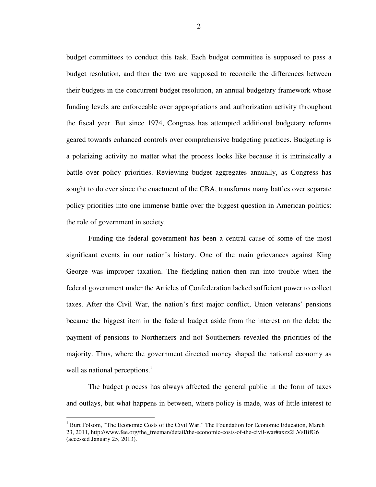budget committees to conduct this task. Each budget committee is supposed to pass a budget resolution, and then the two are supposed to reconcile the differences between their budgets in the concurrent budget resolution, an annual budgetary framework whose funding levels are enforceable over appropriations and authorization activity throughout the fiscal year. But since 1974, Congress has attempted additional budgetary reforms geared towards enhanced controls over comprehensive budgeting practices. Budgeting is a polarizing activity no matter what the process looks like because it is intrinsically a battle over policy priorities. Reviewing budget aggregates annually, as Congress has sought to do ever since the enactment of the CBA, transforms many battles over separate policy priorities into one immense battle over the biggest question in American politics: the role of government in society.

Funding the federal government has been a central cause of some of the most significant events in our nation's history. One of the main grievances against King George was improper taxation. The fledgling nation then ran into trouble when the federal government under the Articles of Confederation lacked sufficient power to collect taxes. After the Civil War, the nation's first major conflict, Union veterans' pensions became the biggest item in the federal budget aside from the interest on the debt; the payment of pensions to Northerners and not Southerners revealed the priorities of the majority. Thus, where the government directed money shaped the national economy as well as national perceptions.<sup>1</sup>

The budget process has always affected the general public in the form of taxes and outlays, but what happens in between, where policy is made, was of little interest to

<sup>&</sup>lt;sup>1</sup> Burt Folsom, "The Economic Costs of the Civil War," The Foundation for Economic Education, March 23, 2011, http://www.fee.org/the\_freeman/detail/the-economic-costs-of-the-civil-war#axzz2LVsBifG6 (accessed January 25, 2013).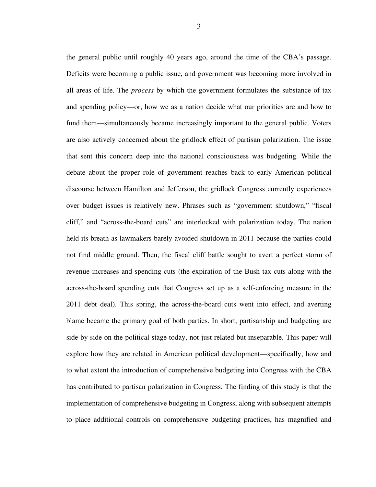the general public until roughly 40 years ago, around the time of the CBA's passage. Deficits were becoming a public issue, and government was becoming more involved in all areas of life. The *process* by which the government formulates the substance of tax and spending policy—or, how we as a nation decide what our priorities are and how to fund them—simultaneously became increasingly important to the general public. Voters are also actively concerned about the gridlock effect of partisan polarization. The issue that sent this concern deep into the national consciousness was budgeting. While the debate about the proper role of government reaches back to early American political discourse between Hamilton and Jefferson, the gridlock Congress currently experiences over budget issues is relatively new. Phrases such as "government shutdown," "fiscal cliff," and "across-the-board cuts" are interlocked with polarization today. The nation held its breath as lawmakers barely avoided shutdown in 2011 because the parties could not find middle ground. Then, the fiscal cliff battle sought to avert a perfect storm of revenue increases and spending cuts (the expiration of the Bush tax cuts along with the across-the-board spending cuts that Congress set up as a self-enforcing measure in the 2011 debt deal). This spring, the across-the-board cuts went into effect, and averting blame became the primary goal of both parties. In short, partisanship and budgeting are side by side on the political stage today, not just related but inseparable. This paper will explore how they are related in American political development—specifically, how and to what extent the introduction of comprehensive budgeting into Congress with the CBA has contributed to partisan polarization in Congress. The finding of this study is that the implementation of comprehensive budgeting in Congress, along with subsequent attempts to place additional controls on comprehensive budgeting practices, has magnified and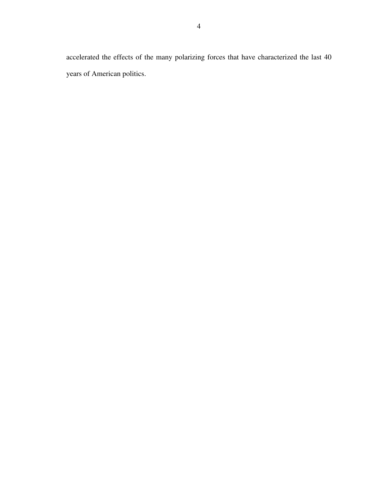accelerated the effects of the many polarizing forces that have characterized the last 40 years of American politics.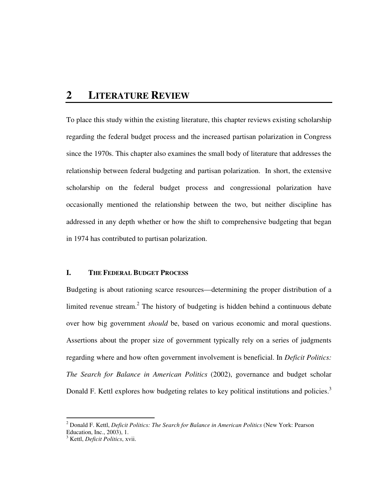# **2 LITERATURE REVIEW**

To place this study within the existing literature, this chapter reviews existing scholarship regarding the federal budget process and the increased partisan polarization in Congress since the 1970s. This chapter also examines the small body of literature that addresses the relationship between federal budgeting and partisan polarization. In short, the extensive scholarship on the federal budget process and congressional polarization have occasionally mentioned the relationship between the two, but neither discipline has addressed in any depth whether or how the shift to comprehensive budgeting that began in 1974 has contributed to partisan polarization.

#### **I. THE FEDERAL BUDGET PROCESS**

Budgeting is about rationing scarce resources—determining the proper distribution of a limited revenue stream.<sup>2</sup> The history of budgeting is hidden behind a continuous debate over how big government *should* be, based on various economic and moral questions. Assertions about the proper size of government typically rely on a series of judgments regarding where and how often government involvement is beneficial. In *Deficit Politics: The Search for Balance in American Politics* (2002), governance and budget scholar Donald F. Kettl explores how budgeting relates to key political institutions and policies.<sup>3</sup>

<sup>&</sup>lt;sup>2</sup> Donald F. Kettl, *Deficit Politics: The Search for Balance in American Politics* (New York: Pearson Education, Inc., 2003), 1.

<sup>3</sup> Kettl, *Deficit Politics*, xvii.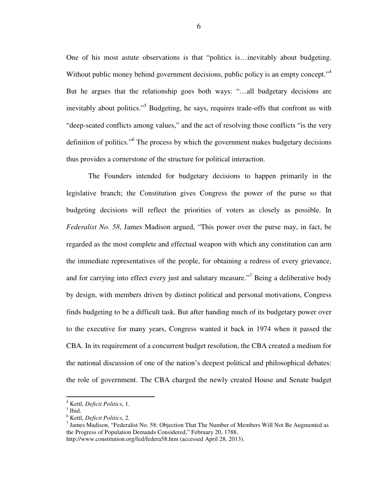One of his most astute observations is that "politics is…inevitably about budgeting. Without public money behind government decisions, public policy is an empty concept."<sup>4</sup> But he argues that the relationship goes both ways: "…all budgetary decisions are inevitably about politics."<sup>5</sup> Budgeting, he says, requires trade-offs that confront us with "deep-seated conflicts among values," and the act of resolving those conflicts "is the very definition of politics."<sup>6</sup> The process by which the government makes budgetary decisions thus provides a cornerstone of the structure for political interaction.

 The Founders intended for budgetary decisions to happen primarily in the legislative branch; the Constitution gives Congress the power of the purse so that budgeting decisions will reflect the priorities of voters as closely as possible. In *Federalist No. 58*, James Madison argued, "This power over the purse may, in fact, be regarded as the most complete and effectual weapon with which any constitution can arm the immediate representatives of the people, for obtaining a redress of every grievance, and for carrying into effect every just and salutary measure."<sup>7</sup> Being a deliberative body by design, with members driven by distinct political and personal motivations, Congress finds budgeting to be a difficult task. But after handing much of its budgetary power over to the executive for many years, Congress wanted it back in 1974 when it passed the CBA. In its requirement of a concurrent budget resolution, the CBA created a medium for the national discussion of one of the nation's deepest political and philosophical debates: the role of government. The CBA charged the newly created House and Senate budget

.

6

<sup>4</sup> Kettl, *Deficit Politics*, 1.

<sup>5</sup> Ibid.

<sup>6</sup> Kettl, *Deficit Politics*, 2.

 $^7$  James Madison, "Federalist No. 58: Objection That The Number of Members Will Not Be Augmented as the Progress of Population Demands Considered," February 20, 1788,

http://www.constitution.org/fed/federa58.htm (accessed April 28, 2013).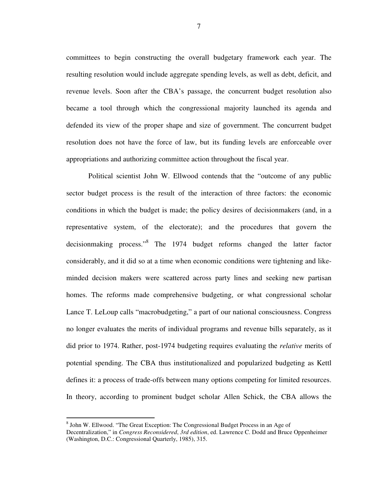committees to begin constructing the overall budgetary framework each year. The resulting resolution would include aggregate spending levels, as well as debt, deficit, and revenue levels. Soon after the CBA's passage, the concurrent budget resolution also became a tool through which the congressional majority launched its agenda and defended its view of the proper shape and size of government. The concurrent budget resolution does not have the force of law, but its funding levels are enforceable over appropriations and authorizing committee action throughout the fiscal year.

Political scientist John W. Ellwood contends that the "outcome of any public sector budget process is the result of the interaction of three factors: the economic conditions in which the budget is made; the policy desires of decisionmakers (and, in a representative system, of the electorate); and the procedures that govern the decisionmaking process."<sup>8</sup> The 1974 budget reforms changed the latter factor considerably, and it did so at a time when economic conditions were tightening and likeminded decision makers were scattered across party lines and seeking new partisan homes. The reforms made comprehensive budgeting, or what congressional scholar Lance T. LeLoup calls "macrobudgeting," a part of our national consciousness. Congress no longer evaluates the merits of individual programs and revenue bills separately, as it did prior to 1974. Rather, post-1974 budgeting requires evaluating the *relative* merits of potential spending. The CBA thus institutionalized and popularized budgeting as Kettl defines it: a process of trade-offs between many options competing for limited resources. In theory, according to prominent budget scholar Allen Schick, the CBA allows the

l

7

<sup>&</sup>lt;sup>8</sup> John W. Ellwood. "The Great Exception: The Congressional Budget Process in an Age of

Decentralization," in *Congress Reconsidered*, *3rd edition*, ed. Lawrence C. Dodd and Bruce Oppenheimer (Washington, D.C.: Congressional Quarterly, 1985), 315.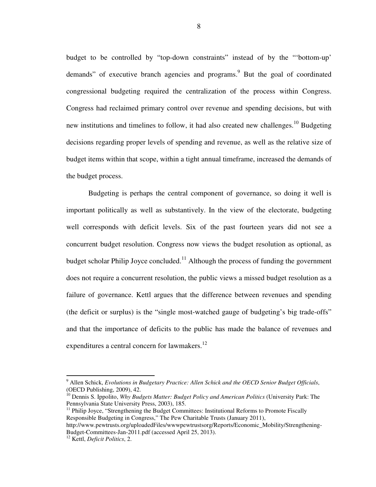budget to be controlled by "top-down constraints" instead of by the "'bottom-up' demands" of executive branch agencies and programs.<sup>9</sup> But the goal of coordinated congressional budgeting required the centralization of the process within Congress. Congress had reclaimed primary control over revenue and spending decisions, but with new institutions and timelines to follow, it had also created new challenges.<sup>10</sup> Budgeting decisions regarding proper levels of spending and revenue, as well as the relative size of budget items within that scope, within a tight annual timeframe, increased the demands of the budget process.

Budgeting is perhaps the central component of governance, so doing it well is important politically as well as substantively. In the view of the electorate, budgeting well corresponds with deficit levels. Six of the past fourteen years did not see a concurrent budget resolution. Congress now views the budget resolution as optional, as budget scholar Philip Joyce concluded.<sup>11</sup> Although the process of funding the government does not require a concurrent resolution, the public views a missed budget resolution as a failure of governance. Kettl argues that the difference between revenues and spending (the deficit or surplus) is the "single most-watched gauge of budgeting's big trade-offs" and that the importance of deficits to the public has made the balance of revenues and expenditures a central concern for lawmakers.<sup>12</sup>

<sup>9</sup> Allen Schick, *Evolutions in Budgetary Practice: Allen Schick and the OECD Senior Budget Officials*, (OECD Publishing, 2009), 42.

<sup>10</sup> Dennis S. Ippolito, *Why Budgets Matter: Budget Policy and American Politics* (University Park: The Pennsylvania State University Press, 2003), 185.

<sup>&</sup>lt;sup>11</sup> Philip Joyce, "Strengthening the Budget Committees: Institutional Reforms to Promote Fiscally Responsible Budgeting in Congress," The Pew Charitable Trusts (January 2011),

http://www.pewtrusts.org/uploadedFiles/wwwpewtrustsorg/Reports/Economic\_Mobility/Strengthening-Budget-Committees-Jan-2011.pdf (accessed April 25, 2013).

<sup>12</sup> Kettl, *Deficit Politics*, 2.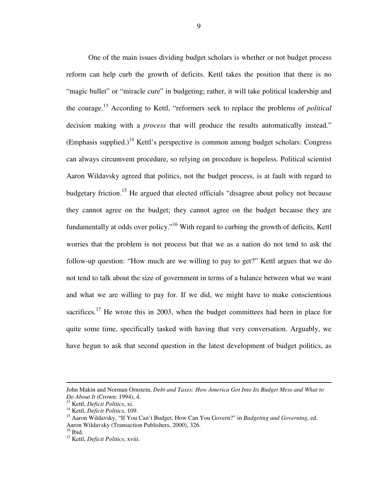One of the main issues dividing budget scholars is whether or not budget process reform can help curb the growth of deficits. Kettl takes the position that there is no "magic bullet" or "miracle cure" in budgeting; rather, it will take political leadership and the courage.<sup>13</sup> According to Kettl, "reformers seek to replace the problems of *political* decision making with a *process* that will produce the results automatically instead."  $(Emphasis supplied.)$ <sup>14</sup> Kettl's perspective is common among budget scholars: Congress can always circumvent procedure, so relying on procedure is hopeless. Political scientist Aaron Wildavsky agreed that politics, not the budget process, is at fault with regard to budgetary friction.<sup>15</sup> He argued that elected officials "disagree about policy not because they cannot agree on the budget; they cannot agree on the budget because they are fundamentally at odds over policy."<sup>16</sup> With regard to curbing the growth of deficits, Kettl worries that the problem is not process but that we as a nation do not tend to ask the follow-up question: "How much are we willing to pay to get?" Kettl argues that we do not tend to talk about the size of government in terms of a balance between what we want and what we are willing to pay for. If we did, we might have to make conscientious sacrifices.<sup>17</sup> He wrote this in 2003, when the budget committees had been in place for quite some time, specifically tasked with having that very conversation. Arguably, we have begun to ask that second question in the latest development of budget politics, as

John Makin and Norman Ornstein, *Debt and Taxes: How America Got Into Its Budget Mess and What to Do About It* (Crown: 1994), 4.

<sup>13</sup> Kettl, *Deficit Politics*, xi.

<sup>14</sup> Kettl, *Deficit Politics*, 109.

<sup>15</sup> Aaron Wildavsky, "If You Can't Budget, How Can You Govern?" in *Budgeting and Governing*, ed. Aaron Wildavsky (Transaction Publishers, 2000), 326.

 $16$  Ibid.

<sup>17</sup> Kettl, *Deficit Politics*, xviii.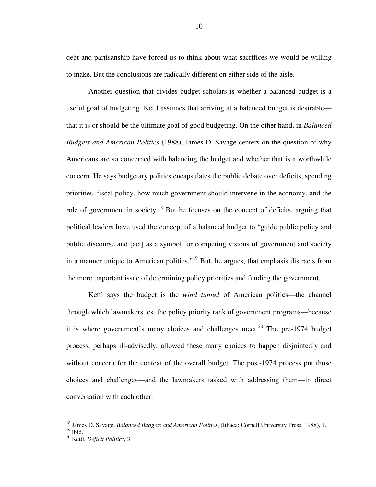debt and partisanship have forced us to think about what sacrifices we would be willing to make. But the conclusions are radically different on either side of the aisle.

Another question that divides budget scholars is whether a balanced budget is a useful goal of budgeting. Kettl assumes that arriving at a balanced budget is desirable that it is or should be the ultimate goal of good budgeting. On the other hand, in *Balanced Budgets and American Politics* (1988), James D. Savage centers on the question of why Americans are so concerned with balancing the budget and whether that is a worthwhile concern. He says budgetary politics encapsulates the public debate over deficits, spending priorities, fiscal policy, how much government should intervene in the economy, and the role of government in society.<sup>18</sup> But he focuses on the concept of deficits, arguing that political leaders have used the concept of a balanced budget to "guide public policy and public discourse and [act] as a symbol for competing visions of government and society in a manner unique to American politics."<sup>19</sup> But, he argues, that emphasis distracts from the more important issue of determining policy priorities and funding the government.

Kettl says the budget is the *wind tunnel* of American politics—the channel through which lawmakers test the policy priority rank of government programs—because it is where government's many choices and challenges meet.<sup>20</sup> The pre-1974 budget process, perhaps ill-advisedly, allowed these many choices to happen disjointedly and without concern for the context of the overall budget. The post-1974 process put those choices and challenges—and the lawmakers tasked with addressing them—in direct conversation with each other.

<sup>18</sup> James D. Savage, *Balanced Budgets and American Politics*, (Ithaca: Cornell University Press, 1988), 1.

 $19$  Ibid.

<sup>20</sup> Kettl, *Deficit Politics*, 3.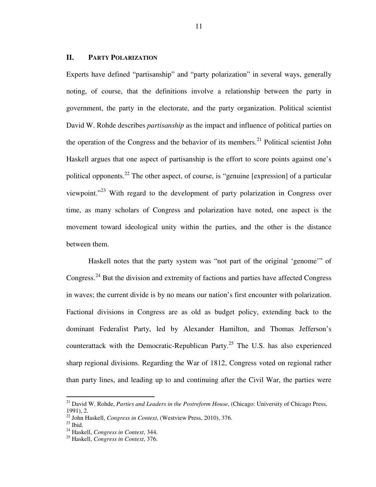#### **II. PARTY POLARIZATION**

Experts have defined "partisanship" and "party polarization" in several ways, generally noting, of course, that the definitions involve a relationship between the party in government, the party in the electorate, and the party organization. Political scientist David W. Rohde describes *partisanship* as the impact and influence of political parties on the operation of the Congress and the behavior of its members.<sup>21</sup> Political scientist John Haskell argues that one aspect of partisanship is the effort to score points against one's political opponents.<sup>22</sup> The other aspect, of course, is "genuine [expression] of a particular viewpoint."<sup>23</sup> With regard to the development of party polarization in Congress over time, as many scholars of Congress and polarization have noted, one aspect is the movement toward ideological unity within the parties, and the other is the distance between them.

Haskell notes that the party system was "not part of the original 'genome'" of Congress.<sup>24</sup> But the division and extremity of factions and parties have affected Congress in waves; the current divide is by no means our nation's first encounter with polarization. Factional divisions in Congress are as old as budget policy, extending back to the dominant Federalist Party, led by Alexander Hamilton, and Thomas Jefferson's counterattack with the Democratic-Republican Party.<sup>25</sup> The U.S. has also experienced sharp regional divisions. Regarding the War of 1812, Congress voted on regional rather than party lines, and leading up to and continuing after the Civil War, the parties were

<sup>21</sup> David W. Rohde, *Parties and Leaders in the Postreform House*, (Chicago: University of Chicago Press, 1991), 2.

<sup>22</sup> John Haskell, *Congress in Context*, (Westview Press, 2010), 376.

 $^{23}$  Ibid.

<sup>24</sup> Haskell, *Congress in Context*, 344.

<sup>25</sup> Haskell, *Congress in Context*, 376.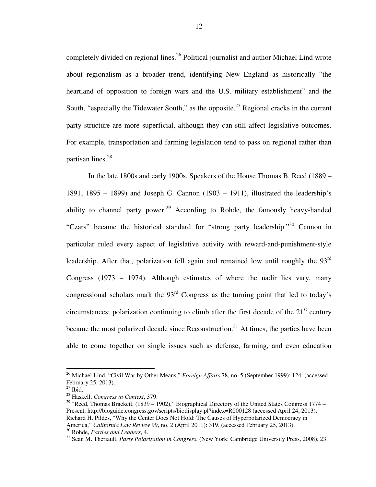completely divided on regional lines.<sup>26</sup> Political journalist and author Michael Lind wrote about regionalism as a broader trend, identifying New England as historically "the heartland of opposition to foreign wars and the U.S. military establishment" and the South, "especially the Tidewater South," as the opposite.<sup>27</sup> Regional cracks in the current party structure are more superficial, although they can still affect legislative outcomes. For example, transportation and farming legislation tend to pass on regional rather than partisan lines.<sup>28</sup>

In the late 1800s and early 1900s, Speakers of the House Thomas B. Reed (1889 – 1891, 1895 – 1899) and Joseph G. Cannon (1903 – 1911), illustrated the leadership's ability to channel party power.<sup>29</sup> According to Rohde, the famously heavy-handed "Czars" became the historical standard for "strong party leadership."<sup>30</sup> Cannon in particular ruled every aspect of legislative activity with reward-and-punishment-style leadership. After that, polarization fell again and remained low until roughly the  $93<sup>rd</sup>$ Congress (1973 – 1974). Although estimates of where the nadir lies vary, many congressional scholars mark the 93<sup>rd</sup> Congress as the turning point that led to today's circumstances: polarization continuing to climb after the first decade of the  $21<sup>st</sup>$  century became the most polarized decade since Reconstruction.<sup>31</sup> At times, the parties have been able to come together on single issues such as defense, farming, and even education

<sup>26</sup> Michael Lind, "Civil War by Other Means," *Foreign Affairs* 78, no. 5 (September 1999): 124. (accessed February 25, 2013).

 $27$  Ibid.

<sup>28</sup> Haskell, *Congress in Context*, 379.

<sup>&</sup>lt;sup>29</sup> "Reed, Thomas Brackett,  $(1839 - 1902)$ ," Biographical Directory of the United States Congress 1774 Present, http://bioguide.congress.gov/scripts/biodisplay.pl?index=R000128 (accessed April 24, 2013). Richard H. Pildes, "Why the Center Does Not Hold: The Causes of Hyperpolarized Democracy in America," *California Law Review* 99, no. 2 (April 2011): 319. (accessed February 25, 2013). <sup>30</sup> Rohde, *Parties and Leaders*, 4.

<sup>31</sup> Sean M. Theriault, *Party Polarization in Congress*, (New York: Cambridge University Press, 2008), 23.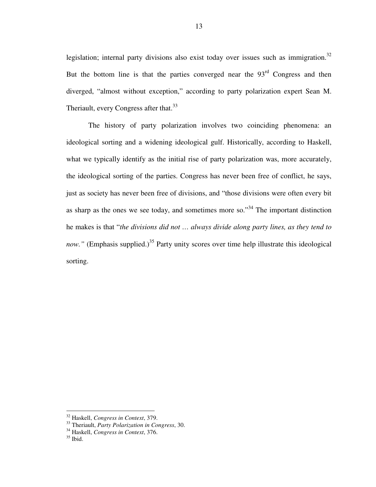legislation; internal party divisions also exist today over issues such as immigration.<sup>32</sup> But the bottom line is that the parties converged near the  $93<sup>rd</sup>$  Congress and then diverged, "almost without exception," according to party polarization expert Sean M. Theriault, every Congress after that.<sup>33</sup>

The history of party polarization involves two coinciding phenomena: an ideological sorting and a widening ideological gulf. Historically, according to Haskell, what we typically identify as the initial rise of party polarization was, more accurately, the ideological sorting of the parties. Congress has never been free of conflict, he says, just as society has never been free of divisions, and "those divisions were often every bit as sharp as the ones we see today, and sometimes more so."<sup>34</sup> The important distinction he makes is that "*the divisions did not … always divide along party lines, as they tend to now.*" (Emphasis supplied.)<sup>35</sup> Party unity scores over time help illustrate this ideological sorting.

<sup>32</sup> Haskell, *Congress in Context*, 379.

<sup>33</sup> Theriault, *Party Polarization in Congress*, 30.

<sup>34</sup> Haskell, *Congress in Context*, 376.

 $35$  Ibid.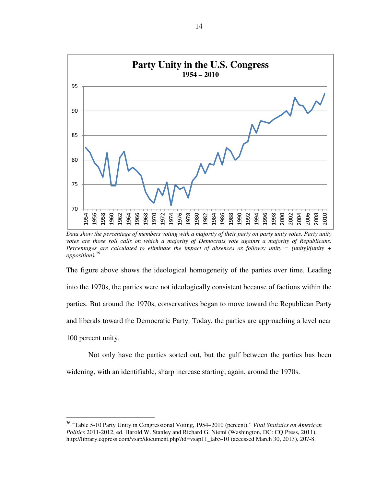

*Data show the percentage of members voting with a majority of their party on party unity votes. Party unity votes are those roll calls on which a majority of Democrats vote against a majority of Republicans. Percentages are calculated to eliminate the impact of absences as follows: unity = (unity)/(unity + opposition).<sup>36</sup>*

The figure above shows the ideological homogeneity of the parties over time. Leading into the 1970s, the parties were not ideologically consistent because of factions within the parties. But around the 1970s, conservatives began to move toward the Republican Party and liberals toward the Democratic Party. Today, the parties are approaching a level near 100 percent unity.

Not only have the parties sorted out, but the gulf between the parties has been widening, with an identifiable, sharp increase starting, again, around the 1970s.

 "Table 5-10 Party Unity in Congressional Voting, 1954–2010 (percent)," *Vital Statistics on American Politics* 2011-2012, ed. Harold W. Stanley and Richard G. Niemi (Washington, DC: CQ Press, 2011), http://library.cqpress.com/vsap/document.php?id=vsap11\_tab5-10 (accessed March 30, 2013), 207-8.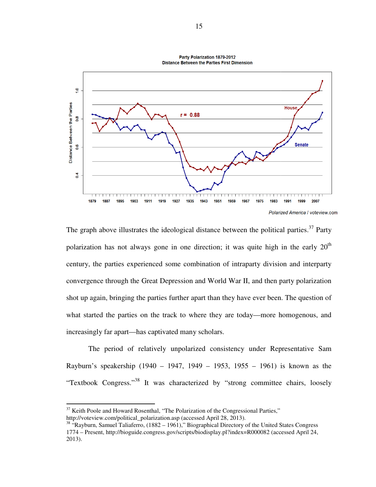

The graph above illustrates the ideological distance between the political parties.<sup>37</sup> Party polarization has not always gone in one direction; it was quite high in the early 20 century, the parties experienced some combination of intraparty division and interparty convergence through the Great Depression and World War II, and th shot up again, bringing the parties further apart than they have ever been. The question of what started the parties on the track to where they are today—more homogenous, and increasingly far apart—has captivated many scholars. The graph above illustrates the ideological distance between the political parties.<sup>37</sup> Party polarization has not always gone in one direction; it was quite high in the early 20<sup>th</sup> century, the parties experienced some c raph above illustrates the ideological distance between the political parties.<sup>37</sup> Party<br>zation has not always gone in one direction; it was quite high in the early  $20^{\text{th}}$ <br>y, the parties experienced some combination o th I then party polarization<br>er been. The question of<br>more homogenous, and<br>er Representative Sam

The period of relatively unpolarized consistency under Representative Rayburn's speakership (1940 – 1947, 1949 – 1953, 1955 – 1961) is known as the Rayburn's speakership (1940 – 1947, 1949 – 1953, 1955 – 1961) is known as the<br>
"Textbook Congress."<sup>38</sup> It was characterized by "strong committee chairs, loosely % rapart—has captivated many scholars.<br>
Fiod of relatively unpolarized consistency under Representative Sam<br>
Akership (1940 – 1947, 1949 – 1953, 1955 – 1961) is known as the

l

 $37$  Keith Poole and Howard Rosenthal, "The Polarization of the Congressional Parties," http://voteview.com/political\_polarization.asp (accessed April 28, 2013). <sup>3/</sup> Keith Poole and Howard Rosenthal, "The Polarization of the Congressional Parties,"<br>http://voteview.com/political\_polarization.asp (accessed April 28, 2013).<br><sup>38</sup> "Rayburn, Samuel Taliaferro, (1882 – 1961)," Biographic

<sup>1774 –</sup> Present, http://bioguide.congress.gov/scripts/biodisplay.pl?index=R000082 (accessed April 24, 2013).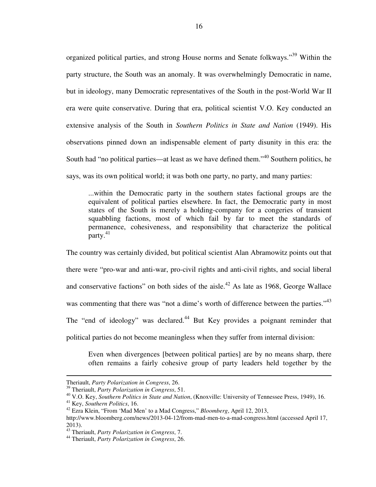organized political parties, and strong House norms and Senate folkways."<sup>39</sup> Within the party structure, the South was an anomaly. It was overwhelmingly Democratic in name, but in ideology, many Democratic representatives of the South in the post-World War II era were quite conservative. During that era, political scientist V.O. Key conducted an extensive analysis of the South in *Southern Politics in State and Nation* (1949). His observations pinned down an indispensable element of party disunity in this era: the South had "no political parties—at least as we have defined them."<sup>40</sup> Southern politics, he says, was its own political world; it was both one party, no party, and many parties:

...within the Democratic party in the southern states factional groups are the equivalent of political parties elsewhere. In fact, the Democratic party in most states of the South is merely a holding-company for a congeries of transient squabbling factions, most of which fail by far to meet the standards of permanence, cohesiveness, and responsibility that characterize the political  $partv.<sup>41</sup>$ 

The country was certainly divided, but political scientist Alan Abramowitz points out that there were "pro-war and anti-war, pro-civil rights and anti-civil rights, and social liberal and conservative factions" on both sides of the aisle.<sup>42</sup> As late as 1968, George Wallace was commenting that there was "not a dime's worth of difference between the parties."<sup>43</sup> The "end of ideology" was declared.<sup>44</sup> But Key provides a poignant reminder that political parties do not become meaningless when they suffer from internal division:

Even when divergences [between political parties] are by no means sharp, there often remains a fairly cohesive group of party leaders held together by the

Theriault, *Party Polarization in Congress*, 26.

<sup>39</sup> Theriault, *Party Polarization in Congress*, 51.

<sup>40</sup> V.O. Key, *Southern Politics in State and Nation*, (Knoxville: University of Tennessee Press, 1949), 16.

<sup>41</sup> Key, *Southern Politics*, 16.

<sup>42</sup> Ezra Klein, "From 'Mad Men' to a Mad Congress," *Bloomberg*, April 12, 2013, http://www.bloomberg.com/news/2013-04-12/from-mad-men-to-a-mad-congress.html (accessed April 17, 2013).

<sup>43</sup> Theriault, *Party Polarization in Congress*, 7.

<sup>44</sup> Theriault, *Party Polarization in Congress*, 26.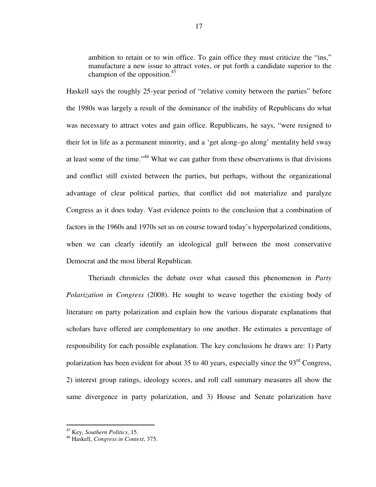ambition to retain or to win office. To gain office they must criticize the "ins," manufacture a new issue to attract votes, or put forth a candidate superior to the champion of the opposition. $45$ 

Haskell says the roughly 25-year period of "relative comity between the parties" before the 1980s was largely a result of the dominance of the inability of Republicans do what was necessary to attract votes and gain office. Republicans, he says, "were resigned to their lot in life as a permanent minority, and a 'get along–go along' mentality held sway at least some of the time."<sup>46</sup> What we can gather from these observations is that divisions and conflict still existed between the parties, but perhaps, without the organizational advantage of clear political parties, that conflict did not materialize and paralyze Congress as it does today. Vast evidence points to the conclusion that a combination of factors in the 1960s and 1970s set us on course toward today's hyperpolarized conditions, when we can clearly identify an ideological gulf between the most conservative Democrat and the most liberal Republican.

Theriault chronicles the debate over what caused this phenomenon in *Party Polarization in Congress* (2008). He sought to weave together the existing body of literature on party polarization and explain how the various disparate explanations that scholars have offered are complementary to one another. He estimates a percentage of responsibility for each possible explanation. The key conclusions he draws are: 1) Party polarization has been evident for about 35 to 40 years, especially since the  $93<sup>rd</sup>$  Congress, 2) interest group ratings, ideology scores, and roll call summary measures all show the same divergence in party polarization, and 3) House and Senate polarization have

<sup>45</sup> Key, *Southern Politics*, 15.

<sup>46</sup> Haskell, *Congress in Context*, 375.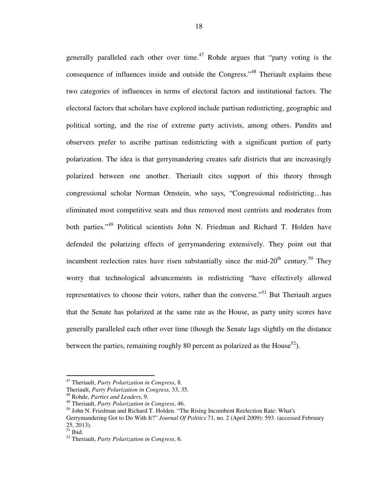generally paralleled each other over time. $47$  Rohde argues that "party voting is the consequence of influences inside and outside the Congress."<sup>48</sup> Theriault explains these two categories of influences in terms of electoral factors and institutional factors. The electoral factors that scholars have explored include partisan redistricting, geographic and political sorting, and the rise of extreme party activists, among others. Pundits and observers prefer to ascribe partisan redistricting with a significant portion of party polarization. The idea is that gerrymandering creates safe districts that are increasingly polarized between one another. Theriault cites support of this theory through congressional scholar Norman Ornstein, who says, "Congressional redistricting…has eliminated most competitive seats and thus removed most centrists and moderates from both parties."<sup>49</sup> Political scientists John N. Friedman and Richard T. Holden have defended the polarizing effects of gerrymandering extensively. They point out that incumbent reelection rates have risen substantially since the mid- $20<sup>th</sup>$  century.<sup>50</sup> They worry that technological advancements in redistricting "have effectively allowed representatives to choose their voters, rather than the converse."<sup>51</sup> But Theriault argues that the Senate has polarized at the same rate as the House, as party unity scores have generally paralleled each other over time (though the Senate lags slightly on the distance between the parties, remaining roughly 80 percent as polarized as the House<sup>52</sup>).

<sup>47</sup> Theriault, *Party Polarization in Congress*, 8.

Theriault, *Party Polarization in Congress*, 33, 35.

<sup>48</sup> Rohde, *Parties and Leaders*, 9.

<sup>49</sup> Theriault, *Party Polarization in Congress*, 46.

<sup>&</sup>lt;sup>50</sup> John N. Friedman and Richard T. Holden. "The Rising Incumbent Reelection Rate: What's Gerrymandering Got to Do With It?" *Journal Of Politics* 71, no. 2 (April 2009): 593. (accessed February 25, 2013).

 $51$  Ibid.

<sup>52</sup> Theriault, *Party Polarization in Congress*, 6.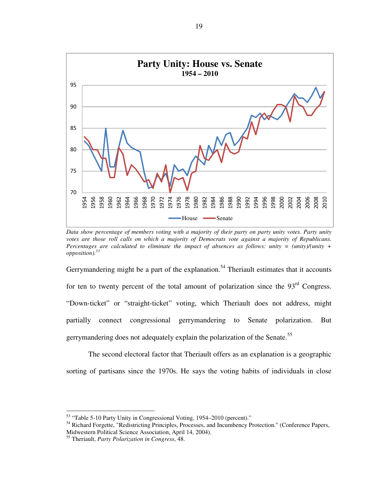

*Data show percentage of members voting with a majority of their party on party unity votes. Party unity votes are those roll calls on which a majority of Democrats vote against a majority of Republicans. Percentages are calculated to eliminate the impact of absences as follows: unity = (unity)/(unity + opposition).<sup>53</sup>*

Gerrymandering might be a part of the explanation.<sup>54</sup> Theriault estimates that it accounts for ten to twenty percent of the total amount of polarization since the  $93<sup>rd</sup>$  Congress. "Down-ticket" or "straight-ticket" voting, which Theriault does not address, might partially connect congressional gerrymandering to Senate polarization. But gerrymandering does not adequately explain the polarization of the Senate.<sup>55</sup>

The second electoral factor that Theriault offers as an explanation is a geographic sorting of partisans since the 1970s. He says the voting habits of individuals in close

<sup>&</sup>lt;sup>53</sup> "Table 5-10 Party Unity in Congressional Voting, 1954–2010 (percent)."

<sup>&</sup>lt;sup>54</sup> Richard Forgette, "Redistricting Principles, Processes, and Incumbency Protection." (Conference Papers, Midwestern Political Science Association, April 14, 2004).

Theriault, *Party Polarization in Congress*, 48.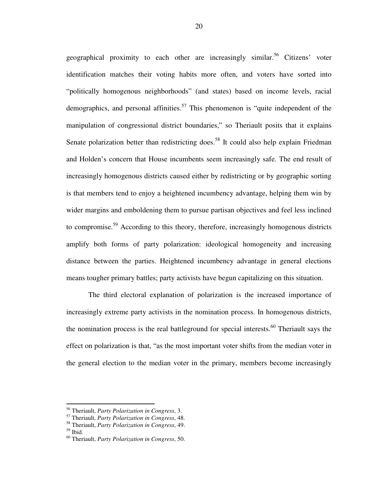geographical proximity to each other are increasingly similar.<sup>56</sup> Citizens' voter identification matches their voting habits more often, and voters have sorted into "politically homogenous neighborhoods" (and states) based on income levels, racial demographics, and personal affinities.<sup>57</sup> This phenomenon is "quite independent of the manipulation of congressional district boundaries," so Theriault posits that it explains Senate polarization better than redistricting does.<sup>58</sup> It could also help explain Friedman and Holden's concern that House incumbents seem increasingly safe. The end result of increasingly homogenous districts caused either by redistricting or by geographic sorting is that members tend to enjoy a heightened incumbency advantage, helping them win by wider margins and emboldening them to pursue partisan objectives and feel less inclined to compromise.<sup>59</sup> According to this theory, therefore, increasingly homogenous districts amplify both forms of party polarization: ideological homogeneity and increasing distance between the parties. Heightened incumbency advantage in general elections means tougher primary battles; party activists have begun capitalizing on this situation.

The third electoral explanation of polarization is the increased importance of increasingly extreme party activists in the nomination process. In homogenous districts, the nomination process is the real battleground for special interests.<sup>60</sup> Theriault says the effect on polarization is that, "as the most important voter shifts from the median voter in the general election to the median voter in the primary, members become increasingly

<sup>56</sup> Theriault, *Party Polarization in Congress*, 3.

<sup>57</sup> Theriault, *Party Polarization in Congress*, 48.

<sup>58</sup> Theriault, *Party Polarization in Congress*, 49.

<sup>59</sup> Ibid.

<sup>60</sup> Theriault, *Party Polarization in Congress*, 50.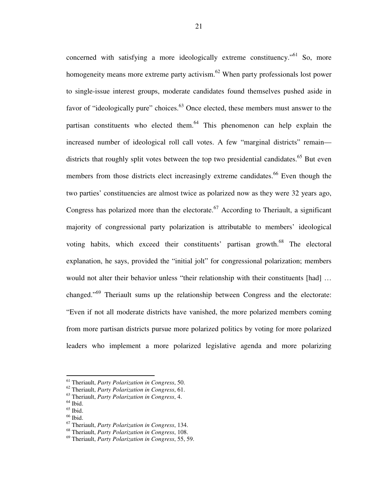concerned with satisfying a more ideologically extreme constituency.<sup>"61</sup> So, more homogeneity means more extreme party activism. $62$  When party professionals lost power to single-issue interest groups, moderate candidates found themselves pushed aside in favor of "ideologically pure" choices.<sup>63</sup> Once elected, these members must answer to the partisan constituents who elected them.<sup>64</sup> This phenomenon can help explain the increased number of ideological roll call votes. A few "marginal districts" remain districts that roughly split votes between the top two presidential candidates.<sup>65</sup> But even members from those districts elect increasingly extreme candidates.<sup>66</sup> Even though the two parties' constituencies are almost twice as polarized now as they were 32 years ago, Congress has polarized more than the electorate.<sup>67</sup> According to Theriault, a significant majority of congressional party polarization is attributable to members' ideological voting habits, which exceed their constituents' partisan growth.<sup>68</sup> The electoral explanation, he says, provided the "initial jolt" for congressional polarization; members would not alter their behavior unless "their relationship with their constituents [had] … changed."<sup>69</sup> Theriault sums up the relationship between Congress and the electorate: "Even if not all moderate districts have vanished, the more polarized members coming from more partisan districts pursue more polarized politics by voting for more polarized leaders who implement a more polarized legislative agenda and more polarizing

<sup>61</sup> Theriault, *Party Polarization in Congress*, 50.

<sup>62</sup> Theriault, *Party Polarization in Congress*, 61.

<sup>63</sup> Theriault, *Party Polarization in Congress*, 4.

 $<sup>64</sup>$  Ibid.</sup>

 $65$  Ibid.

 $66$  Ibid.

<sup>67</sup> Theriault, *Party Polarization in Congress*, 134.

<sup>68</sup> Theriault, *Party Polarization in Congress*, 108.

<sup>69</sup> Theriault, *Party Polarization in Congress*, 55, 59.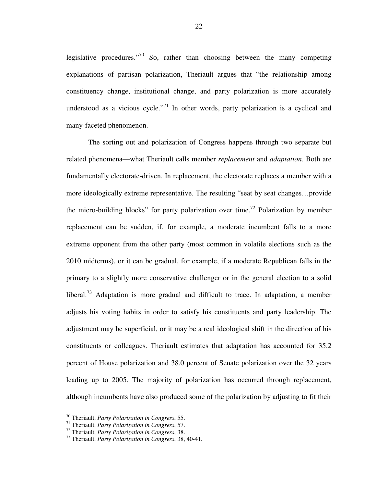legislative procedures."<sup>70</sup> So, rather than choosing between the many competing explanations of partisan polarization, Theriault argues that "the relationship among constituency change, institutional change, and party polarization is more accurately understood as a vicious cycle."<sup>71</sup> In other words, party polarization is a cyclical and many-faceted phenomenon.

The sorting out and polarization of Congress happens through two separate but related phenomena—what Theriault calls member *replacement* and *adaptation*. Both are fundamentally electorate-driven. In replacement, the electorate replaces a member with a more ideologically extreme representative. The resulting "seat by seat changes…provide the micro-building blocks" for party polarization over time.<sup>72</sup> Polarization by member replacement can be sudden, if, for example, a moderate incumbent falls to a more extreme opponent from the other party (most common in volatile elections such as the 2010 midterms), or it can be gradual, for example, if a moderate Republican falls in the primary to a slightly more conservative challenger or in the general election to a solid liberal.<sup>73</sup> Adaptation is more gradual and difficult to trace. In adaptation, a member adjusts his voting habits in order to satisfy his constituents and party leadership. The adjustment may be superficial, or it may be a real ideological shift in the direction of his constituents or colleagues. Theriault estimates that adaptation has accounted for 35.2 percent of House polarization and 38.0 percent of Senate polarization over the 32 years leading up to 2005. The majority of polarization has occurred through replacement, although incumbents have also produced some of the polarization by adjusting to fit their

<sup>70</sup> Theriault, *Party Polarization in Congress*, 55.

<sup>71</sup> Theriault, *Party Polarization in Congress*, 57.

<sup>72</sup> Theriault, *Party Polarization in Congress*, 38.

<sup>73</sup> Theriault, *Party Polarization in Congress*, 38, 40-41.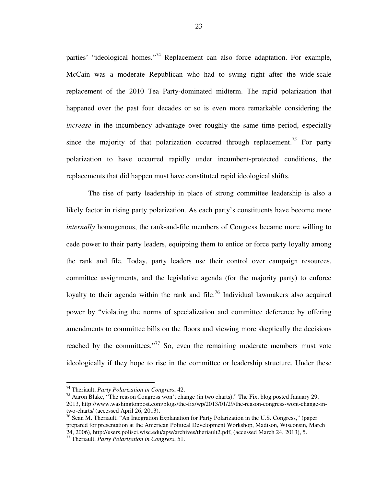parties' "ideological homes."<sup>74</sup> Replacement can also force adaptation. For example, McCain was a moderate Republican who had to swing right after the wide-scale replacement of the 2010 Tea Party-dominated midterm. The rapid polarization that happened over the past four decades or so is even more remarkable considering the *increase* in the incumbency advantage over roughly the same time period, especially since the majority of that polarization occurred through replacement.<sup>75</sup> For party polarization to have occurred rapidly under incumbent-protected conditions, the replacements that did happen must have constituted rapid ideological shifts.

The rise of party leadership in place of strong committee leadership is also a likely factor in rising party polarization. As each party's constituents have become more *internally* homogenous, the rank-and-file members of Congress became more willing to cede power to their party leaders, equipping them to entice or force party loyalty among the rank and file. Today, party leaders use their control over campaign resources, committee assignments, and the legislative agenda (for the majority party) to enforce loyalty to their agenda within the rank and file.<sup>76</sup> Individual lawmakers also acquired power by "violating the norms of specialization and committee deference by offering amendments to committee bills on the floors and viewing more skeptically the decisions reached by the committees."<sup>77</sup> So, even the remaining moderate members must vote ideologically if they hope to rise in the committee or leadership structure. Under these

<sup>74</sup> Theriault, *Party Polarization in Congress*, 42.

<sup>&</sup>lt;sup>75</sup> Aaron Blake, "The reason Congress won't change (in two charts)," The Fix, blog posted January 29, 2013, http://www.washingtonpost.com/blogs/the-fix/wp/2013/01/29/the-reason-congress-wont-change-intwo-charts/ (accessed April 26, 2013).

<sup>&</sup>lt;sup>76</sup> Sean M. Theriault, "An Integration Explanation for Party Polarization in the U.S. Congress," (paper prepared for presentation at the American Political Development Workshop, Madison, Wisconsin, March 24, 2006), http://users.polisci.wisc.edu/apw/archives/theriault2.pdf, (accessed March 24, 2013), 5.

<sup>77</sup> Theriault, *Party Polarization in Congress*, 51.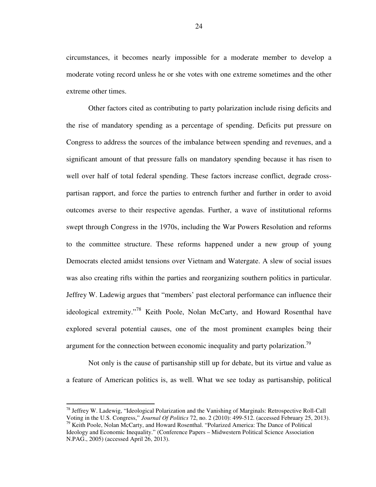circumstances, it becomes nearly impossible for a moderate member to develop a moderate voting record unless he or she votes with one extreme sometimes and the other extreme other times.

Other factors cited as contributing to party polarization include rising deficits and the rise of mandatory spending as a percentage of spending. Deficits put pressure on Congress to address the sources of the imbalance between spending and revenues, and a significant amount of that pressure falls on mandatory spending because it has risen to well over half of total federal spending. These factors increase conflict, degrade crosspartisan rapport, and force the parties to entrench further and further in order to avoid outcomes averse to their respective agendas. Further, a wave of institutional reforms swept through Congress in the 1970s, including the War Powers Resolution and reforms to the committee structure. These reforms happened under a new group of young Democrats elected amidst tensions over Vietnam and Watergate. A slew of social issues was also creating rifts within the parties and reorganizing southern politics in particular. Jeffrey W. Ladewig argues that "members' past electoral performance can influence their ideological extremity."<sup>78</sup> Keith Poole, Nolan McCarty, and Howard Rosenthal have explored several potential causes, one of the most prominent examples being their argument for the connection between economic inequality and party polarization.<sup>79</sup>

Not only is the cause of partisanship still up for debate, but its virtue and value as a feature of American politics is, as well. What we see today as partisanship, political

<sup>78</sup> Jeffrey W. Ladewig, "Ideological Polarization and the Vanishing of Marginals: Retrospective Roll-Call Voting in the U.S. Congress," *Journal Of Politics* 72, no. 2 (2010): 499-512. (accessed February 25, 2013). <sup>79</sup> Keith Poole, Nolan McCarty, and Howard Rosenthal. "Polarized America: The Dance of Political

Ideology and Economic Inequality." (Conference Papers – Midwestern Political Science Association N.PAG., 2005) (accessed April 26, 2013).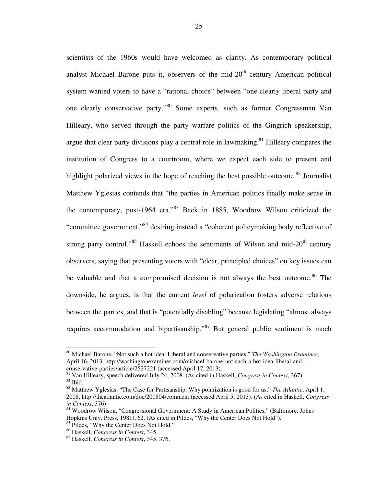scientists of the 1960s would have welcomed as clarity. As contemporary political analyst Michael Barone puts it, observers of the mid- $20<sup>th</sup>$  century American political system wanted voters to have a "rational choice" between "one clearly liberal party and one clearly conservative party."<sup>80</sup> Some experts, such as former Congressman Van Hilleary, who served through the party warfare politics of the Gingrich speakership, argue that clear party divisions play a central role in lawmaking.<sup>81</sup> Hilleary compares the institution of Congress to a courtroom, where we expect each side to present and highlight polarized views in the hope of reaching the best possible outcome.<sup>82</sup> Journalist Matthew Yglesias contends that "the parties in American politics finally make sense in the contemporary, post-1964 era."<sup>83</sup> Back in 1885, Woodrow Wilson criticized the "committee government,"<sup>84</sup> desiring instead a "coherent policymaking body reflective of strong party control."<sup>85</sup> Haskell echoes the sentiments of Wilson and mid-20<sup>th</sup> century observers, saying that presenting voters with "clear, principled choices" on key issues can be valuable and that a compromised decision is not always the best outcome.<sup>86</sup> The downside, he argues, is that the current *level* of polarization fosters adverse relations between the parties, and that is "potentially disabling" because legislating "almost always requires accommodation and bipartisanship."<sup>87</sup> But general public sentiment is much

<sup>80</sup> Michael Barone, "Not such a hot idea: Liberal and conservative parties," *The Washington Examiner*, April 16, 2013, http://washingtonexaminer.com/michael-barone-not-such-a-hot-idea-liberal-andconservative-parties/article/2527221 (accessed April 17, 2013).

<sup>81</sup> Van Hilleary, speech delivered July 24, 2008. (As cited in Haskell, *Congress in Context*, 367). <sup>82</sup> Ibid.

<sup>83</sup> Matthew Yglesias, "The Case for Partisanship: Why polarization is good for us," *The Atlantic*, April 1, 2008, http://theatlantic.com/doc/200804/comment (accessed April 5, 2013). (As cited in Haskell, *Congress in Context*, 376).

<sup>84</sup> Woodrow Wilson, "Congressional Government: A Study in American Politics," (Baltimore: Johns Hopkins Univ. Press, 1981), 62. (As cited in Pildes, "Why the Center Does Not Hold").

<sup>&</sup>lt;sup>85</sup> Pildes, "Why the Center Does Not Hold."

<sup>86</sup> Haskell, *Congress in Context*, 345.

<sup>87</sup> Haskell, *Congress in Context*, 345, 376.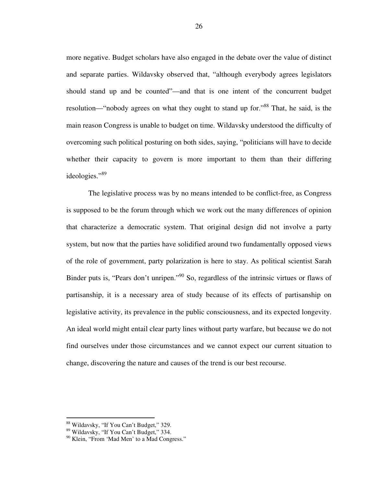more negative. Budget scholars have also engaged in the debate over the value of distinct and separate parties. Wildavsky observed that, "although everybody agrees legislators should stand up and be counted"—and that is one intent of the concurrent budget resolution—"nobody agrees on what they ought to stand up for."<sup>88</sup> That, he said, is the main reason Congress is unable to budget on time. Wildavsky understood the difficulty of overcoming such political posturing on both sides, saying, "politicians will have to decide whether their capacity to govern is more important to them than their differing ideologies."<sup>89</sup>

The legislative process was by no means intended to be conflict-free, as Congress is supposed to be the forum through which we work out the many differences of opinion that characterize a democratic system. That original design did not involve a party system, but now that the parties have solidified around two fundamentally opposed views of the role of government, party polarization is here to stay. As political scientist Sarah Binder puts is, "Pears don't unripen."<sup>90</sup> So, regardless of the intrinsic virtues or flaws of partisanship, it is a necessary area of study because of its effects of partisanship on legislative activity, its prevalence in the public consciousness, and its expected longevity. An ideal world might entail clear party lines without party warfare, but because we do not find ourselves under those circumstances and we cannot expect our current situation to change, discovering the nature and causes of the trend is our best recourse.

<sup>&</sup>lt;sup>88</sup> Wildavsky, "If You Can't Budget," 329.

<sup>89</sup> Wildavsky, "If You Can't Budget," 334.

<sup>&</sup>lt;sup>90</sup> Klein, "From 'Mad Men' to a Mad Congress."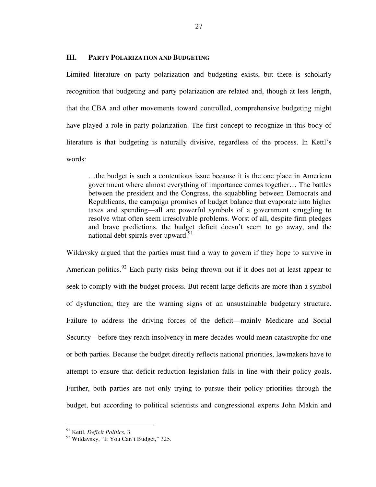#### **III. PARTY POLARIZATION AND BUDGETING**

Limited literature on party polarization and budgeting exists, but there is scholarly recognition that budgeting and party polarization are related and, though at less length, that the CBA and other movements toward controlled, comprehensive budgeting might have played a role in party polarization. The first concept to recognize in this body of literature is that budgeting is naturally divisive, regardless of the process. In Kettl's words:

…the budget is such a contentious issue because it is the one place in American government where almost everything of importance comes together… The battles between the president and the Congress, the squabbling between Democrats and Republicans, the campaign promises of budget balance that evaporate into higher taxes and spending—all are powerful symbols of a government struggling to resolve what often seem irresolvable problems. Worst of all, despite firm pledges and brave predictions, the budget deficit doesn't seem to go away, and the national debt spirals ever upward. $91$ 

Wildavsky argued that the parties must find a way to govern if they hope to survive in American politics.<sup>92</sup> Each party risks being thrown out if it does not at least appear to seek to comply with the budget process. But recent large deficits are more than a symbol of dysfunction; they are the warning signs of an unsustainable budgetary structure. Failure to address the driving forces of the deficit—mainly Medicare and Social Security—before they reach insolvency in mere decades would mean catastrophe for one or both parties. Because the budget directly reflects national priorities, lawmakers have to attempt to ensure that deficit reduction legislation falls in line with their policy goals. Further, both parties are not only trying to pursue their policy priorities through the budget, but according to political scientists and congressional experts John Makin and

<sup>91</sup> Kettl, *Deficit Politics*, 3.

<sup>&</sup>lt;sup>92</sup> Wildavsky, "If You Can't Budget," 325.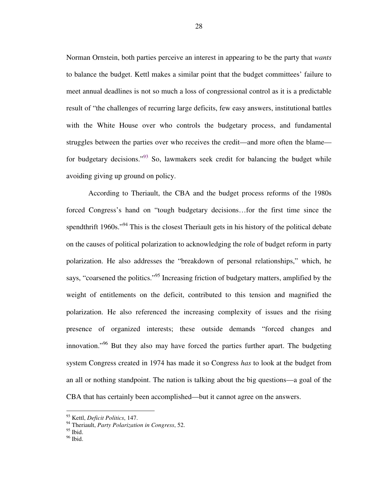Norman Ornstein, both parties perceive an interest in appearing to be the party that *wants* to balance the budget. Kettl makes a similar point that the budget committees' failure to meet annual deadlines is not so much a loss of congressional control as it is a predictable result of "the challenges of recurring large deficits, few easy answers, institutional battles with the White House over who controls the budgetary process, and fundamental struggles between the parties over who receives the credit—and more often the blame for budgetary decisions."<sup>93</sup> So, lawmakers seek credit for balancing the budget while avoiding giving up ground on policy.

According to Theriault, the CBA and the budget process reforms of the 1980s forced Congress's hand on "tough budgetary decisions…for the first time since the spendthrift 1960s."<sup>94</sup> This is the closest Theriault gets in his history of the political debate on the causes of political polarization to acknowledging the role of budget reform in party polarization. He also addresses the "breakdown of personal relationships," which, he says, "coarsened the politics."<sup>95</sup> Increasing friction of budgetary matters, amplified by the weight of entitlements on the deficit, contributed to this tension and magnified the polarization. He also referenced the increasing complexity of issues and the rising presence of organized interests; these outside demands "forced changes and innovation."<sup>96</sup> But they also may have forced the parties further apart. The budgeting system Congress created in 1974 has made it so Congress *has* to look at the budget from an all or nothing standpoint. The nation is talking about the big questions—a goal of the CBA that has certainly been accomplished—but it cannot agree on the answers.

<sup>93</sup> Kettl, *Deficit Politics*, 147.

<sup>94</sup> Theriault, *Party Polarization in Congress*, 52.

 $95$  Ibid.

<sup>96</sup> Ibid.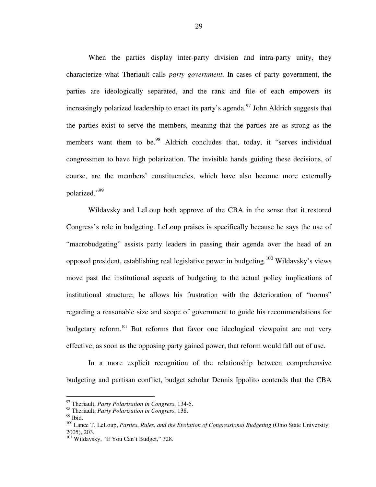When the parties display inter-party division and intra-party unity, they characterize what Theriault calls *party government*. In cases of party government, the parties are ideologically separated, and the rank and file of each empowers its increasingly polarized leadership to enact its party's agenda.<sup>97</sup> John Aldrich suggests that the parties exist to serve the members, meaning that the parties are as strong as the members want them to be.<sup>98</sup> Aldrich concludes that, today, it "serves individual congressmen to have high polarization. The invisible hands guiding these decisions, of course, are the members' constituencies, which have also become more externally polarized."99

Wildavsky and LeLoup both approve of the CBA in the sense that it restored Congress's role in budgeting. LeLoup praises is specifically because he says the use of "macrobudgeting" assists party leaders in passing their agenda over the head of an opposed president, establishing real legislative power in budgeting.<sup>100</sup> Wildavsky's views move past the institutional aspects of budgeting to the actual policy implications of institutional structure; he allows his frustration with the deterioration of "norms" regarding a reasonable size and scope of government to guide his recommendations for budgetary reform.<sup>101</sup> But reforms that favor one ideological viewpoint are not very effective; as soon as the opposing party gained power, that reform would fall out of use.

In a more explicit recognition of the relationship between comprehensive budgeting and partisan conflict, budget scholar Dennis Ippolito contends that the CBA

<sup>97</sup> Theriault, *Party Polarization in Congress*, 134-5.

<sup>98</sup> Theriault, *Party Polarization in Congress*, 138.

 $99$  Ibid.

<sup>100</sup> Lance T. LeLoup, *Parties*, *Rules*, *and the Evolution of Congressional Budgeting* (Ohio State University: 2005), 203.

<sup>&</sup>lt;sup>101</sup> Wildavsky, "If You Can't Budget," 328.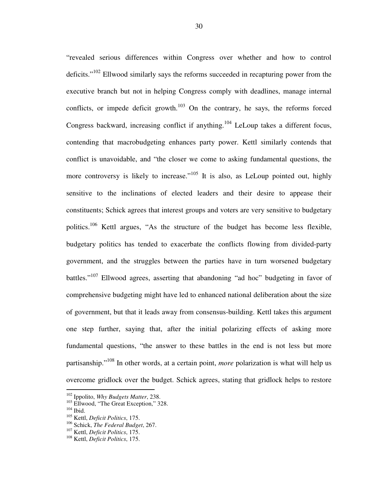"revealed serious differences within Congress over whether and how to control deficits."<sup>102</sup> Ellwood similarly says the reforms succeeded in recapturing power from the executive branch but not in helping Congress comply with deadlines, manage internal conflicts, or impede deficit growth. $103$  On the contrary, he says, the reforms forced Congress backward, increasing conflict if anything.<sup>104</sup> LeLoup takes a different focus, contending that macrobudgeting enhances party power. Kettl similarly contends that conflict is unavoidable, and "the closer we come to asking fundamental questions, the more controversy is likely to increase."<sup>105</sup> It is also, as LeLoup pointed out, highly sensitive to the inclinations of elected leaders and their desire to appease their constituents; Schick agrees that interest groups and voters are very sensitive to budgetary politics.<sup>106</sup> Kettl argues, "As the structure of the budget has become less flexible, budgetary politics has tended to exacerbate the conflicts flowing from divided-party government, and the struggles between the parties have in turn worsened budgetary battles."<sup>107</sup> Ellwood agrees, asserting that abandoning "ad hoc" budgeting in favor of comprehensive budgeting might have led to enhanced national deliberation about the size of government, but that it leads away from consensus-building. Kettl takes this argument one step further, saying that, after the initial polarizing effects of asking more fundamental questions, "the answer to these battles in the end is not less but more partisanship."<sup>108</sup> In other words, at a certain point, *more* polarization is what will help us overcome gridlock over the budget. Schick agrees, stating that gridlock helps to restore

<sup>102</sup> Ippolito, *Why Budgets Matter*, 238.

<sup>&</sup>lt;sup>103</sup> Ellwood, "The Great Exception," 328.

 $104$  Ibid.

<sup>105</sup> Kettl, *Deficit Politics*, 175.

<sup>106</sup> Schick, *The Federal Budget*, 267.

<sup>107</sup> Kettl, *Deficit Politics*, 175.

<sup>108</sup> Kettl, *Deficit Politics*, 175.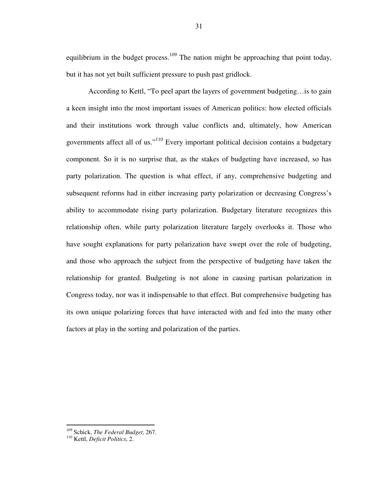equilibrium in the budget process.<sup>109</sup> The nation might be approaching that point today, but it has not yet built sufficient pressure to push past gridlock.

According to Kettl, "To peel apart the layers of government budgeting…is to gain a keen insight into the most important issues of American politics: how elected officials and their institutions work through value conflicts and, ultimately, how American governments affect all of us."<sup>110</sup> Every important political decision contains a budgetary component. So it is no surprise that, as the stakes of budgeting have increased, so has party polarization. The question is what effect, if any, comprehensive budgeting and subsequent reforms had in either increasing party polarization or decreasing Congress's ability to accommodate rising party polarization. Budgetary literature recognizes this relationship often, while party polarization literature largely overlooks it. Those who have sought explanations for party polarization have swept over the role of budgeting, and those who approach the subject from the perspective of budgeting have taken the relationship for granted. Budgeting is not alone in causing partisan polarization in Congress today, nor was it indispensable to that effect. But comprehensive budgeting has its own unique polarizing forces that have interacted with and fed into the many other factors at play in the sorting and polarization of the parties.

<sup>109</sup> Schick, *The Federal Budget*, 267.

<sup>110</sup> Kettl, *Deficit Politics*, 2.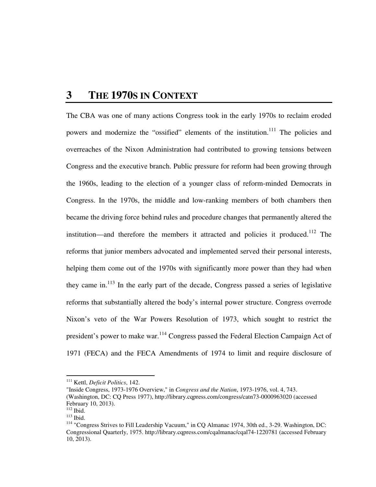# **3 THE 1970S IN CONTEXT**

The CBA was one of many actions Congress took in the early 1970s to reclaim eroded powers and modernize the "ossified" elements of the institution.<sup>111</sup> The policies and overreaches of the Nixon Administration had contributed to growing tensions between Congress and the executive branch. Public pressure for reform had been growing through the 1960s, leading to the election of a younger class of reform-minded Democrats in Congress. In the 1970s, the middle and low-ranking members of both chambers then became the driving force behind rules and procedure changes that permanently altered the institution—and therefore the members it attracted and policies it produced.<sup>112</sup> The reforms that junior members advocated and implemented served their personal interests, helping them come out of the 1970s with significantly more power than they had when they came in.<sup>113</sup> In the early part of the decade, Congress passed a series of legislative reforms that substantially altered the body's internal power structure. Congress overrode Nixon's veto of the War Powers Resolution of 1973, which sought to restrict the president's power to make war.<sup>114</sup> Congress passed the Federal Election Campaign Act of 1971 (FECA) and the FECA Amendments of 1974 to limit and require disclosure of

<sup>111</sup> Kettl, *Deficit Politics*, 142.

<sup>&</sup>quot;Inside Congress, 1973-1976 Overview," in *Congress and the Nation*, 1973-1976, vol. 4, 743.

<sup>(</sup>Washington, DC: CQ Press 1977), http://library.cqpress.com/congress/catn73-0000963020 (accessed February 10, 2013).

 $112$  Ibid.

<sup>113</sup> Ibid.

<sup>114</sup> "Congress Strives to Fill Leadership Vacuum," in CQ Almanac 1974, 30th ed., 3-29. Washington, DC: Congressional Quarterly, 1975. http://library.cqpress.com/cqalmanac/cqal74-1220781 (accessed February 10, 2013).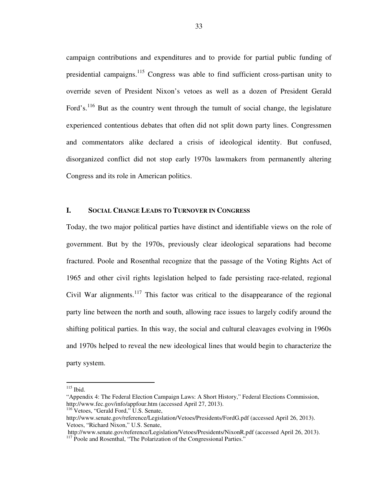campaign contributions and expenditures and to provide for partial public funding of presidential campaigns.<sup>115</sup> Congress was able to find sufficient cross-partisan unity to override seven of President Nixon's vetoes as well as a dozen of President Gerald Ford's.<sup>116</sup> But as the country went through the tumult of social change, the legislature experienced contentious debates that often did not split down party lines. Congressmen and commentators alike declared a crisis of ideological identity. But confused, disorganized conflict did not stop early 1970s lawmakers from permanently altering Congress and its role in American politics.

# **I. SOCIAL CHANGE LEADS TO TURNOVER IN CONGRESS**

Today, the two major political parties have distinct and identifiable views on the role of government. But by the 1970s, previously clear ideological separations had become fractured. Poole and Rosenthal recognize that the passage of the Voting Rights Act of 1965 and other civil rights legislation helped to fade persisting race-related, regional Civil War alignments.<sup>117</sup> This factor was critical to the disappearance of the regional party line between the north and south, allowing race issues to largely codify around the shifting political parties. In this way, the social and cultural cleavages evolving in 1960s and 1970s helped to reveal the new ideological lines that would begin to characterize the party system.

 $115$  Ibid.

<sup>&</sup>quot;Appendix 4: The Federal Election Campaign Laws: A Short History," Federal Elections Commission, http://www.fec.gov/info/appfour.htm (accessed April 27, 2013).

<sup>&</sup>lt;sup>116</sup> Vetoes, "Gerald Ford," U.S. Senate,

http://www.senate.gov/reference/Legislation/Vetoes/Presidents/FordG.pdf (accessed April 26, 2013). Vetoes, "Richard Nixon," U.S. Senate,

http://www.senate.gov/reference/Legislation/Vetoes/Presidents/NixonR.pdf (accessed April 26, 2013).

<sup>&</sup>lt;sup>117</sup> Poole and Rosenthal, "The Polarization of the Congressional Parties."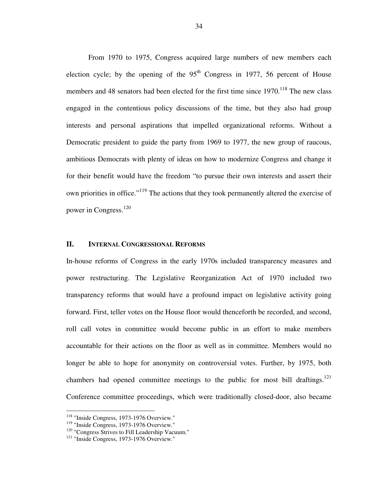From 1970 to 1975, Congress acquired large numbers of new members each election cycle; by the opening of the  $95<sup>th</sup>$  Congress in 1977, 56 percent of House members and 48 senators had been elected for the first time since 1970.<sup>118</sup> The new class engaged in the contentious policy discussions of the time, but they also had group interests and personal aspirations that impelled organizational reforms. Without a Democratic president to guide the party from 1969 to 1977, the new group of raucous, ambitious Democrats with plenty of ideas on how to modernize Congress and change it for their benefit would have the freedom "to pursue their own interests and assert their own priorities in office."<sup>119</sup> The actions that they took permanently altered the exercise of power in Congress.<sup>120</sup>

# **II. INTERNAL CONGRESSIONAL REFORMS**

In-house reforms of Congress in the early 1970s included transparency measures and power restructuring. The Legislative Reorganization Act of 1970 included two transparency reforms that would have a profound impact on legislative activity going forward. First, teller votes on the House floor would thenceforth be recorded, and second, roll call votes in committee would become public in an effort to make members accountable for their actions on the floor as well as in committee. Members would no longer be able to hope for anonymity on controversial votes. Further, by 1975, both chambers had opened committee meetings to the public for most bill draftings.<sup>121</sup> Conference committee proceedings, which were traditionally closed-door, also became

<sup>&</sup>lt;sup>118</sup> "Inside Congress, 1973-1976 Overview."

<sup>&</sup>lt;sup>119</sup> "Inside Congress, 1973-1976 Overview."

<sup>&</sup>lt;sup>120</sup> "Congress Strives to Fill Leadership Vacuum."

<sup>&</sup>lt;sup>121</sup> "Inside Congress, 1973-1976 Overview."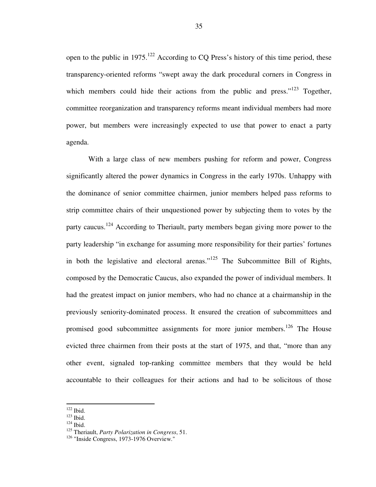open to the public in  $1975$ <sup>122</sup> According to CQ Press's history of this time period, these transparency-oriented reforms "swept away the dark procedural corners in Congress in which members could hide their actions from the public and press."<sup>123</sup> Together, committee reorganization and transparency reforms meant individual members had more power, but members were increasingly expected to use that power to enact a party agenda.

With a large class of new members pushing for reform and power, Congress significantly altered the power dynamics in Congress in the early 1970s. Unhappy with the dominance of senior committee chairmen, junior members helped pass reforms to strip committee chairs of their unquestioned power by subjecting them to votes by the party caucus.<sup>124</sup> According to Theriault, party members began giving more power to the party leadership "in exchange for assuming more responsibility for their parties' fortunes in both the legislative and electoral arenas." $125$  The Subcommittee Bill of Rights, composed by the Democratic Caucus, also expanded the power of individual members. It had the greatest impact on junior members, who had no chance at a chairmanship in the previously seniority-dominated process. It ensured the creation of subcommittees and promised good subcommittee assignments for more junior members.<sup>126</sup> The House evicted three chairmen from their posts at the start of 1975, and that, "more than any other event, signaled top-ranking committee members that they would be held accountable to their colleagues for their actions and had to be solicitous of those

 $122$  Ibid.

 $123$  Ibid.

 $124$  Ibid.

<sup>125</sup> Theriault, *Party Polarization in Congress*, 51.

<sup>&</sup>lt;sup>126</sup> "Inside Congress, 1973-1976 Overview."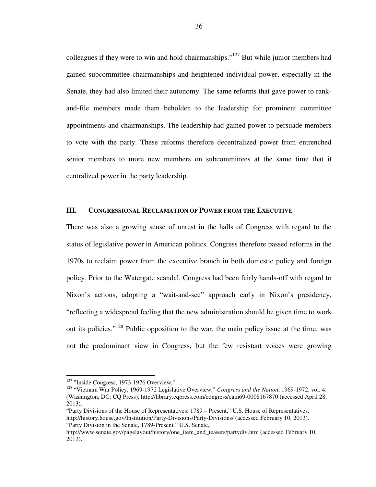colleagues if they were to win and hold chairmanships."<sup>127</sup> But while junior members had gained subcommittee chairmanships and heightened individual power, especially in the Senate, they had also limited their autonomy. The same reforms that gave power to rankand-file members made them beholden to the leadership for prominent committee appointments and chairmanships. The leadership had gained power to persuade members to vote with the party. These reforms therefore decentralized power from entrenched senior members to more new members on subcommittees at the same time that it centralized power in the party leadership.

# **III. CONGRESSIONAL RECLAMATION OF POWER FROM THE EXECUTIVE**

There was also a growing sense of unrest in the halls of Congress with regard to the status of legislative power in American politics. Congress therefore passed reforms in the 1970s to reclaim power from the executive branch in both domestic policy and foreign policy. Prior to the Watergate scandal, Congress had been fairly hands-off with regard to Nixon's actions, adopting a "wait-and-see" approach early in Nixon's presidency, "reflecting a widespread feeling that the new administration should be given time to work out its policies."<sup>128</sup> Public opposition to the war, the main policy issue at the time, was not the predominant view in Congress, but the few resistant voices were growing

 $127$  "Inside Congress, 1973-1976 Overview."

<sup>128</sup> "Vietnam War Policy, 1969-1972 Legislative Overview," *Congress and the Nation*, 1969-1972, vol. 4. (Washington, DC: CQ Press), http://library.cqpress.com/congress/catn69-0008167870 (accessed April 28, 2013).

<sup>&</sup>quot;Party Divisions of the House of Representatives: 1789 – Present," U.S. House of Representatives, http://history.house.gov/Institution/Party-Divisions/Party-Divisions/ (accessed February 10, 2013). "Party Division in the Senate, 1789-Present," U.S. Senate,

http://www.senate.gov/pagelayout/history/one\_item\_and\_teasers/partydiv.htm (accessed February 10, 2013).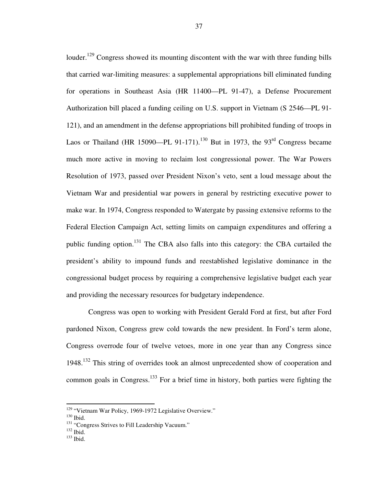louder.<sup>129</sup> Congress showed its mounting discontent with the war with three funding bills that carried war-limiting measures: a supplemental appropriations bill eliminated funding for operations in Southeast Asia (HR 11400—PL 91-47), a Defense Procurement Authorization bill placed a funding ceiling on U.S. support in Vietnam (S 2546—PL 91- 121), and an amendment in the defense appropriations bill prohibited funding of troops in Laos or Thailand (HR 15090—PL 91-171).<sup>130</sup> But in 1973, the 93<sup>rd</sup> Congress became much more active in moving to reclaim lost congressional power. The War Powers Resolution of 1973, passed over President Nixon's veto, sent a loud message about the Vietnam War and presidential war powers in general by restricting executive power to make war. In 1974, Congress responded to Watergate by passing extensive reforms to the Federal Election Campaign Act, setting limits on campaign expenditures and offering a public funding option.<sup>131</sup> The CBA also falls into this category: the CBA curtailed the president's ability to impound funds and reestablished legislative dominance in the congressional budget process by requiring a comprehensive legislative budget each year and providing the necessary resources for budgetary independence.

Congress was open to working with President Gerald Ford at first, but after Ford pardoned Nixon, Congress grew cold towards the new president. In Ford's term alone, Congress overrode four of twelve vetoes, more in one year than any Congress since 1948.<sup>132</sup> This string of overrides took an almost unprecedented show of cooperation and common goals in Congress.<sup>133</sup> For a brief time in history, both parties were fighting the

<sup>&</sup>lt;sup>129</sup> "Vietnam War Policy, 1969-1972 Legislative Overview."

<sup>130</sup> Ibid.

<sup>&</sup>lt;sup>131</sup> "Congress Strives to Fill Leadership Vacuum."

 $132$  Ibid.

 $133$  Ibid.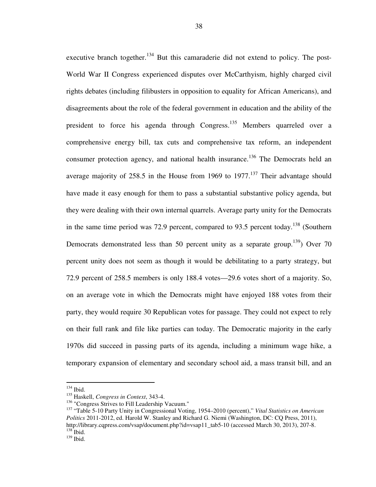executive branch together.<sup>134</sup> But this camaraderie did not extend to policy. The post-World War II Congress experienced disputes over McCarthyism, highly charged civil rights debates (including filibusters in opposition to equality for African Americans), and disagreements about the role of the federal government in education and the ability of the president to force his agenda through Congress.<sup>135</sup> Members quarreled over a comprehensive energy bill, tax cuts and comprehensive tax reform, an independent consumer protection agency, and national health insurance.<sup>136</sup> The Democrats held an average majority of  $258.5$  in the House from 1969 to 1977.<sup>137</sup> Their advantage should have made it easy enough for them to pass a substantial substantive policy agenda, but they were dealing with their own internal quarrels. Average party unity for the Democrats in the same time period was 72.9 percent, compared to 93.5 percent today.<sup>138</sup> (Southern Democrats demonstrated less than 50 percent unity as a separate group.<sup>139</sup> Over 70 percent unity does not seem as though it would be debilitating to a party strategy, but 72.9 percent of 258.5 members is only 188.4 votes—29.6 votes short of a majority. So, on an average vote in which the Democrats might have enjoyed 188 votes from their party, they would require 30 Republican votes for passage. They could not expect to rely on their full rank and file like parties can today. The Democratic majority in the early 1970s did succeed in passing parts of its agenda, including a minimum wage hike, a temporary expansion of elementary and secondary school aid, a mass transit bill, and an

 $134$  Ibid.

<sup>135</sup> Haskell, *Congress in Context*, 343-4.

<sup>&</sup>lt;sup>136</sup> "Congress Strives to Fill Leadership Vacuum."

<sup>137</sup> "Table 5-10 Party Unity in Congressional Voting, 1954–2010 (percent)," *Vital Statistics on American Politics* 2011-2012, ed. Harold W. Stanley and Richard G. Niemi (Washington, DC: CQ Press, 2011), http://library.cqpress.com/vsap/document.php?id=vsap11\_tab5-10 (accessed March 30, 2013), 207-8.  $138$  Ibid.

 $139$  Ibid.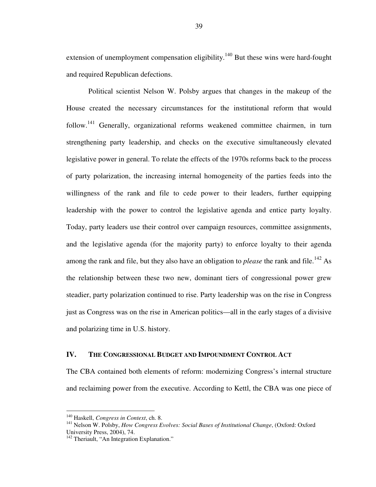extension of unemployment compensation eligibility.<sup>140</sup> But these wins were hard-fought and required Republican defections.

Political scientist Nelson W. Polsby argues that changes in the makeup of the House created the necessary circumstances for the institutional reform that would follow.<sup>141</sup> Generally, organizational reforms weakened committee chairmen, in turn strengthening party leadership, and checks on the executive simultaneously elevated legislative power in general. To relate the effects of the 1970s reforms back to the process of party polarization, the increasing internal homogeneity of the parties feeds into the willingness of the rank and file to cede power to their leaders, further equipping leadership with the power to control the legislative agenda and entice party loyalty. Today, party leaders use their control over campaign resources, committee assignments, and the legislative agenda (for the majority party) to enforce loyalty to their agenda among the rank and file, but they also have an obligation to *please* the rank and file.<sup>142</sup> As the relationship between these two new, dominant tiers of congressional power grew steadier, party polarization continued to rise. Party leadership was on the rise in Congress just as Congress was on the rise in American politics—all in the early stages of a divisive and polarizing time in U.S. history.

### **IV. THE CONGRESSIONAL BUDGET AND IMPOUNDMENT CONTROL ACT**

The CBA contained both elements of reform: modernizing Congress's internal structure and reclaiming power from the executive. According to Kettl, the CBA was one piece of

<sup>140</sup> Haskell, *Congress in Context*, ch. 8.

<sup>141</sup> Nelson W. Polsby, *How Congress Evolves: Social Bases of Institutional Change*, (Oxford: Oxford University Press, 2004), 74.

<sup>&</sup>lt;sup>142</sup> Theriault, "An Integration Explanation."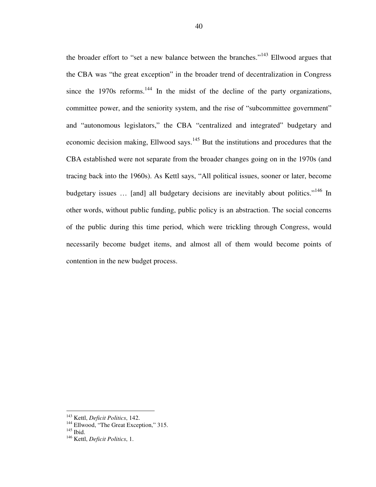the broader effort to "set a new balance between the branches."<sup>143</sup> Ellwood argues that the CBA was "the great exception" in the broader trend of decentralization in Congress since the  $1970s$  reforms.<sup>144</sup> In the midst of the decline of the party organizations, committee power, and the seniority system, and the rise of "subcommittee government" and "autonomous legislators," the CBA "centralized and integrated" budgetary and economic decision making, Ellwood says.<sup>145</sup> But the institutions and procedures that the CBA established were not separate from the broader changes going on in the 1970s (and tracing back into the 1960s). As Kettl says, "All political issues, sooner or later, become budgetary issues ... [and] all budgetary decisions are inevitably about politics."<sup>146</sup> In other words, without public funding, public policy is an abstraction. The social concerns of the public during this time period, which were trickling through Congress, would necessarily become budget items, and almost all of them would become points of contention in the new budget process.

<sup>143</sup> Kettl, *Deficit Politics*, 142.

<sup>&</sup>lt;sup>144</sup> Ellwood, "The Great Exception," 315.

 $145$  Ibid.

<sup>146</sup> Kettl, *Deficit Politics*, 1.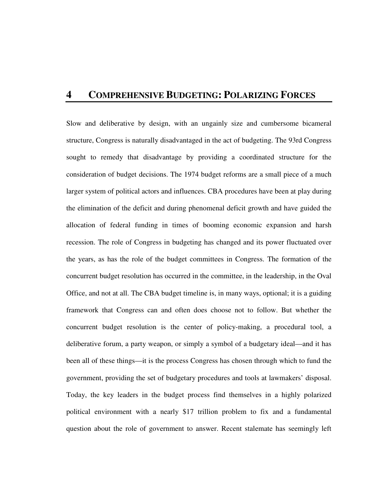# **4 COMPREHENSIVE BUDGETING: POLARIZING FORCES**

Slow and deliberative by design, with an ungainly size and cumbersome bicameral structure, Congress is naturally disadvantaged in the act of budgeting. The 93rd Congress sought to remedy that disadvantage by providing a coordinated structure for the consideration of budget decisions. The 1974 budget reforms are a small piece of a much larger system of political actors and influences. CBA procedures have been at play during the elimination of the deficit and during phenomenal deficit growth and have guided the allocation of federal funding in times of booming economic expansion and harsh recession. The role of Congress in budgeting has changed and its power fluctuated over the years, as has the role of the budget committees in Congress. The formation of the concurrent budget resolution has occurred in the committee, in the leadership, in the Oval Office, and not at all. The CBA budget timeline is, in many ways, optional; it is a guiding framework that Congress can and often does choose not to follow. But whether the concurrent budget resolution is the center of policy-making, a procedural tool, a deliberative forum, a party weapon, or simply a symbol of a budgetary ideal—and it has been all of these things—it is the process Congress has chosen through which to fund the government, providing the set of budgetary procedures and tools at lawmakers' disposal. Today, the key leaders in the budget process find themselves in a highly polarized political environment with a nearly \$17 trillion problem to fix and a fundamental question about the role of government to answer. Recent stalemate has seemingly left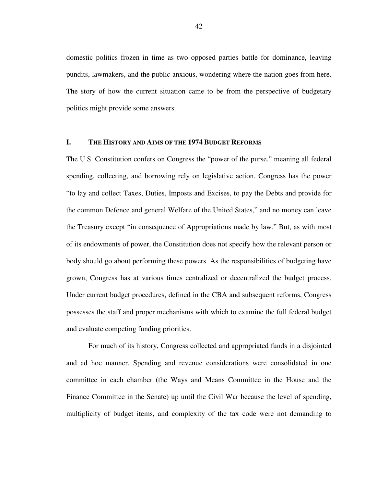domestic politics frozen in time as two opposed parties battle for dominance, leaving pundits, lawmakers, and the public anxious, wondering where the nation goes from here. The story of how the current situation came to be from the perspective of budgetary politics might provide some answers.

# **I. THE HISTORY AND AIMS OF THE 1974 BUDGET REFORMS**

The U.S. Constitution confers on Congress the "power of the purse," meaning all federal spending, collecting, and borrowing rely on legislative action. Congress has the power "to lay and collect Taxes, Duties, Imposts and Excises, to pay the Debts and provide for the common Defence and general Welfare of the United States," and no money can leave the Treasury except "in consequence of Appropriations made by law." But, as with most of its endowments of power, the Constitution does not specify how the relevant person or body should go about performing these powers. As the responsibilities of budgeting have grown, Congress has at various times centralized or decentralized the budget process. Under current budget procedures, defined in the CBA and subsequent reforms, Congress possesses the staff and proper mechanisms with which to examine the full federal budget and evaluate competing funding priorities.

For much of its history, Congress collected and appropriated funds in a disjointed and ad hoc manner. Spending and revenue considerations were consolidated in one committee in each chamber (the Ways and Means Committee in the House and the Finance Committee in the Senate) up until the Civil War because the level of spending, multiplicity of budget items, and complexity of the tax code were not demanding to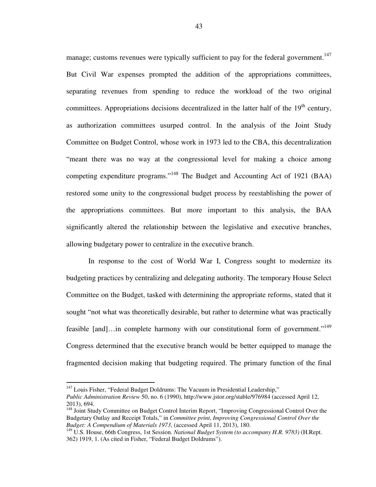manage; customs revenues were typically sufficient to pay for the federal government.<sup>147</sup> But Civil War expenses prompted the addition of the appropriations committees, separating revenues from spending to reduce the workload of the two original committees. Appropriations decisions decentralized in the latter half of the  $19<sup>th</sup>$  century, as authorization committees usurped control. In the analysis of the Joint Study Committee on Budget Control, whose work in 1973 led to the CBA, this decentralization "meant there was no way at the congressional level for making a choice among competing expenditure programs."<sup>148</sup> The Budget and Accounting Act of 1921 (BAA) restored some unity to the congressional budget process by reestablishing the power of the appropriations committees. But more important to this analysis, the BAA significantly altered the relationship between the legislative and executive branches, allowing budgetary power to centralize in the executive branch.

In response to the cost of World War I, Congress sought to modernize its budgeting practices by centralizing and delegating authority. The temporary House Select Committee on the Budget, tasked with determining the appropriate reforms, stated that it sought "not what was theoretically desirable, but rather to determine what was practically feasible  $[and] \dots$ in complete harmony with our constitutional form of government."<sup>149</sup> Congress determined that the executive branch would be better equipped to manage the fragmented decision making that budgeting required. The primary function of the final

 $147$  Louis Fisher, "Federal Budget Doldrums: The Vacuum in Presidential Leadership,"

*Public Administration Review* 50, no. 6 (1990), http://www.jstor.org/stable/976984 (accessed April 12, 2013), 694.

<sup>&</sup>lt;sup>148</sup> Joint Study Committee on Budget Control Interim Report, "Improving Congressional Control Over the Budgetary Outlay and Receipt Totals," in *Committee print*, *Improving Congressional Control Over the Budget: A Compendium of Materials 1973*, (accessed April 11, 2013), 180.

<sup>149</sup> U.S. House, 66th Congress, 1st Session. *National Budget System (to accompany H.R. 9783)* (H.Rept. 362) 1919, 1. (As cited in Fisher, "Federal Budget Doldrums").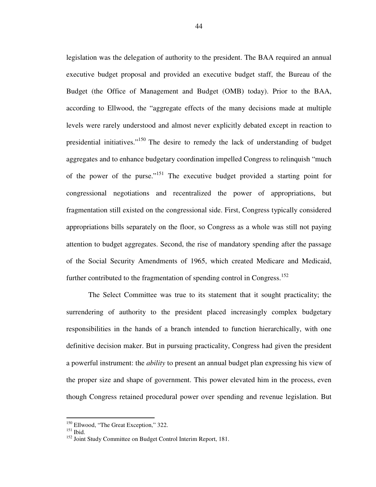legislation was the delegation of authority to the president. The BAA required an annual executive budget proposal and provided an executive budget staff, the Bureau of the Budget (the Office of Management and Budget (OMB) today). Prior to the BAA, according to Ellwood, the "aggregate effects of the many decisions made at multiple levels were rarely understood and almost never explicitly debated except in reaction to presidential initiatives. $150$  The desire to remedy the lack of understanding of budget aggregates and to enhance budgetary coordination impelled Congress to relinquish "much of the power of the purse."<sup>151</sup> The executive budget provided a starting point for congressional negotiations and recentralized the power of appropriations, but fragmentation still existed on the congressional side. First, Congress typically considered appropriations bills separately on the floor, so Congress as a whole was still not paying attention to budget aggregates. Second, the rise of mandatory spending after the passage of the Social Security Amendments of 1965, which created Medicare and Medicaid, further contributed to the fragmentation of spending control in Congress.<sup>152</sup>

The Select Committee was true to its statement that it sought practicality; the surrendering of authority to the president placed increasingly complex budgetary responsibilities in the hands of a branch intended to function hierarchically, with one definitive decision maker. But in pursuing practicality, Congress had given the president a powerful instrument: the *ability* to present an annual budget plan expressing his view of the proper size and shape of government. This power elevated him in the process, even though Congress retained procedural power over spending and revenue legislation. But

<sup>&</sup>lt;sup>150</sup> Ellwood, "The Great Exception," 322.

 $151$  Ibid.

<sup>&</sup>lt;sup>152</sup> Joint Study Committee on Budget Control Interim Report, 181.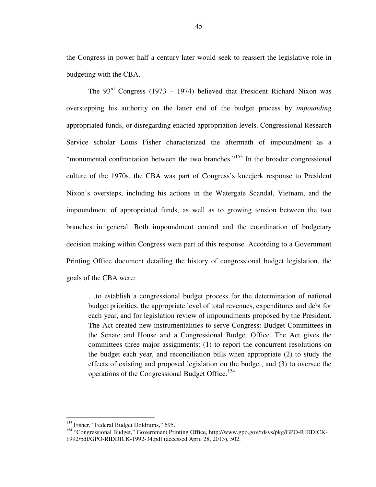the Congress in power half a century later would seek to reassert the legislative role in budgeting with the CBA.

The  $93<sup>rd</sup>$  Congress (1973 – 1974) believed that President Richard Nixon was overstepping his authority on the latter end of the budget process by *impounding* appropriated funds, or disregarding enacted appropriation levels. Congressional Research Service scholar Louis Fisher characterized the aftermath of impoundment as a "monumental confrontation between the two branches."<sup>153</sup> In the broader congressional culture of the 1970s, the CBA was part of Congress's kneejerk response to President Nixon's oversteps, including his actions in the Watergate Scandal, Vietnam, and the impoundment of appropriated funds, as well as to growing tension between the two branches in general. Both impoundment control and the coordination of budgetary decision making within Congress were part of this response. According to a Government Printing Office document detailing the history of congressional budget legislation, the goals of the CBA were:

…to establish a congressional budget process for the determination of national budget priorities, the appropriate level of total revenues, expenditures and debt for each year, and for legislation review of impoundments proposed by the President. The Act created new instrumentalities to serve Congress: Budget Committees in the Senate and House and a Congressional Budget Office. The Act gives the committees three major assignments: (1) to report the concurrent resolutions on the budget each year, and reconciliation bills when appropriate (2) to study the effects of existing and proposed legislation on the budget, and (3) to oversee the operations of the Congressional Budget Office.<sup>154</sup>

<sup>&</sup>lt;sup>153</sup> Fisher, "Federal Budget Doldrums," 695.

<sup>154</sup> "Congressional Budget," Government Printing Office, http://www.gpo.gov/fdsys/pkg/GPO-RIDDICK-1992/pdf/GPO-RIDDICK-1992-34.pdf (accessed April 28, 2013), 502.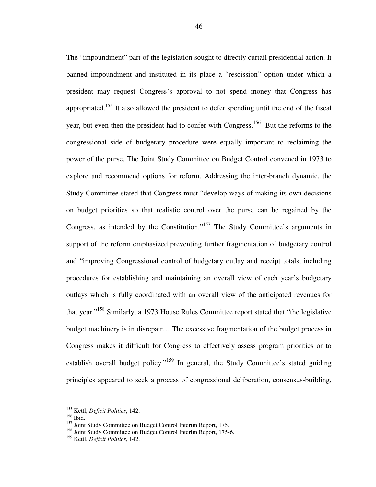The "impoundment" part of the legislation sought to directly curtail presidential action. It banned impoundment and instituted in its place a "rescission" option under which a president may request Congress's approval to not spend money that Congress has appropriated.<sup>155</sup> It also allowed the president to defer spending until the end of the fiscal year, but even then the president had to confer with Congress.<sup>156</sup> But the reforms to the congressional side of budgetary procedure were equally important to reclaiming the power of the purse. The Joint Study Committee on Budget Control convened in 1973 to explore and recommend options for reform. Addressing the inter-branch dynamic, the Study Committee stated that Congress must "develop ways of making its own decisions on budget priorities so that realistic control over the purse can be regained by the Congress, as intended by the Constitution."<sup>157</sup> The Study Committee's arguments in support of the reform emphasized preventing further fragmentation of budgetary control and "improving Congressional control of budgetary outlay and receipt totals, including procedures for establishing and maintaining an overall view of each year's budgetary outlays which is fully coordinated with an overall view of the anticipated revenues for that year."<sup>158</sup> Similarly, a 1973 House Rules Committee report stated that "the legislative budget machinery is in disrepair… The excessive fragmentation of the budget process in Congress makes it difficult for Congress to effectively assess program priorities or to establish overall budget policy."<sup>159</sup> In general, the Study Committee's stated guiding principles appeared to seek a process of congressional deliberation, consensus-building,

<sup>155</sup> Kettl, *Deficit Politics*, 142.

<sup>156</sup> Ibid.

<sup>&</sup>lt;sup>157</sup> Joint Study Committee on Budget Control Interim Report, 175.

<sup>&</sup>lt;sup>158</sup> Joint Study Committee on Budget Control Interim Report, 175-6.

<sup>159</sup> Kettl, *Deficit Politics*, 142.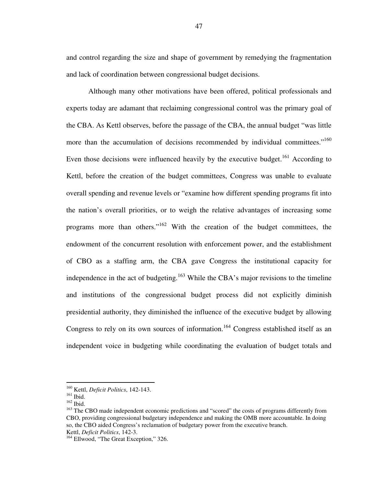and control regarding the size and shape of government by remedying the fragmentation and lack of coordination between congressional budget decisions.

Although many other motivations have been offered, political professionals and experts today are adamant that reclaiming congressional control was the primary goal of the CBA. As Kettl observes, before the passage of the CBA, the annual budget "was little more than the accumulation of decisions recommended by individual committees."<sup>160</sup> Even those decisions were influenced heavily by the executive budget.<sup>161</sup> According to Kettl, before the creation of the budget committees, Congress was unable to evaluate overall spending and revenue levels or "examine how different spending programs fit into the nation's overall priorities, or to weigh the relative advantages of increasing some programs more than others."<sup>162</sup> With the creation of the budget committees, the endowment of the concurrent resolution with enforcement power, and the establishment of CBO as a staffing arm, the CBA gave Congress the institutional capacity for independence in the act of budgeting.<sup>163</sup> While the CBA's major revisions to the timeline and institutions of the congressional budget process did not explicitly diminish presidential authority, they diminished the influence of the executive budget by allowing Congress to rely on its own sources of information.<sup>164</sup> Congress established itself as an independent voice in budgeting while coordinating the evaluation of budget totals and

<sup>160</sup> Kettl, *Deficit Politics*, 142-143.

<sup>161</sup> Ibid.

<sup>162</sup> Ibid.

<sup>&</sup>lt;sup>163</sup> The CBO made independent economic predictions and "scored" the costs of programs differently from CBO, providing congressional budgetary independence and making the OMB more accountable. In doing so, the CBO aided Congress's reclamation of budgetary power from the executive branch. Kettl, *Deficit Politics*, 142-3.

<sup>&</sup>lt;sup>164</sup> Ellwood, "The Great Exception," 326.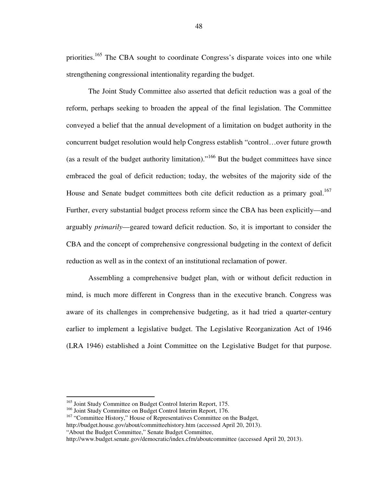priorities.<sup>165</sup> The CBA sought to coordinate Congress's disparate voices into one while strengthening congressional intentionality regarding the budget.

The Joint Study Committee also asserted that deficit reduction was a goal of the reform, perhaps seeking to broaden the appeal of the final legislation. The Committee conveyed a belief that the annual development of a limitation on budget authority in the concurrent budget resolution would help Congress establish "control…over future growth (as a result of the budget authority limitation)."<sup>166</sup> But the budget committees have since embraced the goal of deficit reduction; today, the websites of the majority side of the House and Senate budget committees both cite deficit reduction as a primary goal.<sup>167</sup> Further, every substantial budget process reform since the CBA has been explicitly—and arguably *primarily*—geared toward deficit reduction. So, it is important to consider the CBA and the concept of comprehensive congressional budgeting in the context of deficit reduction as well as in the context of an institutional reclamation of power.

Assembling a comprehensive budget plan, with or without deficit reduction in mind, is much more different in Congress than in the executive branch. Congress was aware of its challenges in comprehensive budgeting, as it had tried a quarter-century earlier to implement a legislative budget. The Legislative Reorganization Act of 1946 (LRA 1946) established a Joint Committee on the Legislative Budget for that purpose.

<sup>165</sup> Joint Study Committee on Budget Control Interim Report, 175.

<sup>&</sup>lt;sup>166</sup> Joint Study Committee on Budget Control Interim Report, 176.

<sup>&</sup>lt;sup>167</sup> "Committee History," House of Representatives Committee on the Budget, http://budget.house.gov/about/committeehistory.htm (accessed April 20, 2013).

<sup>&</sup>quot;About the Budget Committee," Senate Budget Committee,

http://www.budget.senate.gov/democratic/index.cfm/aboutcommittee (accessed April 20, 2013).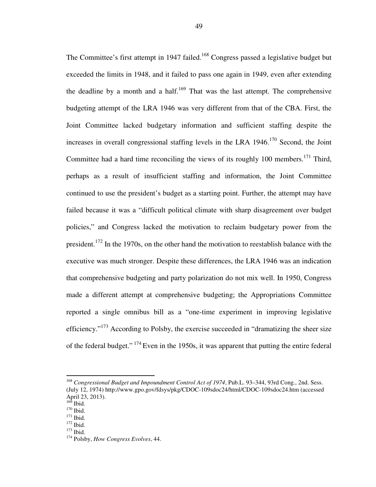The Committee's first attempt in 1947 failed.<sup>168</sup> Congress passed a legislative budget but exceeded the limits in 1948, and it failed to pass one again in 1949, even after extending the deadline by a month and a half.<sup>169</sup> That was the last attempt. The comprehensive budgeting attempt of the LRA 1946 was very different from that of the CBA. First, the Joint Committee lacked budgetary information and sufficient staffing despite the increases in overall congressional staffing levels in the LRA  $1946$ .<sup>170</sup> Second, the Joint Committee had a hard time reconciling the views of its roughly  $100$  members.<sup>171</sup> Third, perhaps as a result of insufficient staffing and information, the Joint Committee continued to use the president's budget as a starting point. Further, the attempt may have failed because it was a "difficult political climate with sharp disagreement over budget policies," and Congress lacked the motivation to reclaim budgetary power from the president.<sup>172</sup> In the 1970s, on the other hand the motivation to reestablish balance with the executive was much stronger. Despite these differences, the LRA 1946 was an indication that comprehensive budgeting and party polarization do not mix well. In 1950, Congress made a different attempt at comprehensive budgeting; the Appropriations Committee reported a single omnibus bill as a "one-time experiment in improving legislative efficiency. $173$  According to Polsby, the exercise succeeded in "dramatizing the sheer size of the federal budget."  $174$  Even in the 1950s, it was apparent that putting the entire federal

<sup>168</sup> *Congressional Budget and Impoundment Control Act of 1974*, Pub.L. 93–344, 93rd Cong., 2nd. Sess. (July 12, 1974) http://www.gpo.gov/fdsys/pkg/CDOC-109sdoc24/html/CDOC-109sdoc24.htm (accessed April 23, 2013).

 $169$  Ibid.

<sup>&</sup>lt;sup>170</sup> Ibid.

<sup>&</sup>lt;sup>171</sup> Ibid.

<sup>&</sup>lt;sup>172</sup> Ibid.

<sup>173</sup> Ibid.

<sup>174</sup> Polsby, *How Congress Evolves*, 44.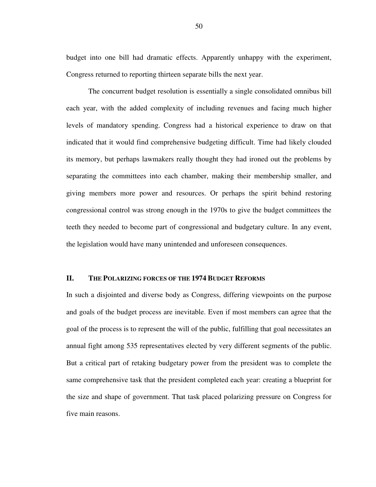budget into one bill had dramatic effects. Apparently unhappy with the experiment, Congress returned to reporting thirteen separate bills the next year.

The concurrent budget resolution is essentially a single consolidated omnibus bill each year, with the added complexity of including revenues and facing much higher levels of mandatory spending. Congress had a historical experience to draw on that indicated that it would find comprehensive budgeting difficult. Time had likely clouded its memory, but perhaps lawmakers really thought they had ironed out the problems by separating the committees into each chamber, making their membership smaller, and giving members more power and resources. Or perhaps the spirit behind restoring congressional control was strong enough in the 1970s to give the budget committees the teeth they needed to become part of congressional and budgetary culture. In any event, the legislation would have many unintended and unforeseen consequences.

#### **II. THE POLARIZING FORCES OF THE 1974 BUDGET REFORMS**

In such a disjointed and diverse body as Congress, differing viewpoints on the purpose and goals of the budget process are inevitable. Even if most members can agree that the goal of the process is to represent the will of the public, fulfilling that goal necessitates an annual fight among 535 representatives elected by very different segments of the public. But a critical part of retaking budgetary power from the president was to complete the same comprehensive task that the president completed each year: creating a blueprint for the size and shape of government. That task placed polarizing pressure on Congress for five main reasons.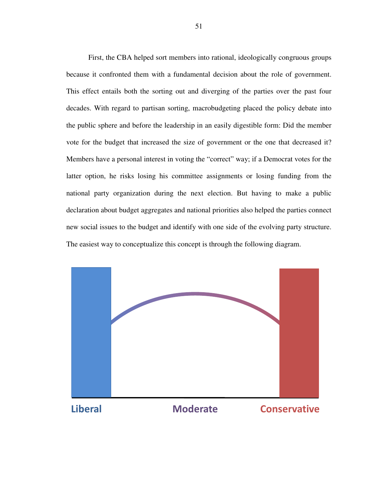First, the CBA helped sort members into rational, ideologically congruous groups because it confronted them with a fundamental decision about the role of government. This effect entails both the sorting out and diverging of the parties over the past four decades. With regard to partisan sorting, macrobudgeting placed the policy debate into the public sphere and before the leadership in an easily digestible form: Did the member vote for the budget that increased the size of government or the one that decreased it? Members have a personal interest in voting the "correct" way; if a Democrat votes for the latter option, he risks losing his committee assignments or losing funding from the national party organization during the next election. But having to make a public declaration about budget aggregates and national priorities also helped the parties connect new social issues to the budget and identify with one side of the evolving party structure. The easiest way to conceptualize this concept is through the following diagram.

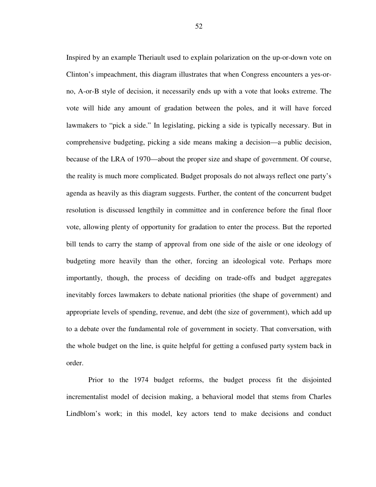Inspired by an example Theriault used to explain polarization on the up-or-down vote on Clinton's impeachment, this diagram illustrates that when Congress encounters a yes-orno, A-or-B style of decision, it necessarily ends up with a vote that looks extreme. The vote will hide any amount of gradation between the poles, and it will have forced lawmakers to "pick a side." In legislating, picking a side is typically necessary. But in comprehensive budgeting, picking a side means making a decision—a public decision, because of the LRA of 1970—about the proper size and shape of government. Of course, the reality is much more complicated. Budget proposals do not always reflect one party's agenda as heavily as this diagram suggests. Further, the content of the concurrent budget resolution is discussed lengthily in committee and in conference before the final floor vote, allowing plenty of opportunity for gradation to enter the process. But the reported bill tends to carry the stamp of approval from one side of the aisle or one ideology of budgeting more heavily than the other, forcing an ideological vote. Perhaps more importantly, though, the process of deciding on trade-offs and budget aggregates inevitably forces lawmakers to debate national priorities (the shape of government) and appropriate levels of spending, revenue, and debt (the size of government), which add up to a debate over the fundamental role of government in society. That conversation, with the whole budget on the line, is quite helpful for getting a confused party system back in order.

Prior to the 1974 budget reforms, the budget process fit the disjointed incrementalist model of decision making, a behavioral model that stems from Charles Lindblom's work; in this model, key actors tend to make decisions and conduct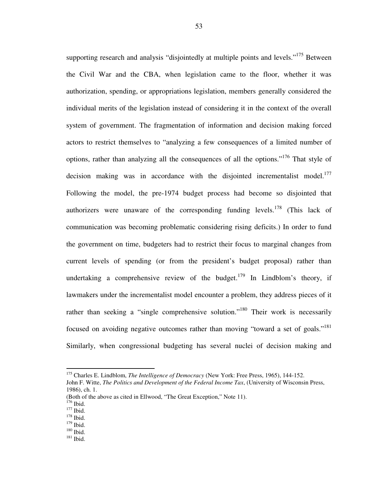supporting research and analysis "disjointedly at multiple points and levels."<sup>175</sup> Between the Civil War and the CBA, when legislation came to the floor, whether it was authorization, spending, or appropriations legislation, members generally considered the individual merits of the legislation instead of considering it in the context of the overall system of government. The fragmentation of information and decision making forced actors to restrict themselves to "analyzing a few consequences of a limited number of options, rather than analyzing all the consequences of all the options."<sup>176</sup> That style of decision making was in accordance with the disjointed incrementalist model.<sup>177</sup> Following the model, the pre-1974 budget process had become so disjointed that authorizers were unaware of the corresponding funding levels.<sup>178</sup> (This lack of communication was becoming problematic considering rising deficits.) In order to fund the government on time, budgeters had to restrict their focus to marginal changes from current levels of spending (or from the president's budget proposal) rather than undertaking a comprehensive review of the budget.<sup>179</sup> In Lindblom's theory, if lawmakers under the incrementalist model encounter a problem, they address pieces of it rather than seeking a "single comprehensive solution."<sup>180</sup> Their work is necessarily focused on avoiding negative outcomes rather than moving "toward a set of goals."<sup>181</sup> Similarly, when congressional budgeting has several nuclei of decision making and

<sup>175</sup> Charles E. Lindblom, *The Intelligence of Democracy* (New York: Free Press, 1965), 144-152.

John F. Witte, *The Politics and Development of the Federal Income Tax*, (University of Wisconsin Press, 1986), ch. 1.

<sup>(</sup>Both of the above as cited in Ellwood, "The Great Exception," Note 11).

 $176$  Ibid.

 $177$  Ibid.

<sup>178</sup> Ibid.

 $^{179}$  Ibid.

 $180$  Ibid.

<sup>181</sup> Ibid.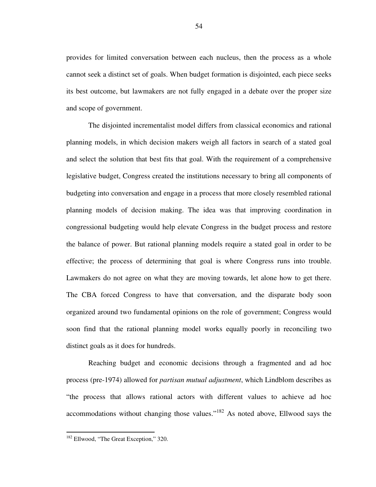provides for limited conversation between each nucleus, then the process as a whole cannot seek a distinct set of goals. When budget formation is disjointed, each piece seeks its best outcome, but lawmakers are not fully engaged in a debate over the proper size and scope of government.

The disjointed incrementalist model differs from classical economics and rational planning models, in which decision makers weigh all factors in search of a stated goal and select the solution that best fits that goal. With the requirement of a comprehensive legislative budget, Congress created the institutions necessary to bring all components of budgeting into conversation and engage in a process that more closely resembled rational planning models of decision making. The idea was that improving coordination in congressional budgeting would help elevate Congress in the budget process and restore the balance of power. But rational planning models require a stated goal in order to be effective; the process of determining that goal is where Congress runs into trouble. Lawmakers do not agree on what they are moving towards, let alone how to get there. The CBA forced Congress to have that conversation, and the disparate body soon organized around two fundamental opinions on the role of government; Congress would soon find that the rational planning model works equally poorly in reconciling two distinct goals as it does for hundreds.

Reaching budget and economic decisions through a fragmented and ad hoc process (pre-1974) allowed for *partisan mutual adjustment*, which Lindblom describes as "the process that allows rational actors with different values to achieve ad hoc accommodations without changing those values."<sup>182</sup> As noted above, Ellwood says the

<sup>&</sup>lt;sup>182</sup> Ellwood, "The Great Exception," 320.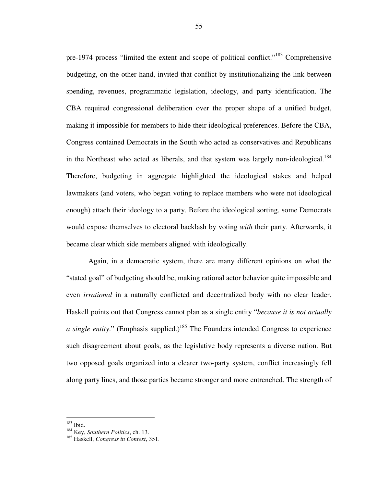pre-1974 process "limited the extent and scope of political conflict."<sup>183</sup> Comprehensive budgeting, on the other hand, invited that conflict by institutionalizing the link between spending, revenues, programmatic legislation, ideology, and party identification. The CBA required congressional deliberation over the proper shape of a unified budget, making it impossible for members to hide their ideological preferences. Before the CBA, Congress contained Democrats in the South who acted as conservatives and Republicans in the Northeast who acted as liberals, and that system was largely non-ideological.<sup>184</sup> Therefore, budgeting in aggregate highlighted the ideological stakes and helped lawmakers (and voters, who began voting to replace members who were not ideological enough) attach their ideology to a party. Before the ideological sorting, some Democrats would expose themselves to electoral backlash by voting *with* their party. Afterwards, it became clear which side members aligned with ideologically.

Again, in a democratic system, there are many different opinions on what the "stated goal" of budgeting should be, making rational actor behavior quite impossible and even *irrational* in a naturally conflicted and decentralized body with no clear leader. Haskell points out that Congress cannot plan as a single entity "*because it is not actually a single entity.*" (Emphasis supplied.)<sup>185</sup> The Founders intended Congress to experience such disagreement about goals, as the legislative body represents a diverse nation. But two opposed goals organized into a clearer two-party system, conflict increasingly fell along party lines, and those parties became stronger and more entrenched. The strength of

<sup>183</sup> Ibid.

<sup>184</sup> Key, *Southern Politics*, ch. 13.

<sup>185</sup> Haskell, *Congress in Context*, 351.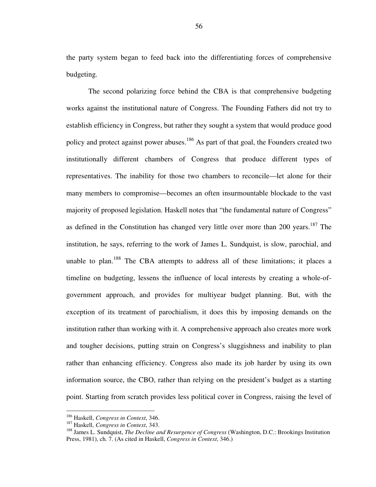the party system began to feed back into the differentiating forces of comprehensive budgeting.

The second polarizing force behind the CBA is that comprehensive budgeting works against the institutional nature of Congress. The Founding Fathers did not try to establish efficiency in Congress, but rather they sought a system that would produce good policy and protect against power abuses.<sup>186</sup> As part of that goal, the Founders created two institutionally different chambers of Congress that produce different types of representatives. The inability for those two chambers to reconcile—let alone for their many members to compromise—becomes an often insurmountable blockade to the vast majority of proposed legislation. Haskell notes that "the fundamental nature of Congress" as defined in the Constitution has changed very little over more than 200 years.<sup>187</sup> The institution, he says, referring to the work of James L. Sundquist, is slow, parochial, and unable to plan.<sup>188</sup> The CBA attempts to address all of these limitations; it places a timeline on budgeting, lessens the influence of local interests by creating a whole-ofgovernment approach, and provides for multiyear budget planning. But, with the exception of its treatment of parochialism, it does this by imposing demands on the institution rather than working with it. A comprehensive approach also creates more work and tougher decisions, putting strain on Congress's sluggishness and inability to plan rather than enhancing efficiency. Congress also made its job harder by using its own information source, the CBO, rather than relying on the president's budget as a starting point. Starting from scratch provides less political cover in Congress, raising the level of

<sup>186</sup> Haskell, *Congress in Context*, 346.

<sup>187</sup> Haskell, *Congress in Context*, 343.

<sup>188</sup> James L. Sundquist, *The Decline and Resurgence of Congress* (Washington, D.C.: Brookings Institution Press, 1981), ch. 7. (As cited in Haskell, *Congress in Context*, 346.)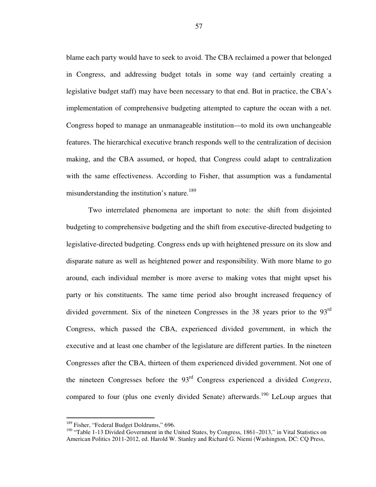blame each party would have to seek to avoid. The CBA reclaimed a power that belonged in Congress, and addressing budget totals in some way (and certainly creating a legislative budget staff) may have been necessary to that end. But in practice, the CBA's implementation of comprehensive budgeting attempted to capture the ocean with a net. Congress hoped to manage an unmanageable institution—to mold its own unchangeable features. The hierarchical executive branch responds well to the centralization of decision making, and the CBA assumed, or hoped, that Congress could adapt to centralization with the same effectiveness. According to Fisher, that assumption was a fundamental misunderstanding the institution's nature.<sup>189</sup>

Two interrelated phenomena are important to note: the shift from disjointed budgeting to comprehensive budgeting and the shift from executive-directed budgeting to legislative-directed budgeting. Congress ends up with heightened pressure on its slow and disparate nature as well as heightened power and responsibility. With more blame to go around, each individual member is more averse to making votes that might upset his party or his constituents. The same time period also brought increased frequency of divided government. Six of the nineteen Congresses in the 38 years prior to the 93<sup>rd</sup> Congress, which passed the CBA, experienced divided government, in which the executive and at least one chamber of the legislature are different parties. In the nineteen Congresses after the CBA, thirteen of them experienced divided government. Not one of the nineteen Congresses before the 93rd Congress experienced a divided *Congress*, compared to four (plus one evenly divided Senate) afterwards.<sup>190</sup> LeLoup argues that

<sup>&</sup>lt;sup>189</sup> Fisher, "Federal Budget Doldrums," 696.

<sup>&</sup>lt;sup>190</sup> "Table 1-13 Divided Government in the United States, by Congress, 1861–2013," in Vital Statistics on American Politics 2011-2012, ed. Harold W. Stanley and Richard G. Niemi (Washington, DC: CQ Press,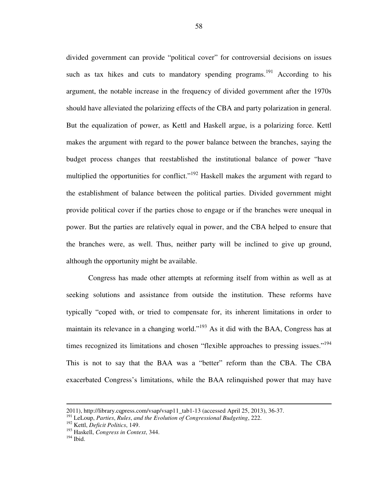divided government can provide "political cover" for controversial decisions on issues such as tax hikes and cuts to mandatory spending programs.<sup>191</sup> According to his argument, the notable increase in the frequency of divided government after the 1970s should have alleviated the polarizing effects of the CBA and party polarization in general. But the equalization of power, as Kettl and Haskell argue, is a polarizing force. Kettl makes the argument with regard to the power balance between the branches, saying the budget process changes that reestablished the institutional balance of power "have multiplied the opportunities for conflict."<sup>192</sup> Haskell makes the argument with regard to the establishment of balance between the political parties. Divided government might provide political cover if the parties chose to engage or if the branches were unequal in power. But the parties are relatively equal in power, and the CBA helped to ensure that the branches were, as well. Thus, neither party will be inclined to give up ground, although the opportunity might be available.

Congress has made other attempts at reforming itself from within as well as at seeking solutions and assistance from outside the institution. These reforms have typically "coped with, or tried to compensate for, its inherent limitations in order to maintain its relevance in a changing world."<sup>193</sup> As it did with the BAA, Congress has at times recognized its limitations and chosen "flexible approaches to pressing issues."<sup>194</sup> This is not to say that the BAA was a "better" reform than the CBA. The CBA exacerbated Congress's limitations, while the BAA relinquished power that may have

<sup>2011),</sup> http://library.cqpress.com/vsap/vsap11\_tab1-13 (accessed April 25, 2013), 36-37.

<sup>191</sup> LeLoup, *Parties*, *Rules*, *and the Evolution of Congressional Budgeting*, 222.

<sup>192</sup> Kettl, *Deficit Politics*, 149.

<sup>193</sup> Haskell, *Congress in Context*, 344.

<sup>194</sup> Ibid.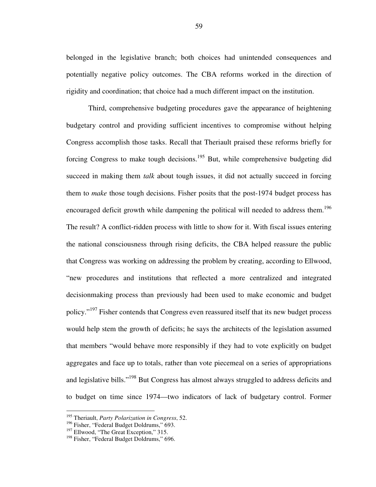belonged in the legislative branch; both choices had unintended consequences and potentially negative policy outcomes. The CBA reforms worked in the direction of rigidity and coordination; that choice had a much different impact on the institution.

Third, comprehensive budgeting procedures gave the appearance of heightening budgetary control and providing sufficient incentives to compromise without helping Congress accomplish those tasks. Recall that Theriault praised these reforms briefly for forcing Congress to make tough decisions.<sup>195</sup> But, while comprehensive budgeting did succeed in making them *talk* about tough issues, it did not actually succeed in forcing them to *make* those tough decisions. Fisher posits that the post-1974 budget process has encouraged deficit growth while dampening the political will needed to address them.<sup>196</sup> The result? A conflict-ridden process with little to show for it. With fiscal issues entering the national consciousness through rising deficits, the CBA helped reassure the public that Congress was working on addressing the problem by creating, according to Ellwood, "new procedures and institutions that reflected a more centralized and integrated decisionmaking process than previously had been used to make economic and budget policy."<sup>197</sup> Fisher contends that Congress even reassured itself that its new budget process would help stem the growth of deficits; he says the architects of the legislation assumed that members "would behave more responsibly if they had to vote explicitly on budget aggregates and face up to totals, rather than vote piecemeal on a series of appropriations and legislative bills."<sup>198</sup> But Congress has almost always struggled to address deficits and to budget on time since 1974—two indicators of lack of budgetary control. Former

<sup>195</sup> Theriault, *Party Polarization in Congress*, 52.

<sup>&</sup>lt;sup>196</sup> Fisher, "Federal Budget Doldrums," 693.

<sup>&</sup>lt;sup>197</sup> Ellwood, "The Great Exception," 315.

<sup>&</sup>lt;sup>198</sup> Fisher, "Federal Budget Doldrums," 696.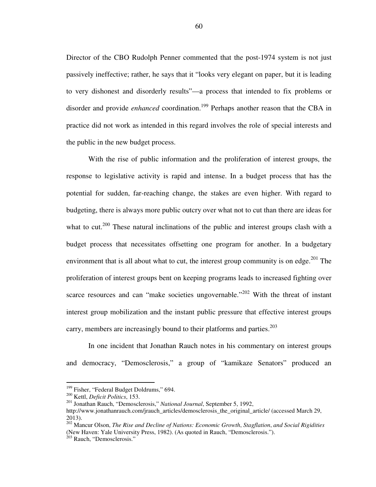Director of the CBO Rudolph Penner commented that the post-1974 system is not just passively ineffective; rather, he says that it "looks very elegant on paper, but it is leading to very dishonest and disorderly results"—a process that intended to fix problems or disorder and provide *enhanced* coordination.<sup>199</sup> Perhaps another reason that the CBA in practice did not work as intended in this regard involves the role of special interests and the public in the new budget process.

With the rise of public information and the proliferation of interest groups, the response to legislative activity is rapid and intense. In a budget process that has the potential for sudden, far-reaching change, the stakes are even higher. With regard to budgeting, there is always more public outcry over what not to cut than there are ideas for what to cut.<sup>200</sup> These natural inclinations of the public and interest groups clash with a budget process that necessitates offsetting one program for another. In a budgetary environment that is all about what to cut, the interest group community is on edge.<sup>201</sup> The proliferation of interest groups bent on keeping programs leads to increased fighting over scarce resources and can "make societies ungovernable."<sup>202</sup> With the threat of instant interest group mobilization and the instant public pressure that effective interest groups carry, members are increasingly bound to their platforms and parties.<sup>203</sup>

In one incident that Jonathan Rauch notes in his commentary on interest groups and democracy, "Demosclerosis," a group of "kamikaze Senators" produced an

<sup>&</sup>lt;sup>199</sup> Fisher, "Federal Budget Doldrums," 694.

<sup>200</sup> Kettl, *Deficit Politics*, 153.

<sup>201</sup> Jonathan Rauch, "Demosclerosis," *National Journal*, September 5, 1992,

http://www.jonathanrauch.com/jrauch\_articles/demosclerosis\_the\_original\_article/ (accessed March 29, 2013).

<sup>202</sup> Mancur Olson, *The Rise and Decline of Nations: Economic Growth*, *Stagflation*, *and Social Rigidities* (New Haven: Yale University Press, 1982). (As quoted in Rauch, "Demosclerosis.").

 $203$  Rauch, "Demosclerosis."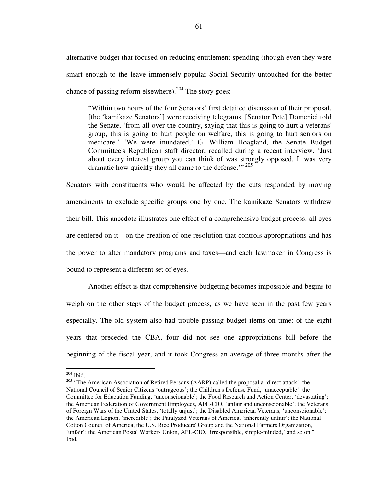alternative budget that focused on reducing entitlement spending (though even they were smart enough to the leave immensely popular Social Security untouched for the better chance of passing reform elsewhere).<sup>204</sup> The story goes:

"Within two hours of the four Senators' first detailed discussion of their proposal, [the 'kamikaze Senators'] were receiving telegrams, [Senator Pete] Domenici told the Senate, 'from all over the country, saying that this is going to hurt a veterans' group, this is going to hurt people on welfare, this is going to hurt seniors on medicare.' 'We were inundated,' G. William Hoagland, the Senate Budget Committee's Republican staff director, recalled during a recent interview. 'Just about every interest group you can think of was strongly opposed. It was very dramatic how quickly they all came to the defense."<sup>205</sup>

Senators with constituents who would be affected by the cuts responded by moving amendments to exclude specific groups one by one. The kamikaze Senators withdrew their bill. This anecdote illustrates one effect of a comprehensive budget process: all eyes are centered on it—on the creation of one resolution that controls appropriations and has the power to alter mandatory programs and taxes—and each lawmaker in Congress is bound to represent a different set of eyes.

Another effect is that comprehensive budgeting becomes impossible and begins to weigh on the other steps of the budget process, as we have seen in the past few years especially. The old system also had trouble passing budget items on time: of the eight years that preceded the CBA, four did not see one appropriations bill before the beginning of the fiscal year, and it took Congress an average of three months after the

 $204$  Ibid.

<sup>&</sup>lt;sup>205</sup> "The American Association of Retired Persons (AARP) called the proposal a 'direct attack'; the National Council of Senior Citizens 'outrageous'; the Children's Defense Fund, 'unacceptable'; the Committee for Education Funding, 'unconscionable'; the Food Research and Action Center, 'devastating'; the American Federation of Government Employees, AFL-CIO, 'unfair and unconscionable'; the Veterans of Foreign Wars of the United States, 'totally unjust'; the Disabled American Veterans, 'unconscionable'; the American Legion, 'incredible'; the Paralyzed Veterans of America, 'inherently unfair'; the National Cotton Council of America, the U.S. Rice Producers' Group and the National Farmers Organization, 'unfair'; the American Postal Workers Union, AFL-CIO, 'irresponsible, simple-minded,' and so on." Ibid.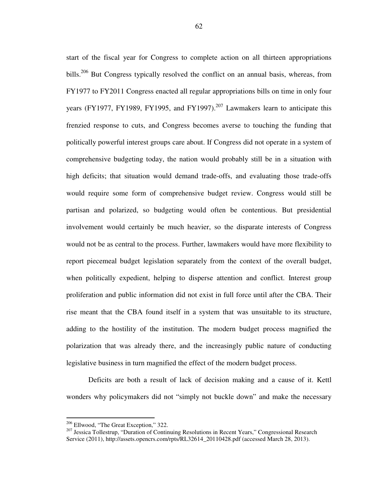start of the fiscal year for Congress to complete action on all thirteen appropriations bills.<sup>206</sup> But Congress typically resolved the conflict on an annual basis, whereas, from FY1977 to FY2011 Congress enacted all regular appropriations bills on time in only four years (FY1977, FY1989, FY1995, and FY1997).<sup>207</sup> Lawmakers learn to anticipate this frenzied response to cuts, and Congress becomes averse to touching the funding that politically powerful interest groups care about. If Congress did not operate in a system of comprehensive budgeting today, the nation would probably still be in a situation with high deficits; that situation would demand trade-offs, and evaluating those trade-offs would require some form of comprehensive budget review. Congress would still be partisan and polarized, so budgeting would often be contentious. But presidential involvement would certainly be much heavier, so the disparate interests of Congress would not be as central to the process. Further, lawmakers would have more flexibility to report piecemeal budget legislation separately from the context of the overall budget, when politically expedient, helping to disperse attention and conflict. Interest group proliferation and public information did not exist in full force until after the CBA. Their rise meant that the CBA found itself in a system that was unsuitable to its structure, adding to the hostility of the institution. The modern budget process magnified the polarization that was already there, and the increasingly public nature of conducting legislative business in turn magnified the effect of the modern budget process.

Deficits are both a result of lack of decision making and a cause of it. Kettl wonders why policymakers did not "simply not buckle down" and make the necessary

<sup>&</sup>lt;sup>206</sup> Ellwood, "The Great Exception," 322.

<sup>&</sup>lt;sup>207</sup> Jessica Tollestrup, "Duration of Continuing Resolutions in Recent Years," Congressional Research Service (2011), http://assets.opencrs.com/rpts/RL32614\_20110428.pdf (accessed March 28, 2013).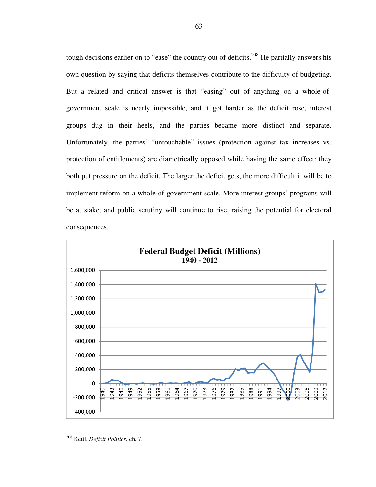tough decisions earlier on to "ease" the country out of deficits.<sup>208</sup> He partially answers his own question by saying that deficits themselves contribute to the difficulty of budgeting. But a related and critical answer is that "easing" out of anything on a whole-ofgovernment scale is nearly impossible, and it got harder as the deficit rose, interest groups dug in their heels, and the parties became more distinct and separate. Unfortunately, the parties' "untouchable" issues (protection against tax increases vs. protection of entitlements) are diametrically opposed while having the same effect: they both put pressure on the deficit. The larger the deficit gets, the more difficult it will be to implement reform on a whole-of-government scale. More interest groups' programs will be at stake, and public scrutiny will continue to rise, raising the potential for electoral consequences.



<sup>208</sup> Kettl, *Deficit Politics*, ch. 7.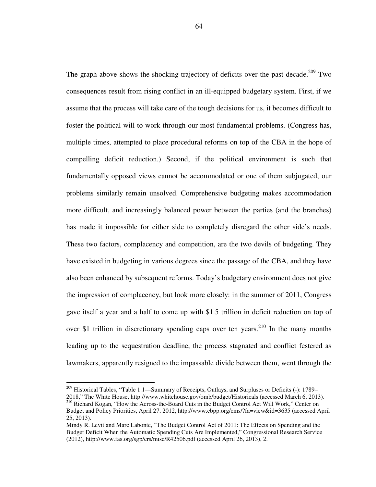The graph above shows the shocking trajectory of deficits over the past decade.<sup>209</sup> Two consequences result from rising conflict in an ill-equipped budgetary system. First, if we assume that the process will take care of the tough decisions for us, it becomes difficult to foster the political will to work through our most fundamental problems. (Congress has, multiple times, attempted to place procedural reforms on top of the CBA in the hope of compelling deficit reduction.) Second, if the political environment is such that fundamentally opposed views cannot be accommodated or one of them subjugated, our problems similarly remain unsolved. Comprehensive budgeting makes accommodation more difficult, and increasingly balanced power between the parties (and the branches) has made it impossible for either side to completely disregard the other side's needs. These two factors, complacency and competition, are the two devils of budgeting. They have existed in budgeting in various degrees since the passage of the CBA, and they have also been enhanced by subsequent reforms. Today's budgetary environment does not give the impression of complacency, but look more closely: in the summer of 2011, Congress gave itself a year and a half to come up with \$1.5 trillion in deficit reduction on top of over \$1 trillion in discretionary spending caps over ten years.<sup>210</sup> In the many months leading up to the sequestration deadline, the process stagnated and conflict festered as lawmakers, apparently resigned to the impassable divide between them, went through the

<sup>&</sup>lt;sup>209</sup> Historical Tables, "Table 1.1—Summary of Receipts, Outlays, and Surpluses or Deficits (-): 1789– 2018," The White House, http://www.whitehouse.gov/omb/budget/Historicals (accessed March 6, 2013).

<sup>&</sup>lt;sup>210</sup> Richard Kogan, "How the Across-the-Board Cuts in the Budget Control Act Will Work," Center on Budget and Policy Priorities, April 27, 2012, http://www.cbpp.org/cms/?fa=view&id=3635 (accessed April 25, 2013).

Mindy R. Levit and Marc Labonte, "The Budget Control Act of 2011: The Effects on Spending and the Budget Deficit When the Automatic Spending Cuts Are Implemented," Congressional Research Service (2012), http://www.fas.org/sgp/crs/misc/R42506.pdf (accessed April 26, 2013), 2.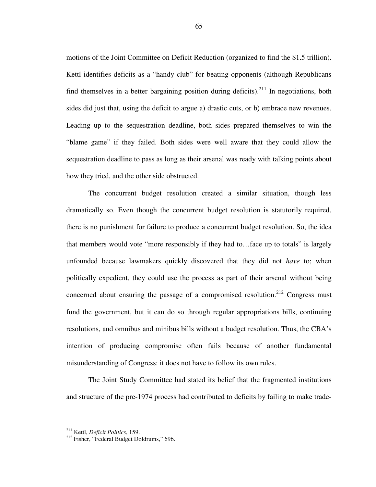motions of the Joint Committee on Deficit Reduction (organized to find the \$1.5 trillion). Kettl identifies deficits as a "handy club" for beating opponents (although Republicans find themselves in a better bargaining position during deficits).<sup>211</sup> In negotiations, both sides did just that, using the deficit to argue a) drastic cuts, or b) embrace new revenues. Leading up to the sequestration deadline, both sides prepared themselves to win the "blame game" if they failed. Both sides were well aware that they could allow the sequestration deadline to pass as long as their arsenal was ready with talking points about how they tried, and the other side obstructed.

The concurrent budget resolution created a similar situation, though less dramatically so. Even though the concurrent budget resolution is statutorily required, there is no punishment for failure to produce a concurrent budget resolution. So, the idea that members would vote "more responsibly if they had to…face up to totals" is largely unfounded because lawmakers quickly discovered that they did not *have* to; when politically expedient, they could use the process as part of their arsenal without being concerned about ensuring the passage of a compromised resolution.<sup>212</sup> Congress must fund the government, but it can do so through regular appropriations bills, continuing resolutions, and omnibus and minibus bills without a budget resolution. Thus, the CBA's intention of producing compromise often fails because of another fundamental misunderstanding of Congress: it does not have to follow its own rules.

The Joint Study Committee had stated its belief that the fragmented institutions and structure of the pre-1974 process had contributed to deficits by failing to make trade-

<sup>211</sup> Kettl, *Deficit Politics*, 159.

<sup>&</sup>lt;sup>212</sup> Fisher, "Federal Budget Doldrums," 696.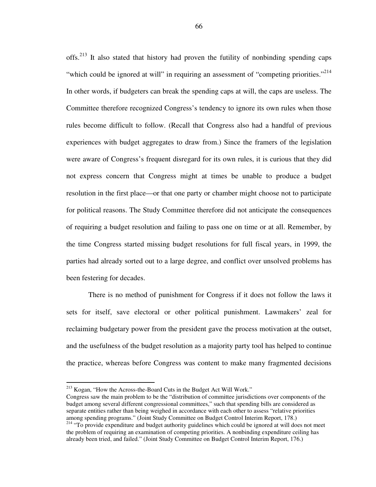offs.<sup>213</sup> It also stated that history had proven the futility of nonbinding spending caps "which could be ignored at will" in requiring an assessment of "competing priorities."<sup>214</sup> In other words, if budgeters can break the spending caps at will, the caps are useless. The Committee therefore recognized Congress's tendency to ignore its own rules when those rules become difficult to follow. (Recall that Congress also had a handful of previous experiences with budget aggregates to draw from.) Since the framers of the legislation were aware of Congress's frequent disregard for its own rules, it is curious that they did not express concern that Congress might at times be unable to produce a budget resolution in the first place—or that one party or chamber might choose not to participate for political reasons. The Study Committee therefore did not anticipate the consequences of requiring a budget resolution and failing to pass one on time or at all. Remember, by the time Congress started missing budget resolutions for full fiscal years, in 1999, the parties had already sorted out to a large degree, and conflict over unsolved problems has been festering for decades.

There is no method of punishment for Congress if it does not follow the laws it sets for itself, save electoral or other political punishment. Lawmakers' zeal for reclaiming budgetary power from the president gave the process motivation at the outset, and the usefulness of the budget resolution as a majority party tool has helped to continue the practice, whereas before Congress was content to make many fragmented decisions

<sup>213</sup> Kogan, "How the Across-the-Board Cuts in the Budget Act Will Work."

Congress saw the main problem to be the "distribution of committee jurisdictions over components of the budget among several different congressional committees," such that spending bills are considered as separate entities rather than being weighed in accordance with each other to assess "relative priorities among spending programs." (Joint Study Committee on Budget Control Interim Report, 178.)

<sup>&</sup>lt;sup>214</sup> "To provide expenditure and budget authority guidelines which could be ignored at will does not meet the problem of requiring an examination of competing priorities. A nonbinding expenditure ceiling has already been tried, and failed." (Joint Study Committee on Budget Control Interim Report, 176.)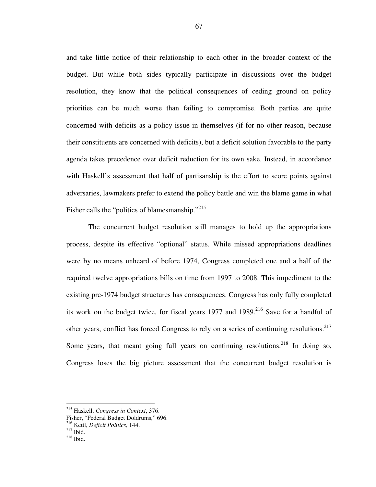and take little notice of their relationship to each other in the broader context of the budget. But while both sides typically participate in discussions over the budget resolution, they know that the political consequences of ceding ground on policy priorities can be much worse than failing to compromise. Both parties are quite concerned with deficits as a policy issue in themselves (if for no other reason, because their constituents are concerned with deficits), but a deficit solution favorable to the party agenda takes precedence over deficit reduction for its own sake. Instead, in accordance with Haskell's assessment that half of partisanship is the effort to score points against adversaries, lawmakers prefer to extend the policy battle and win the blame game in what Fisher calls the "politics of blamesmanship."<sup>215</sup>

The concurrent budget resolution still manages to hold up the appropriations process, despite its effective "optional" status. While missed appropriations deadlines were by no means unheard of before 1974, Congress completed one and a half of the required twelve appropriations bills on time from 1997 to 2008. This impediment to the existing pre-1974 budget structures has consequences. Congress has only fully completed its work on the budget twice, for fiscal years  $1977$  and  $1989$ <sup>216</sup> Save for a handful of other years, conflict has forced Congress to rely on a series of continuing resolutions.<sup>217</sup> Some years, that meant going full years on continuing resolutions.<sup>218</sup> In doing so, Congress loses the big picture assessment that the concurrent budget resolution is

<sup>215</sup> Haskell, *Congress in Context*, 376.

Fisher, "Federal Budget Doldrums," 696.

<sup>216</sup> Kettl, *Deficit Politics*, 144.

 $^{217}$  Ibid.

<sup>218</sup> Ibid.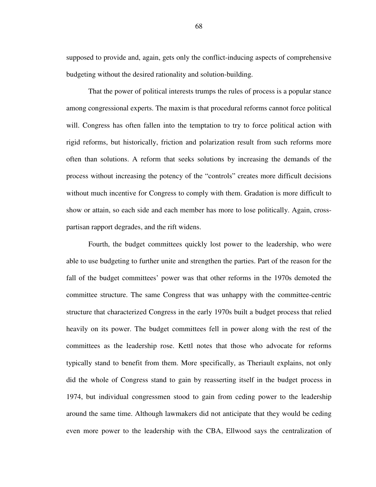supposed to provide and, again, gets only the conflict-inducing aspects of comprehensive budgeting without the desired rationality and solution-building.

That the power of political interests trumps the rules of process is a popular stance among congressional experts. The maxim is that procedural reforms cannot force political will. Congress has often fallen into the temptation to try to force political action with rigid reforms, but historically, friction and polarization result from such reforms more often than solutions. A reform that seeks solutions by increasing the demands of the process without increasing the potency of the "controls" creates more difficult decisions without much incentive for Congress to comply with them. Gradation is more difficult to show or attain, so each side and each member has more to lose politically. Again, crosspartisan rapport degrades, and the rift widens.

Fourth, the budget committees quickly lost power to the leadership, who were able to use budgeting to further unite and strengthen the parties. Part of the reason for the fall of the budget committees' power was that other reforms in the 1970s demoted the committee structure. The same Congress that was unhappy with the committee-centric structure that characterized Congress in the early 1970s built a budget process that relied heavily on its power. The budget committees fell in power along with the rest of the committees as the leadership rose. Kettl notes that those who advocate for reforms typically stand to benefit from them. More specifically, as Theriault explains, not only did the whole of Congress stand to gain by reasserting itself in the budget process in 1974, but individual congressmen stood to gain from ceding power to the leadership around the same time. Although lawmakers did not anticipate that they would be ceding even more power to the leadership with the CBA, Ellwood says the centralization of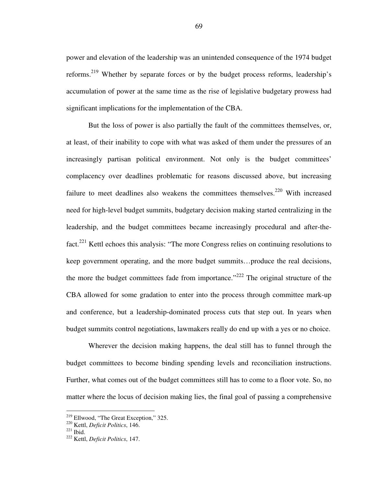power and elevation of the leadership was an unintended consequence of the 1974 budget reforms.<sup>219</sup> Whether by separate forces or by the budget process reforms, leadership's accumulation of power at the same time as the rise of legislative budgetary prowess had significant implications for the implementation of the CBA.

But the loss of power is also partially the fault of the committees themselves, or, at least, of their inability to cope with what was asked of them under the pressures of an increasingly partisan political environment. Not only is the budget committees' complacency over deadlines problematic for reasons discussed above, but increasing failure to meet deadlines also weakens the committees themselves.<sup>220</sup> With increased need for high-level budget summits, budgetary decision making started centralizing in the leadership, and the budget committees became increasingly procedural and after-thefact.<sup>221</sup> Kettl echoes this analysis: "The more Congress relies on continuing resolutions to keep government operating, and the more budget summits…produce the real decisions, the more the budget committees fade from importance.<sup> $222$ </sup> The original structure of the CBA allowed for some gradation to enter into the process through committee mark-up and conference, but a leadership-dominated process cuts that step out. In years when budget summits control negotiations, lawmakers really do end up with a yes or no choice.

Wherever the decision making happens, the deal still has to funnel through the budget committees to become binding spending levels and reconciliation instructions. Further, what comes out of the budget committees still has to come to a floor vote. So, no matter where the locus of decision making lies, the final goal of passing a comprehensive

 $219$  Ellwood, "The Great Exception," 325.

<sup>220</sup> Kettl, *Deficit Politics*, 146.

 $^{221}$  Ibid.

<sup>222</sup> Kettl, *Deficit Politics*, 147.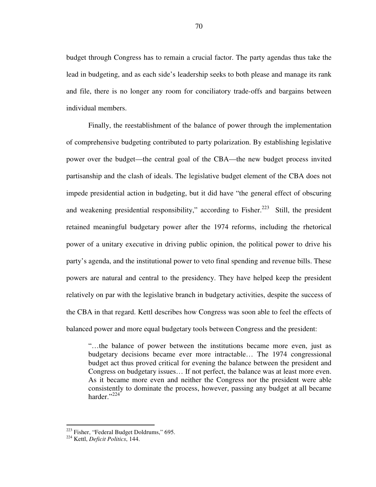budget through Congress has to remain a crucial factor. The party agendas thus take the lead in budgeting, and as each side's leadership seeks to both please and manage its rank and file, there is no longer any room for conciliatory trade-offs and bargains between individual members.

Finally, the reestablishment of the balance of power through the implementation of comprehensive budgeting contributed to party polarization. By establishing legislative power over the budget—the central goal of the CBA—the new budget process invited partisanship and the clash of ideals. The legislative budget element of the CBA does not impede presidential action in budgeting, but it did have "the general effect of obscuring and weakening presidential responsibility," according to Fisher.<sup>223</sup> Still, the president retained meaningful budgetary power after the 1974 reforms, including the rhetorical power of a unitary executive in driving public opinion, the political power to drive his party's agenda, and the institutional power to veto final spending and revenue bills. These powers are natural and central to the presidency. They have helped keep the president relatively on par with the legislative branch in budgetary activities, despite the success of the CBA in that regard. Kettl describes how Congress was soon able to feel the effects of balanced power and more equal budgetary tools between Congress and the president:

"…the balance of power between the institutions became more even, just as budgetary decisions became ever more intractable… The 1974 congressional budget act thus proved critical for evening the balance between the president and Congress on budgetary issues… If not perfect, the balance was at least more even. As it became more even and neither the Congress nor the president were able consistently to dominate the process, however, passing any budget at all became harder."<sup>224</sup>

 $223$  Fisher, "Federal Budget Doldrums," 695.

<sup>224</sup> Kettl, *Deficit Politics*, 144.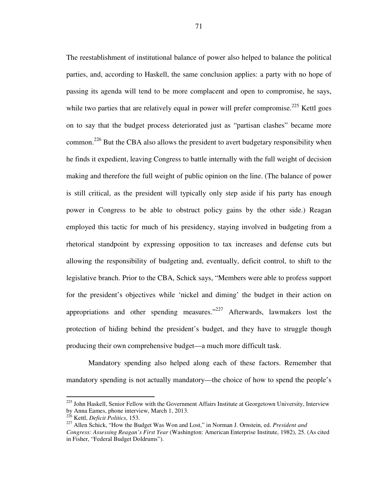The reestablishment of institutional balance of power also helped to balance the political parties, and, according to Haskell, the same conclusion applies: a party with no hope of passing its agenda will tend to be more complacent and open to compromise, he says, while two parties that are relatively equal in power will prefer compromise.<sup>225</sup> Kettl goes on to say that the budget process deteriorated just as "partisan clashes" became more common.<sup>226</sup> But the CBA also allows the president to avert budgetary responsibility when he finds it expedient, leaving Congress to battle internally with the full weight of decision making and therefore the full weight of public opinion on the line. (The balance of power is still critical, as the president will typically only step aside if his party has enough power in Congress to be able to obstruct policy gains by the other side.) Reagan employed this tactic for much of his presidency, staying involved in budgeting from a rhetorical standpoint by expressing opposition to tax increases and defense cuts but allowing the responsibility of budgeting and, eventually, deficit control, to shift to the legislative branch. Prior to the CBA, Schick says, "Members were able to profess support for the president's objectives while 'nickel and diming' the budget in their action on appropriations and other spending measures."<sup>227</sup> Afterwards, lawmakers lost the protection of hiding behind the president's budget, and they have to struggle though producing their own comprehensive budget—a much more difficult task.

Mandatory spending also helped along each of these factors. Remember that mandatory spending is not actually mandatory—the choice of how to spend the people's

<sup>&</sup>lt;sup>225</sup> John Haskell, Senior Fellow with the Government Affairs Institute at Georgetown University, Interview by Anna Eames, phone interview, March 1, 2013.

<sup>226</sup> Kettl, *Deficit Politics*, 153.

<sup>227</sup> Allen Schick, "How the Budget Was Won and Lost," in Norman J. Ornstein, ed. *President and Congress: Assessing Reagan's First Year* (Washington: American Enterprise Institute, 1982), 25. (As cited in Fisher, "Federal Budget Doldrums").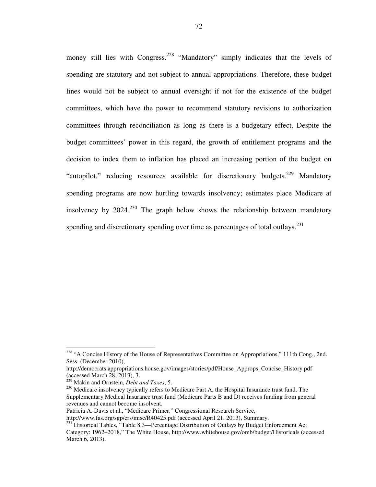money still lies with Congress.<sup>228</sup> "Mandatory" simply indicates that the levels of spending are statutory and not subject to annual appropriations. Therefore, these budget lines would not be subject to annual oversight if not for the existence of the budget committees, which have the power to recommend statutory revisions to authorization committees through reconciliation as long as there is a budgetary effect. Despite the budget committees' power in this regard, the growth of entitlement programs and the decision to index them to inflation has placed an increasing portion of the budget on "autopilot," reducing resources available for discretionary budgets.<sup>229</sup> Mandatory spending programs are now hurtling towards insolvency; estimates place Medicare at insolvency by 2024.<sup>230</sup> The graph below shows the relationship between mandatory spending and discretionary spending over time as percentages of total outlays.<sup>231</sup>

<sup>&</sup>lt;sup>228</sup> "A Concise History of the House of Representatives Committee on Appropriations," 111th Cong., 2nd. Sess. (December 2010),

http://democrats.appropriations.house.gov/images/stories/pdf/House\_Approps\_Concise\_History.pdf (accessed March 28, 2013), 3.

<sup>229</sup> Makin and Ornstein, *Debt and Taxes*, 5.

<sup>&</sup>lt;sup>230</sup> Medicare insolvency typically refers to Medicare Part A, the Hospital Insurance trust fund. The Supplementary Medical Insurance trust fund (Medicare Parts B and D) receives funding from general revenues and cannot become insolvent.

Patricia A. Davis et al., "Medicare Primer," Congressional Research Service,

http://www.fas.org/sgp/crs/misc/R40425.pdf (accessed April 21, 2013), Summary.

<sup>&</sup>lt;sup>231</sup> Historical Tables, "Table 8.3—Percentage Distribution of Outlays by Budget Enforcement Act Category: 1962–2018," The White House, http://www.whitehouse.gov/omb/budget/Historicals (accessed March 6, 2013).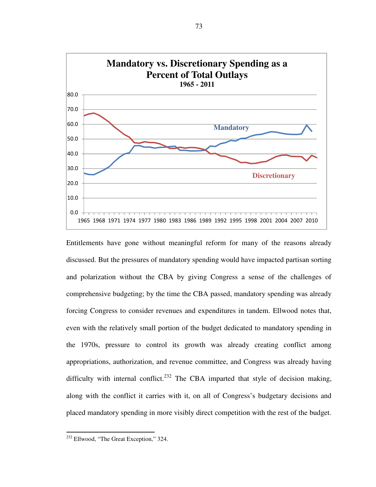

Entitlements have gone without meaningful reform for many of the reasons already discussed. But the pressures of mandatory spending would have impacted partisan sorting and polarization without the CBA by giving Congress a sense of the challenges of comprehensive budgeting; by the time the CBA passed, mandatory spending was already forcing Congress to consider revenues and expenditures in tandem. Ellwood notes that, even with the relatively small portion of the budget dedicated to mandatory spending in the 1970s, pressure to control its growth was already creating conflict among appropriations, authorization, and revenue committee, and Congress was already having difficulty with internal conflict.<sup>232</sup> The CBA imparted that style of decision making, along with the conflict it carries with it, on all of Congress's budgetary decisions and placed mandatory spending in more visibly direct competition with the rest of the budget.

<sup>&</sup>lt;sup>232</sup> Ellwood, "The Great Exception," 324.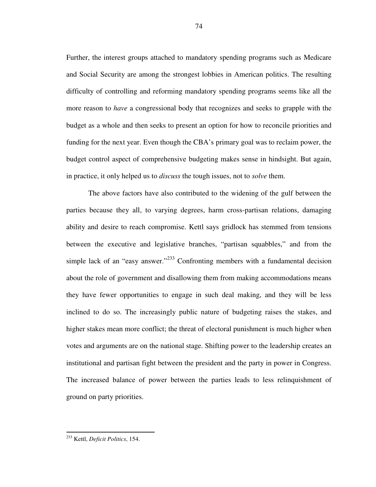Further, the interest groups attached to mandatory spending programs such as Medicare and Social Security are among the strongest lobbies in American politics. The resulting difficulty of controlling and reforming mandatory spending programs seems like all the more reason to *have* a congressional body that recognizes and seeks to grapple with the budget as a whole and then seeks to present an option for how to reconcile priorities and funding for the next year. Even though the CBA's primary goal was to reclaim power, the budget control aspect of comprehensive budgeting makes sense in hindsight. But again, in practice, it only helped us to *discuss* the tough issues, not to *solve* them.

The above factors have also contributed to the widening of the gulf between the parties because they all, to varying degrees, harm cross-partisan relations, damaging ability and desire to reach compromise. Kettl says gridlock has stemmed from tensions between the executive and legislative branches, "partisan squabbles," and from the simple lack of an "easy answer."<sup>233</sup> Confronting members with a fundamental decision about the role of government and disallowing them from making accommodations means they have fewer opportunities to engage in such deal making, and they will be less inclined to do so. The increasingly public nature of budgeting raises the stakes, and higher stakes mean more conflict; the threat of electoral punishment is much higher when votes and arguments are on the national stage. Shifting power to the leadership creates an institutional and partisan fight between the president and the party in power in Congress. The increased balance of power between the parties leads to less relinquishment of ground on party priorities.

<sup>233</sup> Kettl, *Deficit Politics*, 154.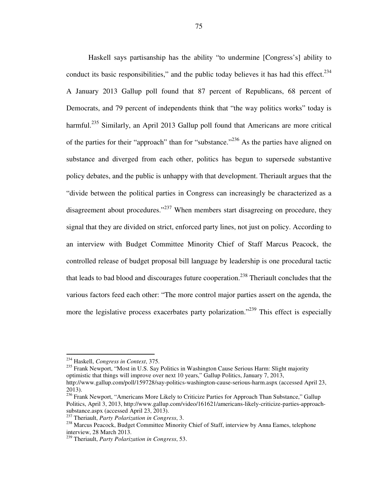Haskell says partisanship has the ability "to undermine [Congress's] ability to conduct its basic responsibilities," and the public today believes it has had this effect. $234$ A January 2013 Gallup poll found that 87 percent of Republicans, 68 percent of Democrats, and 79 percent of independents think that "the way politics works" today is harmful.<sup>235</sup> Similarly, an April 2013 Gallup poll found that Americans are more critical of the parties for their "approach" than for "substance."<sup>236</sup> As the parties have aligned on substance and diverged from each other, politics has begun to supersede substantive policy debates, and the public is unhappy with that development. Theriault argues that the "divide between the political parties in Congress can increasingly be characterized as a disagreement about procedures."<sup>237</sup> When members start disagreeing on procedure, they signal that they are divided on strict, enforced party lines, not just on policy. According to an interview with Budget Committee Minority Chief of Staff Marcus Peacock, the controlled release of budget proposal bill language by leadership is one procedural tactic that leads to bad blood and discourages future cooperation.<sup>238</sup> Theriault concludes that the various factors feed each other: "The more control major parties assert on the agenda, the more the legislative process exacerbates party polarization."<sup>239</sup> This effect is especially

l

 $^{235}$  Frank Newport, "Most in U.S. Say Politics in Washington Cause Serious Harm: Slight majority optimistic that things will improve over next 10 years," Gallup Politics, January 7, 2013, http://www.gallup.com/poll/159728/say-politics-washington-cause-serious-harm.aspx (accessed April 23, 2013).

<sup>234</sup> Haskell, *Congress in Context*, 375.

<sup>&</sup>lt;sup>236</sup> Frank Newport, "Americans More Likely to Criticize Parties for Approach Than Substance," Gallup Politics, April 3, 2013, http://www.gallup.com/video/161621/americans-likely-criticize-parties-approachsubstance.aspx (accessed April 23, 2013).

<sup>237</sup> Theriault, *Party Polarization in Congress*, 3.

<sup>&</sup>lt;sup>238</sup> Marcus Peacock, Budget Committee Minority Chief of Staff, interview by Anna Eames, telephone interview, 28 March 2013.

<sup>239</sup> Theriault, *Party Polarization in Congress*, 53.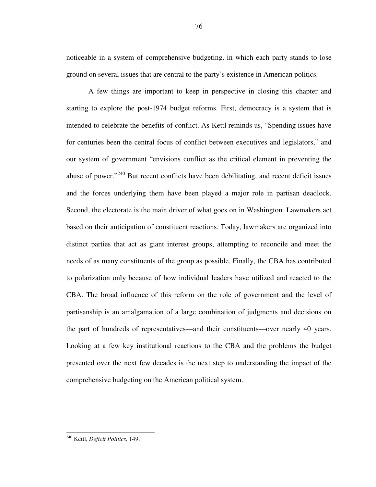noticeable in a system of comprehensive budgeting, in which each party stands to lose ground on several issues that are central to the party's existence in American politics.

A few things are important to keep in perspective in closing this chapter and starting to explore the post-1974 budget reforms. First, democracy is a system that is intended to celebrate the benefits of conflict. As Kettl reminds us, "Spending issues have for centuries been the central focus of conflict between executives and legislators," and our system of government "envisions conflict as the critical element in preventing the abuse of power."<sup>240</sup> But recent conflicts have been debilitating, and recent deficit issues and the forces underlying them have been played a major role in partisan deadlock. Second, the electorate is the main driver of what goes on in Washington. Lawmakers act based on their anticipation of constituent reactions. Today, lawmakers are organized into distinct parties that act as giant interest groups, attempting to reconcile and meet the needs of as many constituents of the group as possible. Finally, the CBA has contributed to polarization only because of how individual leaders have utilized and reacted to the CBA. The broad influence of this reform on the role of government and the level of partisanship is an amalgamation of a large combination of judgments and decisions on the part of hundreds of representatives—and their constituents—over nearly 40 years. Looking at a few key institutional reactions to the CBA and the problems the budget presented over the next few decades is the next step to understanding the impact of the comprehensive budgeting on the American political system.

<sup>240</sup> Kettl, *Deficit Politics*, 149.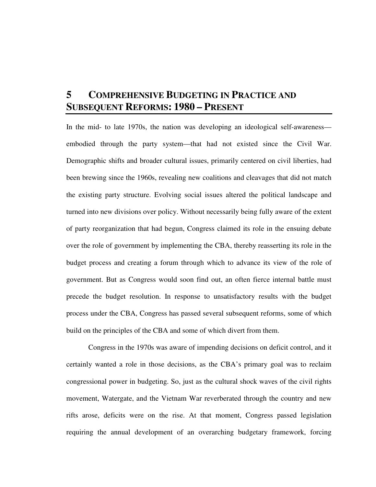# **5 COMPREHENSIVE BUDGETING IN PRACTICE AND SUBSEQUENT REFORMS: 1980 – PRESENT**

In the mid- to late 1970s, the nation was developing an ideological self-awareness embodied through the party system—that had not existed since the Civil War. Demographic shifts and broader cultural issues, primarily centered on civil liberties, had been brewing since the 1960s, revealing new coalitions and cleavages that did not match the existing party structure. Evolving social issues altered the political landscape and turned into new divisions over policy. Without necessarily being fully aware of the extent of party reorganization that had begun, Congress claimed its role in the ensuing debate over the role of government by implementing the CBA, thereby reasserting its role in the budget process and creating a forum through which to advance its view of the role of government. But as Congress would soon find out, an often fierce internal battle must precede the budget resolution. In response to unsatisfactory results with the budget process under the CBA, Congress has passed several subsequent reforms, some of which build on the principles of the CBA and some of which divert from them.

Congress in the 1970s was aware of impending decisions on deficit control, and it certainly wanted a role in those decisions, as the CBA's primary goal was to reclaim congressional power in budgeting. So, just as the cultural shock waves of the civil rights movement, Watergate, and the Vietnam War reverberated through the country and new rifts arose, deficits were on the rise. At that moment, Congress passed legislation requiring the annual development of an overarching budgetary framework, forcing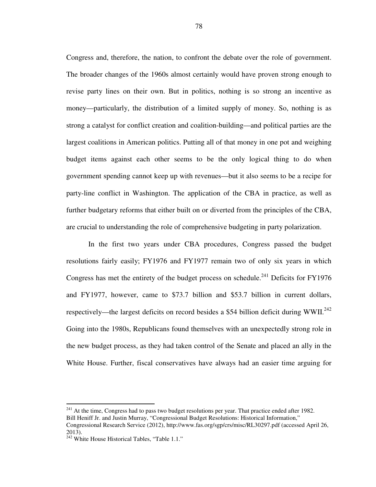Congress and, therefore, the nation, to confront the debate over the role of government. The broader changes of the 1960s almost certainly would have proven strong enough to revise party lines on their own. But in politics, nothing is so strong an incentive as money—particularly, the distribution of a limited supply of money. So, nothing is as strong a catalyst for conflict creation and coalition-building—and political parties are the largest coalitions in American politics. Putting all of that money in one pot and weighing budget items against each other seems to be the only logical thing to do when government spending cannot keep up with revenues—but it also seems to be a recipe for party-line conflict in Washington. The application of the CBA in practice, as well as further budgetary reforms that either built on or diverted from the principles of the CBA, are crucial to understanding the role of comprehensive budgeting in party polarization.

In the first two years under CBA procedures, Congress passed the budget resolutions fairly easily; FY1976 and FY1977 remain two of only six years in which Congress has met the entirety of the budget process on schedule.<sup>241</sup> Deficits for FY1976 and FY1977, however, came to \$73.7 billion and \$53.7 billion in current dollars, respectively—the largest deficits on record besides a \$54 billion deficit during WWII.<sup>242</sup> Going into the 1980s, Republicans found themselves with an unexpectedly strong role in the new budget process, as they had taken control of the Senate and placed an ally in the White House. Further, fiscal conservatives have always had an easier time arguing for

 $241$  At the time, Congress had to pass two budget resolutions per year. That practice ended after 1982. Bill Heniff Jr. and Justin Murray, "Congressional Budget Resolutions: Historical Information," Congressional Research Service (2012), http://www.fas.org/sgp/crs/misc/RL30297.pdf (accessed April 26, 2013).

 $242$  White House Historical Tables, "Table 1.1."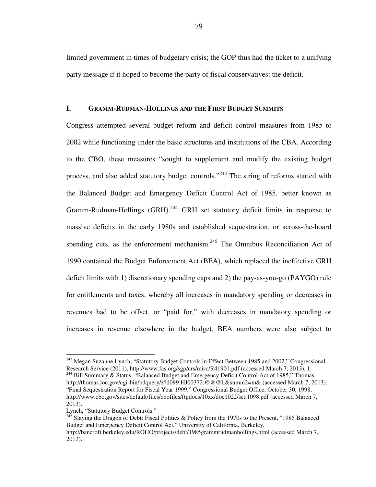limited government in times of budgetary crisis; the GOP thus had the ticket to a unifying party message if it hoped to become the party of fiscal conservatives: the deficit.

#### **I. GRAMM-RUDMAN-HOLLINGS AND THE FIRST BUDGET SUMMITS**

Congress attempted several budget reform and deficit control measures from 1985 to 2002 while functioning under the basic structures and institutions of the CBA. According to the CBO, these measures "sought to supplement and modify the existing budget process, and also added statutory budget controls."<sup>243</sup> The string of reforms started with the Balanced Budget and Emergency Deficit Control Act of 1985, better known as Gramm-Rudman-Hollings  $(GRH)$ <sup>244</sup> GRH set statutory deficit limits in response to massive deficits in the early 1980s and established sequestration, or across-the-board spending cuts, as the enforcement mechanism. $245$  The Omnibus Reconciliation Act of 1990 contained the Budget Enforcement Act (BEA), which replaced the ineffective GRH deficit limits with 1) discretionary spending caps and 2) the pay-as-you-go (PAYGO) rule for entitlements and taxes, whereby all increases in mandatory spending or decreases in revenues had to be offset, or "paid for," with decreases in mandatory spending or increases in revenue elsewhere in the budget. BEA numbers were also subject to

<sup>&</sup>lt;sup>243</sup> Megan Suzanne Lynch, "Statutory Budget Controls in Effect Between 1985 and 2002," Congressional Research Service (2011), http://www.fas.org/sgp/crs/misc/R41901.pdf (accessed March 7, 2013), 1.

<sup>&</sup>lt;sup>244</sup> Bill Summary & Status, "Balanced Budget and Emergency Deficit Control Act of 1985," Thomas, http://thomas.loc.gov/cgi-bin/bdquery/z?d099:HJ00372:@@@L&summ2=m& (accessed March 7, 2013). "Final Sequestration Report for Fiscal Year 1999," Congressional Budget Office, October 30, 1998, http://www.cbo.gov/sites/default/files/cbofiles/ftpdocs/10xx/doc1022/seq1098.pdf (accessed March 7, 2013).

Lynch, "Statutory Budget Controls."

<sup>&</sup>lt;sup>245</sup> Slaying the Dragon of Debt: Fiscal Politics & Policy from the 1970s to the Present, "1985 Balanced Budget and Emergency Deficit Control Act," University of California, Berkeley,

http://bancroft.berkeley.edu/ROHO/projects/debt/1985grammrudmanhollings.html (accessed March 7, 2013).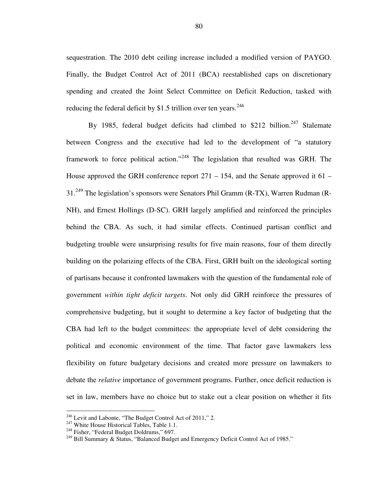sequestration. The 2010 debt ceiling increase included a modified version of PAYGO. Finally, the Budget Control Act of 2011 (BCA) reestablished caps on discretionary spending and created the Joint Select Committee on Deficit Reduction, tasked with reducing the federal deficit by \$1.5 trillion over ten years.<sup>246</sup>

By 1985, federal budget deficits had climbed to  $$212$  billion.<sup>247</sup> Stalemate between Congress and the executive had led to the development of "a statutory framework to force political action."<sup>248</sup> The legislation that resulted was GRH. The House approved the GRH conference report 271 – 154, and the Senate approved it 61 –  $31.<sup>249</sup>$  The legislation's sponsors were Senators Phil Gramm (R-TX), Warren Rudman (R-NH), and Ernest Hollings (D-SC). GRH largely amplified and reinforced the principles behind the CBA. As such, it had similar effects. Continued partisan conflict and budgeting trouble were unsurprising results for five main reasons, four of them directly building on the polarizing effects of the CBA. First, GRH built on the ideological sorting of partisans because it confronted lawmakers with the question of the fundamental role of government *within tight deficit targets*. Not only did GRH reinforce the pressures of comprehensive budgeting, but it sought to determine a key factor of budgeting that the CBA had left to the budget committees: the appropriate level of debt considering the political and economic environment of the time. That factor gave lawmakers less flexibility on future budgetary decisions and created more pressure on lawmakers to debate the *relative* importance of government programs. Further, once deficit reduction is set in law, members have no choice but to stake out a clear position on whether it fits

<sup>&</sup>lt;sup>246</sup> Levit and Labonte, "The Budget Control Act of 2011," 2.

<sup>&</sup>lt;sup>247</sup> White House Historical Tables, Table 1.1.

<sup>&</sup>lt;sup>248</sup> Fisher, "Federal Budget Doldrums," 697.

<sup>&</sup>lt;sup>249</sup> Bill Summary & Status, "Balanced Budget and Emergency Deficit Control Act of 1985."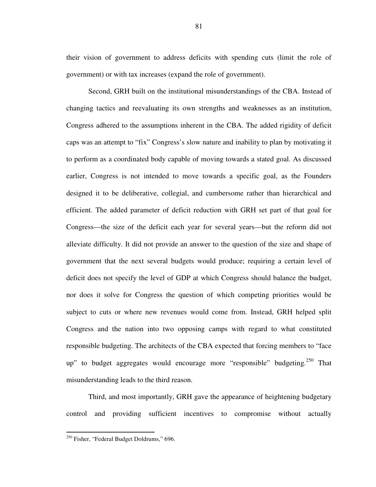their vision of government to address deficits with spending cuts (limit the role of government) or with tax increases (expand the role of government).

Second, GRH built on the institutional misunderstandings of the CBA. Instead of changing tactics and reevaluating its own strengths and weaknesses as an institution, Congress adhered to the assumptions inherent in the CBA. The added rigidity of deficit caps was an attempt to "fix" Congress's slow nature and inability to plan by motivating it to perform as a coordinated body capable of moving towards a stated goal. As discussed earlier, Congress is not intended to move towards a specific goal, as the Founders designed it to be deliberative, collegial, and cumbersome rather than hierarchical and efficient. The added parameter of deficit reduction with GRH set part of that goal for Congress—the size of the deficit each year for several years—but the reform did not alleviate difficulty. It did not provide an answer to the question of the size and shape of government that the next several budgets would produce; requiring a certain level of deficit does not specify the level of GDP at which Congress should balance the budget, nor does it solve for Congress the question of which competing priorities would be subject to cuts or where new revenues would come from. Instead, GRH helped split Congress and the nation into two opposing camps with regard to what constituted responsible budgeting. The architects of the CBA expected that forcing members to "face up" to budget aggregates would encourage more "responsible" budgeting.<sup>250</sup> That misunderstanding leads to the third reason.

Third, and most importantly, GRH gave the appearance of heightening budgetary control and providing sufficient incentives to compromise without actually

<sup>&</sup>lt;sup>250</sup> Fisher, "Federal Budget Doldrums," 696.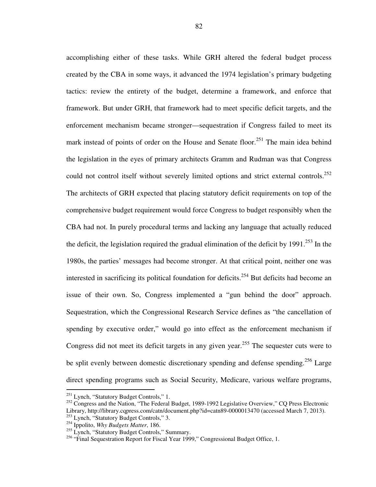accomplishing either of these tasks. While GRH altered the federal budget process created by the CBA in some ways, it advanced the 1974 legislation's primary budgeting tactics: review the entirety of the budget, determine a framework, and enforce that framework. But under GRH, that framework had to meet specific deficit targets, and the enforcement mechanism became stronger—sequestration if Congress failed to meet its mark instead of points of order on the House and Senate floor.<sup>251</sup> The main idea behind the legislation in the eyes of primary architects Gramm and Rudman was that Congress could not control itself without severely limited options and strict external controls.<sup>252</sup> The architects of GRH expected that placing statutory deficit requirements on top of the comprehensive budget requirement would force Congress to budget responsibly when the CBA had not. In purely procedural terms and lacking any language that actually reduced the deficit, the legislation required the gradual elimination of the deficit by  $1991^{253}$  In the 1980s, the parties' messages had become stronger. At that critical point, neither one was interested in sacrificing its political foundation for deficits.<sup>254</sup> But deficits had become an issue of their own. So, Congress implemented a "gun behind the door" approach. Sequestration, which the Congressional Research Service defines as "the cancellation of spending by executive order," would go into effect as the enforcement mechanism if Congress did not meet its deficit targets in any given year.<sup>255</sup> The sequester cuts were to be split evenly between domestic discretionary spending and defense spending.<sup>256</sup> Large direct spending programs such as Social Security, Medicare, various welfare programs,

<sup>&</sup>lt;sup>251</sup> Lynch, "Statutory Budget Controls," 1.

<sup>&</sup>lt;sup>252</sup> Congress and the Nation, "The Federal Budget, 1989-1992 Legislative Overview," CQ Press Electronic Library, http://library.cqpress.com/catn/document.php?id=catn89-0000013470 (accessed March 7, 2013).

<sup>&</sup>lt;sup>253</sup> Lynch, "Statutory Budget Controls," 3.

<sup>254</sup> Ippolito, *Why Budgets Matter*, 186.

<sup>&</sup>lt;sup>255</sup> Lynch, "Statutory Budget Controls," Summary.

<sup>&</sup>lt;sup>256</sup> "Final Sequestration Report for Fiscal Year 1999," Congressional Budget Office, 1.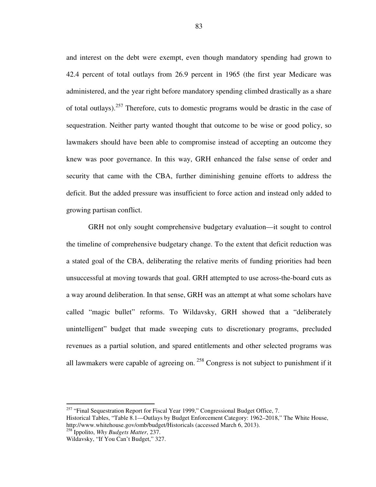and interest on the debt were exempt, even though mandatory spending had grown to 42.4 percent of total outlays from 26.9 percent in 1965 (the first year Medicare was administered, and the year right before mandatory spending climbed drastically as a share of total outlays).<sup>257</sup> Therefore, cuts to domestic programs would be drastic in the case of sequestration. Neither party wanted thought that outcome to be wise or good policy, so lawmakers should have been able to compromise instead of accepting an outcome they knew was poor governance. In this way, GRH enhanced the false sense of order and security that came with the CBA, further diminishing genuine efforts to address the deficit. But the added pressure was insufficient to force action and instead only added to growing partisan conflict.

GRH not only sought comprehensive budgetary evaluation—it sought to control the timeline of comprehensive budgetary change. To the extent that deficit reduction was a stated goal of the CBA, deliberating the relative merits of funding priorities had been unsuccessful at moving towards that goal. GRH attempted to use across-the-board cuts as a way around deliberation. In that sense, GRH was an attempt at what some scholars have called "magic bullet" reforms. To Wildavsky, GRH showed that a "deliberately unintelligent" budget that made sweeping cuts to discretionary programs, precluded revenues as a partial solution, and spared entitlements and other selected programs was all lawmakers were capable of agreeing on.<sup>258</sup> Congress is not subject to punishment if it

 $257$  "Final Sequestration Report for Fiscal Year 1999," Congressional Budget Office, 7.

Historical Tables, "Table 8.1—Outlays by Budget Enforcement Category: 1962–2018," The White House, http://www.whitehouse.gov/omb/budget/Historicals (accessed March 6, 2013).

<sup>258</sup> Ippolito, *Why Budgets Matter*, 237.

Wildavsky, "If You Can't Budget," 327.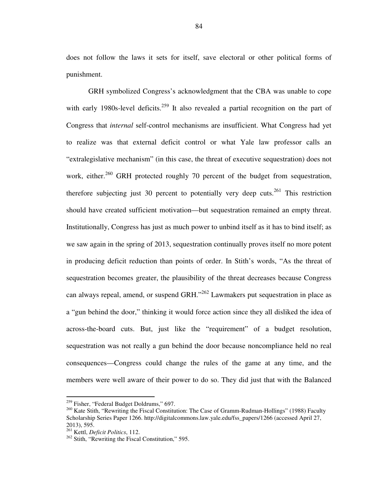does not follow the laws it sets for itself, save electoral or other political forms of punishment.

GRH symbolized Congress's acknowledgment that the CBA was unable to cope with early 1980s-level deficits.<sup>259</sup> It also revealed a partial recognition on the part of Congress that *internal* self-control mechanisms are insufficient. What Congress had yet to realize was that external deficit control or what Yale law professor calls an "extralegislative mechanism" (in this case, the threat of executive sequestration) does not work, either.<sup>260</sup> GRH protected roughly 70 percent of the budget from sequestration, therefore subjecting just 30 percent to potentially very deep cuts.<sup>261</sup> This restriction should have created sufficient motivation—but sequestration remained an empty threat. Institutionally, Congress has just as much power to unbind itself as it has to bind itself; as we saw again in the spring of 2013, sequestration continually proves itself no more potent in producing deficit reduction than points of order. In Stith's words, "As the threat of sequestration becomes greater, the plausibility of the threat decreases because Congress can always repeal, amend, or suspend GRH."<sup>262</sup> Lawmakers put sequestration in place as a "gun behind the door," thinking it would force action since they all disliked the idea of across-the-board cuts. But, just like the "requirement" of a budget resolution, sequestration was not really a gun behind the door because noncompliance held no real consequences—Congress could change the rules of the game at any time, and the members were well aware of their power to do so. They did just that with the Balanced

<sup>&</sup>lt;sup>259</sup> Fisher, "Federal Budget Doldrums," 697.

<sup>&</sup>lt;sup>260</sup> Kate Stith, "Rewriting the Fiscal Constitution: The Case of Gramm-Rudman-Hollings" (1988) Faculty Scholarship Series Paper 1266. http://digitalcommons.law.yale.edu/fss\_papers/1266 (accessed April 27, 2013), 595.

<sup>261</sup> Kettl, *Deficit Politics*, 112.

 $262$  Stith, "Rewriting the Fiscal Constitution," 595.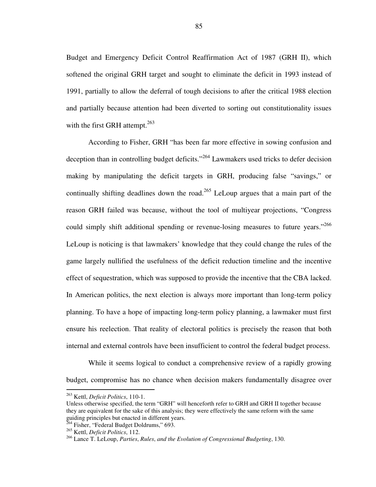Budget and Emergency Deficit Control Reaffirmation Act of 1987 (GRH II), which softened the original GRH target and sought to eliminate the deficit in 1993 instead of 1991, partially to allow the deferral of tough decisions to after the critical 1988 election and partially because attention had been diverted to sorting out constitutionality issues with the first GRH attempt. $263$ 

According to Fisher, GRH "has been far more effective in sowing confusion and deception than in controlling budget deficits."<sup>264</sup> Lawmakers used tricks to defer decision making by manipulating the deficit targets in GRH, producing false "savings," or continually shifting deadlines down the road.<sup>265</sup> LeLoup argues that a main part of the reason GRH failed was because, without the tool of multiyear projections, "Congress could simply shift additional spending or revenue-losing measures to future years."<sup>266</sup> LeLoup is noticing is that lawmakers' knowledge that they could change the rules of the game largely nullified the usefulness of the deficit reduction timeline and the incentive effect of sequestration, which was supposed to provide the incentive that the CBA lacked. In American politics, the next election is always more important than long-term policy planning. To have a hope of impacting long-term policy planning, a lawmaker must first ensure his reelection. That reality of electoral politics is precisely the reason that both internal and external controls have been insufficient to control the federal budget process.

While it seems logical to conduct a comprehensive review of a rapidly growing budget, compromise has no chance when decision makers fundamentally disagree over

<sup>263</sup> Kettl, *Deficit Politics*, 110-1.

Unless otherwise specified, the term "GRH" will henceforth refer to GRH and GRH II together because they are equivalent for the sake of this analysis; they were effectively the same reform with the same guiding principles but enacted in different years.

 $^{264}$  Fisher, "Federal Budget Doldrums," 693.

<sup>265</sup> Kettl, *Deficit Politics*, 112.

<sup>266</sup> Lance T. LeLoup, *Parties*, *Rules*, *and the Evolution of Congressional Budgeting*, 130.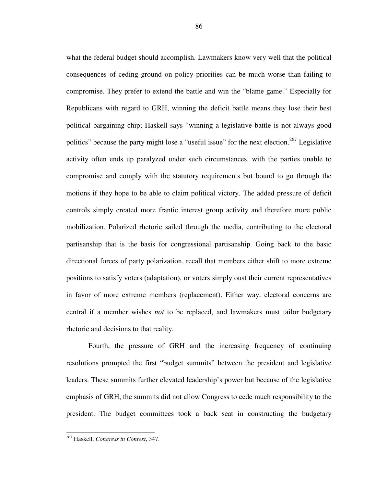what the federal budget should accomplish. Lawmakers know very well that the political consequences of ceding ground on policy priorities can be much worse than failing to compromise. They prefer to extend the battle and win the "blame game." Especially for Republicans with regard to GRH, winning the deficit battle means they lose their best political bargaining chip; Haskell says "winning a legislative battle is not always good politics" because the party might lose a "useful issue" for the next election.<sup>267</sup> Legislative activity often ends up paralyzed under such circumstances, with the parties unable to compromise and comply with the statutory requirements but bound to go through the motions if they hope to be able to claim political victory. The added pressure of deficit controls simply created more frantic interest group activity and therefore more public mobilization. Polarized rhetoric sailed through the media, contributing to the electoral partisanship that is the basis for congressional partisanship. Going back to the basic directional forces of party polarization, recall that members either shift to more extreme positions to satisfy voters (adaptation), or voters simply oust their current representatives in favor of more extreme members (replacement). Either way, electoral concerns are central if a member wishes *not* to be replaced, and lawmakers must tailor budgetary rhetoric and decisions to that reality.

Fourth, the pressure of GRH and the increasing frequency of continuing resolutions prompted the first "budget summits" between the president and legislative leaders. These summits further elevated leadership's power but because of the legislative emphasis of GRH, the summits did not allow Congress to cede much responsibility to the president. The budget committees took a back seat in constructing the budgetary

<sup>267</sup> Haskell, *Congress in Context*, 347.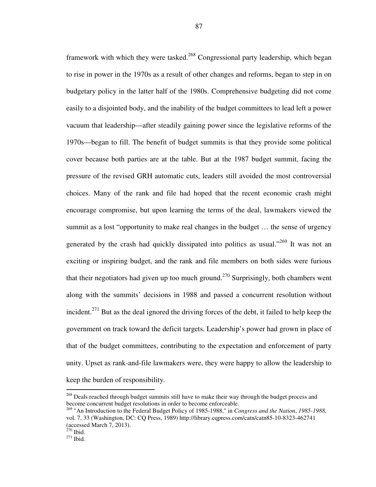framework with which they were tasked.<sup>268</sup> Congressional party leadership, which began to rise in power in the 1970s as a result of other changes and reforms, began to step in on budgetary policy in the latter half of the 1980s. Comprehensive budgeting did not come easily to a disjointed body, and the inability of the budget committees to lead left a power vacuum that leadership—after steadily gaining power since the legislative reforms of the 1970s—began to fill. The benefit of budget summits is that they provide some political cover because both parties are at the table. But at the 1987 budget summit, facing the pressure of the revised GRH automatic cuts, leaders still avoided the most controversial choices. Many of the rank and file had hoped that the recent economic crash might encourage compromise, but upon learning the terms of the deal, lawmakers viewed the summit as a lost "opportunity to make real changes in the budget … the sense of urgency generated by the crash had quickly dissipated into politics as usual."<sup>269</sup> It was not an exciting or inspiring budget, and the rank and file members on both sides were furious that their negotiators had given up too much ground.<sup>270</sup> Surprisingly, both chambers went along with the summits' decisions in 1988 and passed a concurrent resolution without incident.<sup>271</sup> But as the deal ignored the driving forces of the debt, it failed to help keep the government on track toward the deficit targets. Leadership's power had grown in place of that of the budget committees, contributing to the expectation and enforcement of party unity. Upset as rank-and-file lawmakers were, they were happy to allow the leadership to keep the burden of responsibility.

<sup>&</sup>lt;sup>268</sup> Deals reached through budget summits still have to make their way through the budget process and become concurrent budget resolutions in order to become enforceable.

<sup>269</sup> "An Introduction to the Federal Budget Policy of 1985-1988," in *Congress and the Nation*, *1985-1988*, vol. 7, 33 (Washington, DC: CQ Press, 1989) http://library.cqpress.com/catn/catn85-10-8323-462741 (accessed March 7, 2013).

 $270$  Ibid.

 $271$  Ibid.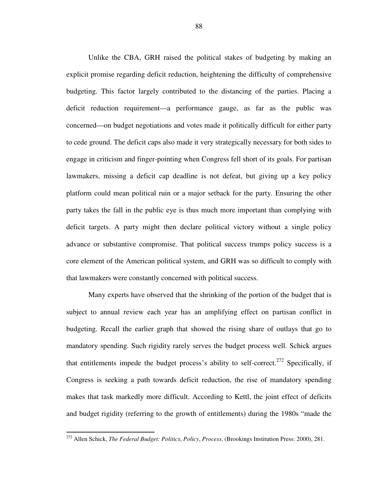Unlike the CBA, GRH raised the political stakes of budgeting by making an explicit promise regarding deficit reduction, heightening the difficulty of comprehensive budgeting. This factor largely contributed to the distancing of the parties. Placing a deficit reduction requirement—a performance gauge, as far as the public was concerned—on budget negotiations and votes made it politically difficult for either party to cede ground. The deficit caps also made it very strategically necessary for both sides to engage in criticism and finger-pointing when Congress fell short of its goals. For partisan lawmakers, missing a deficit cap deadline is not defeat, but giving up a key policy platform could mean political ruin or a major setback for the party. Ensuring the other party takes the fall in the public eye is thus much more important than complying with deficit targets. A party might then declare political victory without a single policy advance or substantive compromise. That political success trumps policy success is a core element of the American political system, and GRH was so difficult to comply with that lawmakers were constantly concerned with political success.

Many experts have observed that the shrinking of the portion of the budget that is subject to annual review each year has an amplifying effect on partisan conflict in budgeting. Recall the earlier graph that showed the rising share of outlays that go to mandatory spending. Such rigidity rarely serves the budget process well. Schick argues that entitlements impede the budget process's ability to self-correct.<sup>272</sup> Specifically, if Congress is seeking a path towards deficit reduction, the rise of mandatory spending makes that task markedly more difficult. According to Kettl, the joint effect of deficits and budget rigidity (referring to the growth of entitlements) during the 1980s "made the

<sup>272</sup> Allen Schick, *The Federal Budget: Politics*, *Policy*, *Process*, (Brookings Institution Press: 2000), 281.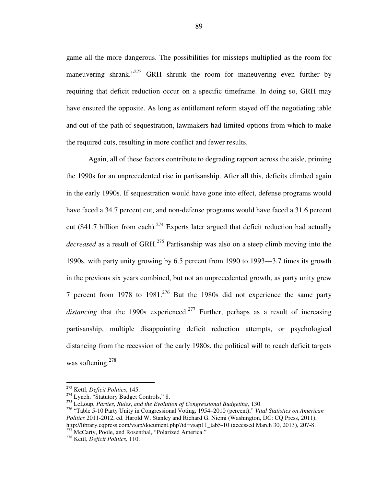game all the more dangerous. The possibilities for missteps multiplied as the room for maneuvering shrank."<sup>273</sup> GRH shrunk the room for maneuvering even further by requiring that deficit reduction occur on a specific timeframe. In doing so, GRH may have ensured the opposite. As long as entitlement reform stayed off the negotiating table and out of the path of sequestration, lawmakers had limited options from which to make the required cuts, resulting in more conflict and fewer results.

Again, all of these factors contribute to degrading rapport across the aisle, priming the 1990s for an unprecedented rise in partisanship. After all this, deficits climbed again in the early 1990s. If sequestration would have gone into effect, defense programs would have faced a 34.7 percent cut, and non-defense programs would have faced a 31.6 percent cut (\$41.7 billion from each).<sup>274</sup> Experts later argued that deficit reduction had actually *decreased* as a result of GRH.<sup>275</sup> Partisanship was also on a steep climb moving into the 1990s, with party unity growing by 6.5 percent from 1990 to 1993—3.7 times its growth in the previous six years combined, but not an unprecedented growth, as party unity grew 7 percent from 1978 to  $1981<sup>276</sup>$  But the 1980s did not experience the same party *distancing* that the 1990s experienced.<sup>277</sup> Further, perhaps as a result of increasing partisanship, multiple disappointing deficit reduction attempts, or psychological distancing from the recession of the early 1980s, the political will to reach deficit targets was softening. $278$ 

<sup>273</sup> Kettl, *Deficit Politics*, 145.

<sup>&</sup>lt;sup>274</sup> Lynch, "Statutory Budget Controls," 8.

<sup>275</sup> LeLoup, *Parties*, *Rules*, *and the Evolution of Congressional Budgeting*, 130.

<sup>276</sup> "Table 5-10 Party Unity in Congressional Voting, 1954–2010 (percent)," *Vital Statistics on American Politics* 2011-2012, ed. Harold W. Stanley and Richard G. Niemi (Washington, DC: CQ Press, 2011), http://library.cqpress.com/vsap/document.php?id=vsap11\_tab5-10 (accessed March 30, 2013), 207-8.  $277$  McCarty, Poole, and Rosenthal, "Polarized America."

<sup>278</sup> Kettl, *Deficit Politics*, 110.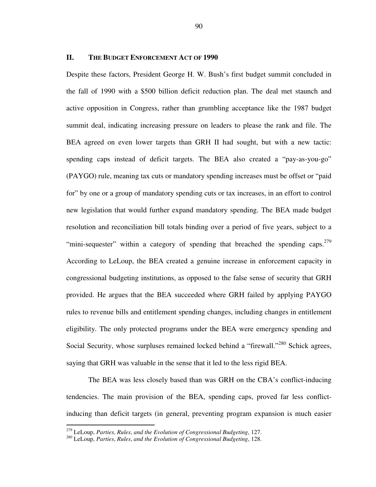### **II. THE BUDGET ENFORCEMENT ACT OF 1990**

Despite these factors, President George H. W. Bush's first budget summit concluded in the fall of 1990 with a \$500 billion deficit reduction plan. The deal met staunch and active opposition in Congress, rather than grumbling acceptance like the 1987 budget summit deal, indicating increasing pressure on leaders to please the rank and file. The BEA agreed on even lower targets than GRH II had sought, but with a new tactic: spending caps instead of deficit targets. The BEA also created a "pay-as-you-go" (PAYGO) rule, meaning tax cuts or mandatory spending increases must be offset or "paid for" by one or a group of mandatory spending cuts or tax increases, in an effort to control new legislation that would further expand mandatory spending. The BEA made budget resolution and reconciliation bill totals binding over a period of five years, subject to a "mini-sequester" within a category of spending that breached the spending caps.<sup>279</sup> According to LeLoup, the BEA created a genuine increase in enforcement capacity in congressional budgeting institutions, as opposed to the false sense of security that GRH provided. He argues that the BEA succeeded where GRH failed by applying PAYGO rules to revenue bills and entitlement spending changes, including changes in entitlement eligibility. The only protected programs under the BEA were emergency spending and Social Security, whose surpluses remained locked behind a "firewall."<sup>280</sup> Schick agrees, saying that GRH was valuable in the sense that it led to the less rigid BEA.

The BEA was less closely based than was GRH on the CBA's conflict-inducing tendencies. The main provision of the BEA, spending caps, proved far less conflictinducing than deficit targets (in general, preventing program expansion is much easier

<sup>279</sup> LeLoup, *Parties*, *Rules*, *and the Evolution of Congressional Budgeting*, 127.

<sup>280</sup> LeLoup, *Parties*, *Rules*, *and the Evolution of Congressional Budgeting*, 128.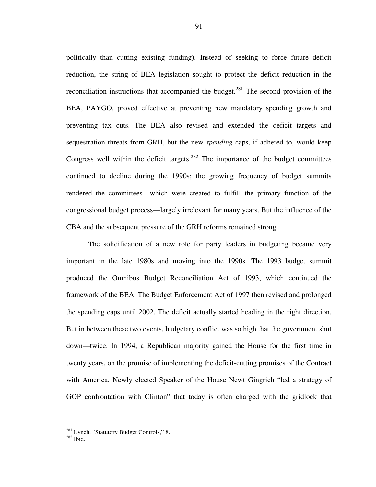politically than cutting existing funding). Instead of seeking to force future deficit reduction, the string of BEA legislation sought to protect the deficit reduction in the reconciliation instructions that accompanied the budget.<sup>281</sup> The second provision of the BEA, PAYGO, proved effective at preventing new mandatory spending growth and preventing tax cuts. The BEA also revised and extended the deficit targets and sequestration threats from GRH, but the new *spending* caps, if adhered to, would keep Congress well within the deficit targets.<sup>282</sup> The importance of the budget committees continued to decline during the 1990s; the growing frequency of budget summits rendered the committees—which were created to fulfill the primary function of the congressional budget process—largely irrelevant for many years. But the influence of the CBA and the subsequent pressure of the GRH reforms remained strong.

The solidification of a new role for party leaders in budgeting became very important in the late 1980s and moving into the 1990s. The 1993 budget summit produced the Omnibus Budget Reconciliation Act of 1993, which continued the framework of the BEA. The Budget Enforcement Act of 1997 then revised and prolonged the spending caps until 2002. The deficit actually started heading in the right direction. But in between these two events, budgetary conflict was so high that the government shut down—twice. In 1994, a Republican majority gained the House for the first time in twenty years, on the promise of implementing the deficit-cutting promises of the Contract with America. Newly elected Speaker of the House Newt Gingrich "led a strategy of GOP confrontation with Clinton" that today is often charged with the gridlock that

<sup>&</sup>lt;sup>281</sup> Lynch, "Statutory Budget Controls," 8.

<sup>282</sup> Ibid.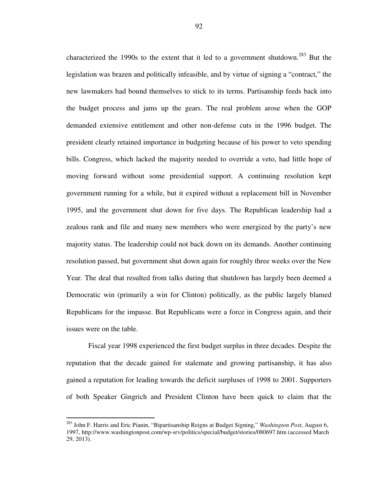characterized the 1990s to the extent that it led to a government shutdown.<sup>283</sup> But the legislation was brazen and politically infeasible, and by virtue of signing a "contract," the new lawmakers had bound themselves to stick to its terms. Partisanship feeds back into the budget process and jams up the gears. The real problem arose when the GOP demanded extensive entitlement and other non-defense cuts in the 1996 budget. The president clearly retained importance in budgeting because of his power to veto spending bills. Congress, which lacked the majority needed to override a veto, had little hope of moving forward without some presidential support. A continuing resolution kept government running for a while, but it expired without a replacement bill in November 1995, and the government shut down for five days. The Republican leadership had a zealous rank and file and many new members who were energized by the party's new majority status. The leadership could not back down on its demands. Another continuing resolution passed, but government shut down again for roughly three weeks over the New Year. The deal that resulted from talks during that shutdown has largely been deemed a Democratic win (primarily a win for Clinton) politically, as the public largely blamed Republicans for the impasse. But Republicans were a force in Congress again, and their issues were on the table.

Fiscal year 1998 experienced the first budget surplus in three decades. Despite the reputation that the decade gained for stalemate and growing partisanship, it has also gained a reputation for leading towards the deficit surpluses of 1998 to 2001. Supporters of both Speaker Gingrich and President Clinton have been quick to claim that the

<sup>283</sup> John F. Harris and Eric Pianin, "Bipartisanship Reigns at Budget Signing," *Washington Post*, August 6, 1997, http://www.washingtonpost.com/wp-srv/politics/special/budget/stories/080697.htm (accessed March 29, 2013).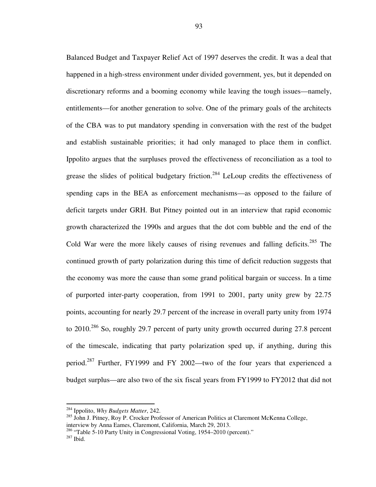Balanced Budget and Taxpayer Relief Act of 1997 deserves the credit. It was a deal that happened in a high-stress environment under divided government, yes, but it depended on discretionary reforms and a booming economy while leaving the tough issues—namely, entitlements—for another generation to solve. One of the primary goals of the architects of the CBA was to put mandatory spending in conversation with the rest of the budget and establish sustainable priorities; it had only managed to place them in conflict. Ippolito argues that the surpluses proved the effectiveness of reconciliation as a tool to grease the slides of political budgetary friction.<sup>284</sup> LeLoup credits the effectiveness of spending caps in the BEA as enforcement mechanisms—as opposed to the failure of deficit targets under GRH. But Pitney pointed out in an interview that rapid economic growth characterized the 1990s and argues that the dot com bubble and the end of the Cold War were the more likely causes of rising revenues and falling deficits.<sup>285</sup> The continued growth of party polarization during this time of deficit reduction suggests that the economy was more the cause than some grand political bargain or success. In a time of purported inter-party cooperation, from 1991 to 2001, party unity grew by 22.75 points, accounting for nearly 29.7 percent of the increase in overall party unity from 1974 to 2010.<sup>286</sup> So, roughly 29.7 percent of party unity growth occurred during 27.8 percent of the timescale, indicating that party polarization sped up, if anything, during this period.<sup>287</sup> Further, FY1999 and FY 2002—two of the four years that experienced a budget surplus—are also two of the six fiscal years from FY1999 to FY2012 that did not

<sup>284</sup> Ippolito, *Why Budgets Matter*, 242.

<sup>&</sup>lt;sup>285</sup> John J. Pitney, Roy P. Crocker Professor of American Politics at Claremont McKenna College, interview by Anna Eames, Claremont, California, March 29, 2013.

<sup>&</sup>lt;sup>286</sup> "Table 5-10 Party Unity in Congressional Voting, 1954–2010 (percent)."

<sup>287</sup> Ibid.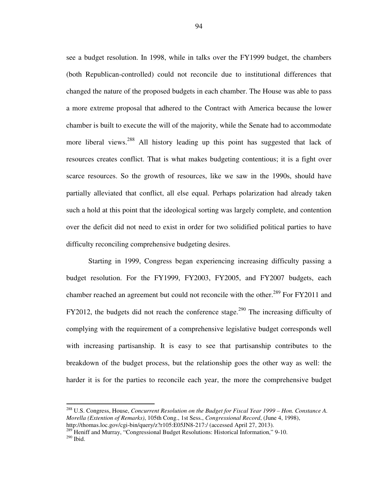see a budget resolution. In 1998, while in talks over the FY1999 budget, the chambers (both Republican-controlled) could not reconcile due to institutional differences that changed the nature of the proposed budgets in each chamber. The House was able to pass a more extreme proposal that adhered to the Contract with America because the lower chamber is built to execute the will of the majority, while the Senate had to accommodate more liberal views.<sup>288</sup> All history leading up this point has suggested that lack of resources creates conflict. That is what makes budgeting contentious; it is a fight over scarce resources. So the growth of resources, like we saw in the 1990s, should have partially alleviated that conflict, all else equal. Perhaps polarization had already taken such a hold at this point that the ideological sorting was largely complete, and contention over the deficit did not need to exist in order for two solidified political parties to have difficulty reconciling comprehensive budgeting desires.

Starting in 1999, Congress began experiencing increasing difficulty passing a budget resolution. For the FY1999, FY2003, FY2005, and FY2007 budgets, each chamber reached an agreement but could not reconcile with the other.<sup>289</sup> For FY2011 and FY2012, the budgets did not reach the conference stage.<sup>290</sup> The increasing difficulty of complying with the requirement of a comprehensive legislative budget corresponds well with increasing partisanship. It is easy to see that partisanship contributes to the breakdown of the budget process, but the relationship goes the other way as well: the harder it is for the parties to reconcile each year, the more the comprehensive budget

<sup>288</sup> U.S. Congress, House, *Concurrent Resolution on the Budget for Fiscal Year 1999 – Hon. Constance A. Morella (Extention of Remarks)*, 105th Cong., 1st Sess., *Congressional Record*, (June 4, 1998), http://thomas.loc.gov/cgi-bin/query/z?r105:E05JN8-217:/ (accessed April 27, 2013).

<sup>&</sup>lt;sup>289</sup> Heniff and Murray, "Congressional Budget Resolutions: Historical Information," 9-10. <sup>290</sup> Ibid.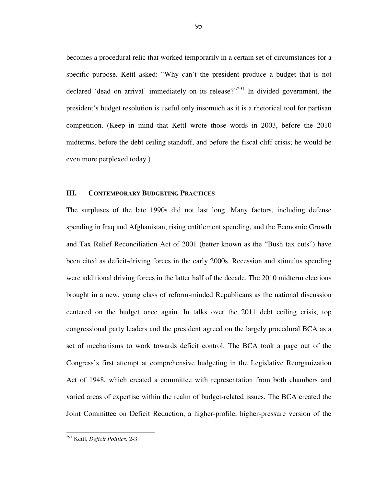becomes a procedural relic that worked temporarily in a certain set of circumstances for a specific purpose. Kettl asked: "Why can't the president produce a budget that is not declared 'dead on arrival' immediately on its release?"<sup>291</sup> In divided government, the president's budget resolution is useful only insomuch as it is a rhetorical tool for partisan competition. (Keep in mind that Kettl wrote those words in 2003, before the 2010 midterms, before the debt ceiling standoff, and before the fiscal cliff crisis; he would be even more perplexed today.)

### **III. CONTEMPORARY BUDGETING PRACTICES**

The surpluses of the late 1990s did not last long. Many factors, including defense spending in Iraq and Afghanistan, rising entitlement spending, and the Economic Growth and Tax Relief Reconciliation Act of 2001 (better known as the "Bush tax cuts") have been cited as deficit-driving forces in the early 2000s. Recession and stimulus spending were additional driving forces in the latter half of the decade. The 2010 midterm elections brought in a new, young class of reform-minded Republicans as the national discussion centered on the budget once again. In talks over the 2011 debt ceiling crisis, top congressional party leaders and the president agreed on the largely procedural BCA as a set of mechanisms to work towards deficit control. The BCA took a page out of the Congress's first attempt at comprehensive budgeting in the Legislative Reorganization Act of 1948, which created a committee with representation from both chambers and varied areas of expertise within the realm of budget-related issues. The BCA created the Joint Committee on Deficit Reduction, a higher-profile, higher-pressure version of the

j

<sup>291</sup> Kettl, *Deficit Politics*, 2-3.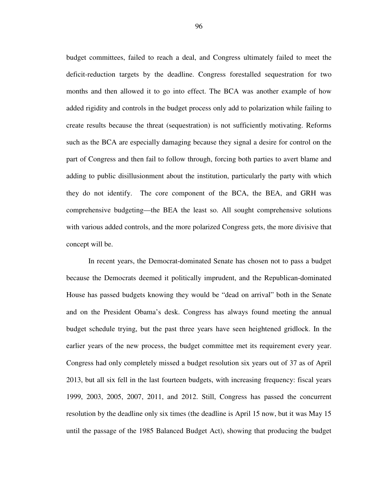budget committees, failed to reach a deal, and Congress ultimately failed to meet the deficit-reduction targets by the deadline. Congress forestalled sequestration for two months and then allowed it to go into effect. The BCA was another example of how added rigidity and controls in the budget process only add to polarization while failing to create results because the threat (sequestration) is not sufficiently motivating. Reforms such as the BCA are especially damaging because they signal a desire for control on the part of Congress and then fail to follow through, forcing both parties to avert blame and adding to public disillusionment about the institution, particularly the party with which they do not identify. The core component of the BCA, the BEA, and GRH was comprehensive budgeting—the BEA the least so. All sought comprehensive solutions with various added controls, and the more polarized Congress gets, the more divisive that concept will be.

In recent years, the Democrat-dominated Senate has chosen not to pass a budget because the Democrats deemed it politically imprudent, and the Republican-dominated House has passed budgets knowing they would be "dead on arrival" both in the Senate and on the President Obama's desk. Congress has always found meeting the annual budget schedule trying, but the past three years have seen heightened gridlock. In the earlier years of the new process, the budget committee met its requirement every year. Congress had only completely missed a budget resolution six years out of 37 as of April 2013, but all six fell in the last fourteen budgets, with increasing frequency: fiscal years 1999, 2003, 2005, 2007, 2011, and 2012. Still, Congress has passed the concurrent resolution by the deadline only six times (the deadline is April 15 now, but it was May 15 until the passage of the 1985 Balanced Budget Act), showing that producing the budget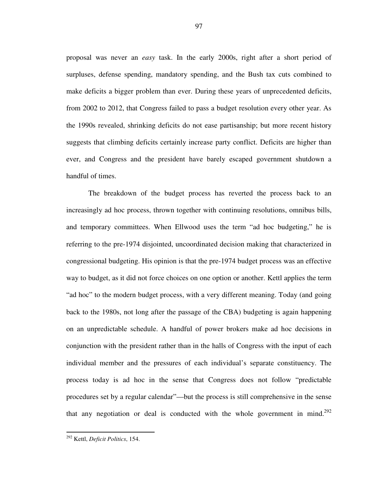proposal was never an *easy* task. In the early 2000s, right after a short period of surpluses, defense spending, mandatory spending, and the Bush tax cuts combined to make deficits a bigger problem than ever. During these years of unprecedented deficits, from 2002 to 2012, that Congress failed to pass a budget resolution every other year. As the 1990s revealed, shrinking deficits do not ease partisanship; but more recent history suggests that climbing deficits certainly increase party conflict. Deficits are higher than ever, and Congress and the president have barely escaped government shutdown a handful of times.

The breakdown of the budget process has reverted the process back to an increasingly ad hoc process, thrown together with continuing resolutions, omnibus bills, and temporary committees. When Ellwood uses the term "ad hoc budgeting," he is referring to the pre-1974 disjointed, uncoordinated decision making that characterized in congressional budgeting. His opinion is that the pre-1974 budget process was an effective way to budget, as it did not force choices on one option or another. Kettl applies the term "ad hoc" to the modern budget process, with a very different meaning. Today (and going back to the 1980s, not long after the passage of the CBA) budgeting is again happening on an unpredictable schedule. A handful of power brokers make ad hoc decisions in conjunction with the president rather than in the halls of Congress with the input of each individual member and the pressures of each individual's separate constituency. The process today is ad hoc in the sense that Congress does not follow "predictable procedures set by a regular calendar"—but the process is still comprehensive in the sense that any negotiation or deal is conducted with the whole government in mind.<sup>292</sup>

<sup>292</sup> Kettl, *Deficit Politics*, 154.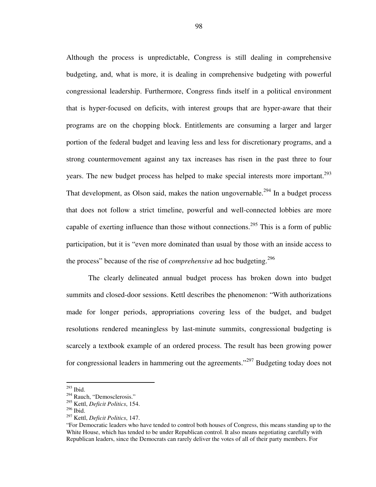Although the process is unpredictable, Congress is still dealing in comprehensive budgeting, and, what is more, it is dealing in comprehensive budgeting with powerful congressional leadership. Furthermore, Congress finds itself in a political environment that is hyper-focused on deficits, with interest groups that are hyper-aware that their programs are on the chopping block. Entitlements are consuming a larger and larger portion of the federal budget and leaving less and less for discretionary programs, and a strong countermovement against any tax increases has risen in the past three to four years. The new budget process has helped to make special interests more important.<sup>293</sup> That development, as Olson said, makes the nation ungovernable.<sup>294</sup> In a budget process that does not follow a strict timeline, powerful and well-connected lobbies are more capable of exerting influence than those without connections.<sup>295</sup> This is a form of public participation, but it is "even more dominated than usual by those with an inside access to the process" because of the rise of *comprehensive* ad hoc budgeting.<sup>296</sup>

The clearly delineated annual budget process has broken down into budget summits and closed-door sessions. Kettl describes the phenomenon: "With authorizations made for longer periods, appropriations covering less of the budget, and budget resolutions rendered meaningless by last-minute summits, congressional budgeting is scarcely a textbook example of an ordered process. The result has been growing power for congressional leaders in hammering out the agreements."<sup>297</sup> Budgeting today does not

 $^{293}$  Ibid.

<sup>294</sup> Rauch, "Demosclerosis."

<sup>295</sup> Kettl, *Deficit Politics*, 154.

<sup>296</sup> Ibid.

<sup>297</sup> Kettl, *Deficit Politics*, 147.

<sup>&</sup>quot;For Democratic leaders who have tended to control both houses of Congress, this means standing up to the White House, which has tended to be under Republican control. It also means negotiating carefully with Republican leaders, since the Democrats can rarely deliver the votes of all of their party members. For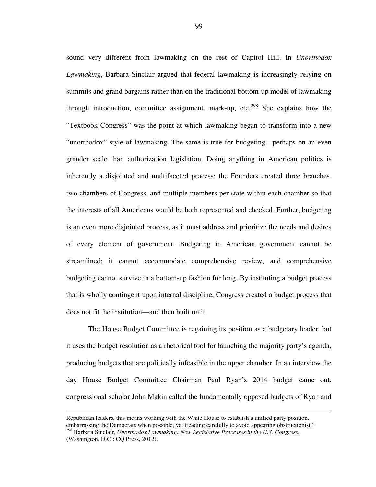sound very different from lawmaking on the rest of Capitol Hill. In *Unorthodox Lawmaking*, Barbara Sinclair argued that federal lawmaking is increasingly relying on summits and grand bargains rather than on the traditional bottom-up model of lawmaking through introduction, committee assignment, mark-up, etc.<sup>298</sup> She explains how the "Textbook Congress" was the point at which lawmaking began to transform into a new "unorthodox" style of lawmaking. The same is true for budgeting—perhaps on an even grander scale than authorization legislation. Doing anything in American politics is inherently a disjointed and multifaceted process; the Founders created three branches, two chambers of Congress, and multiple members per state within each chamber so that the interests of all Americans would be both represented and checked. Further, budgeting is an even more disjointed process, as it must address and prioritize the needs and desires of every element of government. Budgeting in American government cannot be streamlined; it cannot accommodate comprehensive review, and comprehensive budgeting cannot survive in a bottom-up fashion for long. By instituting a budget process that is wholly contingent upon internal discipline, Congress created a budget process that does not fit the institution—and then built on it.

The House Budget Committee is regaining its position as a budgetary leader, but it uses the budget resolution as a rhetorical tool for launching the majority party's agenda, producing budgets that are politically infeasible in the upper chamber. In an interview the day House Budget Committee Chairman Paul Ryan's 2014 budget came out, congressional scholar John Makin called the fundamentally opposed budgets of Ryan and

j

Republican leaders, this means working with the White House to establish a unified party position, embarrassing the Democrats when possible, yet treading carefully to avoid appearing obstructionist."

<sup>298</sup> Barbara Sinclair, *Unorthodox Lawmaking: New Legislative Processes in the U.S. Congress*, (Washington, D.C.: CQ Press, 2012).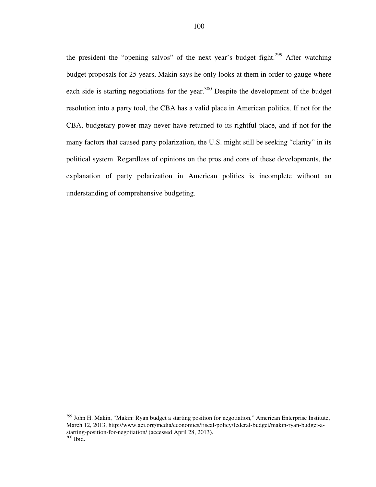the president the "opening salvos" of the next year's budget fight.<sup>299</sup> After watching budget proposals for 25 years, Makin says he only looks at them in order to gauge where each side is starting negotiations for the year.<sup>300</sup> Despite the development of the budget resolution into a party tool, the CBA has a valid place in American politics. If not for the CBA, budgetary power may never have returned to its rightful place, and if not for the many factors that caused party polarization, the U.S. might still be seeking "clarity" in its political system. Regardless of opinions on the pros and cons of these developments, the explanation of party polarization in American politics is incomplete without an understanding of comprehensive budgeting.

j

<sup>&</sup>lt;sup>299</sup> John H. Makin, "Makin: Ryan budget a starting position for negotiation," American Enterprise Institute, March 12, 2013, http://www.aei.org/media/economics/fiscal-policy/federal-budget/makin-ryan-budget-astarting-position-for-negotiation/ (accessed April 28, 2013).  $300$  Ibid.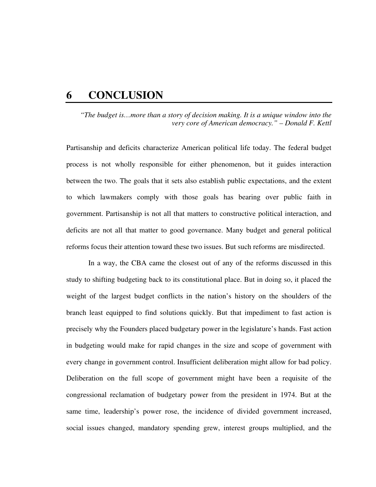## **6 CONCLUSION**

*"The budget is…more than a story of decision making. It is a unique window into the very core of American democracy." – Donald F. Kettl* 

Partisanship and deficits characterize American political life today. The federal budget process is not wholly responsible for either phenomenon, but it guides interaction between the two. The goals that it sets also establish public expectations, and the extent to which lawmakers comply with those goals has bearing over public faith in government. Partisanship is not all that matters to constructive political interaction, and deficits are not all that matter to good governance. Many budget and general political reforms focus their attention toward these two issues. But such reforms are misdirected.

 In a way, the CBA came the closest out of any of the reforms discussed in this study to shifting budgeting back to its constitutional place. But in doing so, it placed the weight of the largest budget conflicts in the nation's history on the shoulders of the branch least equipped to find solutions quickly. But that impediment to fast action is precisely why the Founders placed budgetary power in the legislature's hands. Fast action in budgeting would make for rapid changes in the size and scope of government with every change in government control. Insufficient deliberation might allow for bad policy. Deliberation on the full scope of government might have been a requisite of the congressional reclamation of budgetary power from the president in 1974. But at the same time, leadership's power rose, the incidence of divided government increased, social issues changed, mandatory spending grew, interest groups multiplied, and the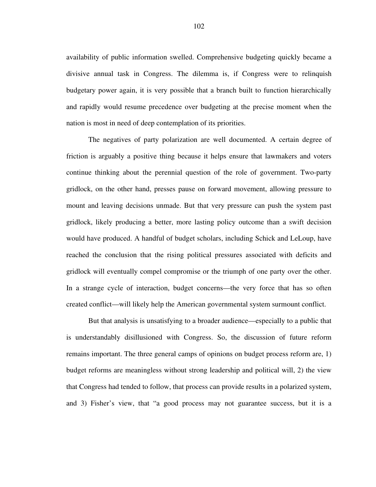availability of public information swelled. Comprehensive budgeting quickly became a divisive annual task in Congress. The dilemma is, if Congress were to relinquish budgetary power again, it is very possible that a branch built to function hierarchically and rapidly would resume precedence over budgeting at the precise moment when the nation is most in need of deep contemplation of its priorities.

 The negatives of party polarization are well documented. A certain degree of friction is arguably a positive thing because it helps ensure that lawmakers and voters continue thinking about the perennial question of the role of government. Two-party gridlock, on the other hand, presses pause on forward movement, allowing pressure to mount and leaving decisions unmade. But that very pressure can push the system past gridlock, likely producing a better, more lasting policy outcome than a swift decision would have produced. A handful of budget scholars, including Schick and LeLoup, have reached the conclusion that the rising political pressures associated with deficits and gridlock will eventually compel compromise or the triumph of one party over the other. In a strange cycle of interaction, budget concerns—the very force that has so often created conflict—will likely help the American governmental system surmount conflict.

But that analysis is unsatisfying to a broader audience—especially to a public that is understandably disillusioned with Congress. So, the discussion of future reform remains important. The three general camps of opinions on budget process reform are, 1) budget reforms are meaningless without strong leadership and political will, 2) the view that Congress had tended to follow, that process can provide results in a polarized system, and 3) Fisher's view, that "a good process may not guarantee success, but it is a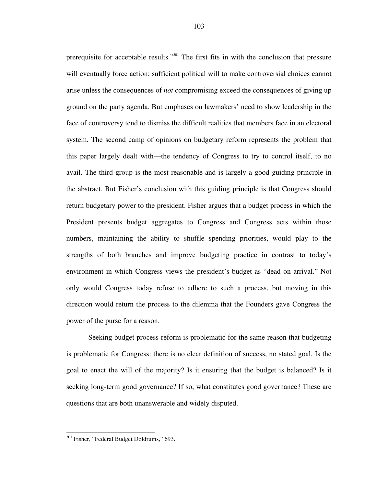prerequisite for acceptable results."<sup>301</sup> The first fits in with the conclusion that pressure will eventually force action; sufficient political will to make controversial choices cannot arise unless the consequences of *not* compromising exceed the consequences of giving up ground on the party agenda. But emphases on lawmakers' need to show leadership in the face of controversy tend to dismiss the difficult realities that members face in an electoral system. The second camp of opinions on budgetary reform represents the problem that this paper largely dealt with—the tendency of Congress to try to control itself, to no avail. The third group is the most reasonable and is largely a good guiding principle in the abstract. But Fisher's conclusion with this guiding principle is that Congress should return budgetary power to the president. Fisher argues that a budget process in which the President presents budget aggregates to Congress and Congress acts within those numbers, maintaining the ability to shuffle spending priorities, would play to the strengths of both branches and improve budgeting practice in contrast to today's environment in which Congress views the president's budget as "dead on arrival." Not only would Congress today refuse to adhere to such a process, but moving in this direction would return the process to the dilemma that the Founders gave Congress the power of the purse for a reason.

Seeking budget process reform is problematic for the same reason that budgeting is problematic for Congress: there is no clear definition of success, no stated goal. Is the goal to enact the will of the majority? Is it ensuring that the budget is balanced? Is it seeking long-term good governance? If so, what constitutes good governance? These are questions that are both unanswerable and widely disputed.

j

<sup>&</sup>lt;sup>301</sup> Fisher, "Federal Budget Doldrums," 693.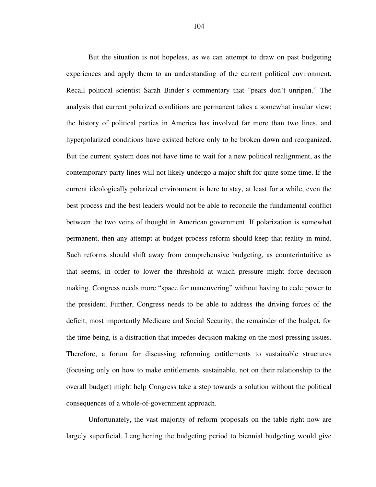But the situation is not hopeless, as we can attempt to draw on past budgeting experiences and apply them to an understanding of the current political environment. Recall political scientist Sarah Binder's commentary that "pears don't unripen." The analysis that current polarized conditions are permanent takes a somewhat insular view; the history of political parties in America has involved far more than two lines, and hyperpolarized conditions have existed before only to be broken down and reorganized. But the current system does not have time to wait for a new political realignment, as the contemporary party lines will not likely undergo a major shift for quite some time. If the current ideologically polarized environment is here to stay, at least for a while, even the best process and the best leaders would not be able to reconcile the fundamental conflict between the two veins of thought in American government. If polarization is somewhat permanent, then any attempt at budget process reform should keep that reality in mind. Such reforms should shift away from comprehensive budgeting, as counterintuitive as that seems, in order to lower the threshold at which pressure might force decision making. Congress needs more "space for maneuvering" without having to cede power to the president. Further, Congress needs to be able to address the driving forces of the deficit, most importantly Medicare and Social Security; the remainder of the budget, for the time being, is a distraction that impedes decision making on the most pressing issues. Therefore, a forum for discussing reforming entitlements to sustainable structures (focusing only on how to make entitlements sustainable, not on their relationship to the overall budget) might help Congress take a step towards a solution without the political consequences of a whole-of-government approach.

Unfortunately, the vast majority of reform proposals on the table right now are largely superficial. Lengthening the budgeting period to biennial budgeting would give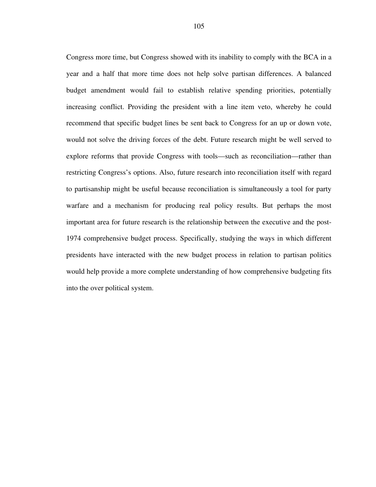Congress more time, but Congress showed with its inability to comply with the BCA in a year and a half that more time does not help solve partisan differences. A balanced budget amendment would fail to establish relative spending priorities, potentially increasing conflict. Providing the president with a line item veto, whereby he could recommend that specific budget lines be sent back to Congress for an up or down vote, would not solve the driving forces of the debt. Future research might be well served to explore reforms that provide Congress with tools—such as reconciliation—rather than restricting Congress's options. Also, future research into reconciliation itself with regard to partisanship might be useful because reconciliation is simultaneously a tool for party warfare and a mechanism for producing real policy results. But perhaps the most important area for future research is the relationship between the executive and the post-1974 comprehensive budget process. Specifically, studying the ways in which different presidents have interacted with the new budget process in relation to partisan politics would help provide a more complete understanding of how comprehensive budgeting fits into the over political system.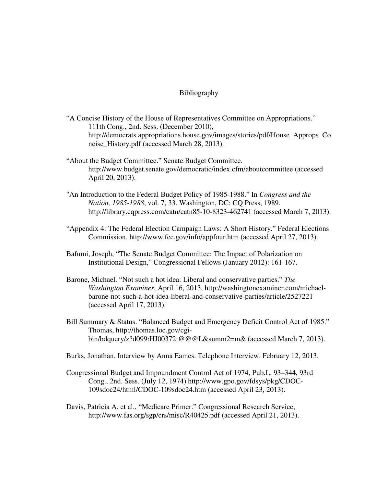## Bibliography

- "A Concise History of the House of Representatives Committee on Appropriations." 111th Cong., 2nd. Sess. (December 2010), http://democrats.appropriations.house.gov/images/stories/pdf/House\_Approps\_Co ncise History.pdf (accessed March 28, 2013).
- "About the Budget Committee." Senate Budget Committee. http://www.budget.senate.gov/democratic/index.cfm/aboutcommittee (accessed April 20, 2013).
- "An Introduction to the Federal Budget Policy of 1985-1988." In *Congress and the Nation, 1985-1988*, vol. 7, 33. Washington, DC: CQ Press, 1989. http://library.cqpress.com/catn/catn85-10-8323-462741 (accessed March 7, 2013).
- "Appendix 4: The Federal Election Campaign Laws: A Short History." Federal Elections Commission. http://www.fec.gov/info/appfour.htm (accessed April 27, 2013).
- Bafumi, Joseph, "The Senate Budget Committee: The Impact of Polarization on Institutional Design," Congressional Fellows (January 2012): 161-167.
- Barone, Michael. "Not such a hot idea: Liberal and conservative parties." *The Washington Examiner*, April 16, 2013, http://washingtonexaminer.com/michaelbarone-not-such-a-hot-idea-liberal-and-conservative-parties/article/2527221 (accessed April 17, 2013).
- Bill Summary & Status. "Balanced Budget and Emergency Deficit Control Act of 1985." Thomas, http://thomas.loc.gov/cgibin/bdquery/z?d099:HJ00372:@@@L&summ2=m& (accessed March 7, 2013).
- Burks, Jonathan. Interview by Anna Eames. Telephone Interview. February 12, 2013.
- Congressional Budget and Impoundment Control Act of 1974, Pub.L. 93–344, 93rd Cong., 2nd. Sess. (July 12, 1974) http://www.gpo.gov/fdsys/pkg/CDOC-109sdoc24/html/CDOC-109sdoc24.htm (accessed April 23, 2013).
- Davis, Patricia A. et al., "Medicare Primer." Congressional Research Service, http://www.fas.org/sgp/crs/misc/R40425.pdf (accessed April 21, 2013).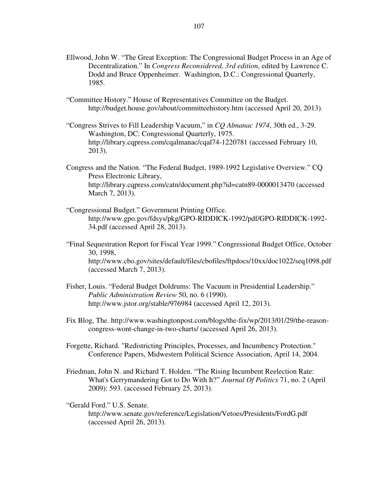- Ellwood, John W. "The Great Exception: The Congressional Budget Process in an Age of Decentralization." In *Congress Reconsidered, 3rd edition*, edited by Lawrence C. Dodd and Bruce Oppenheimer. Washington, D.C.: Congressional Quarterly, 1985.
- "Committee History." House of Representatives Committee on the Budget. http://budget.house.gov/about/committeehistory.htm (accessed April 20, 2013).
- "Congress Strives to Fill Leadership Vacuum," in *CQ Almanac 1974*, 30th ed., 3-29. Washington, DC: Congressional Quarterly, 1975. http://library.cqpress.com/cqalmanac/cqal74-1220781 (accessed February 10, 2013).
- Congress and the Nation. "The Federal Budget, 1989-1992 Legislative Overview." CQ Press Electronic Library, http://library.cqpress.com/catn/document.php?id=catn89-0000013470 (accessed March 7, 2013).
- "Congressional Budget." Government Printing Office. http://www.gpo.gov/fdsys/pkg/GPO-RIDDICK-1992/pdf/GPO-RIDDICK-1992- 34.pdf (accessed April 28, 2013).
- "Final Sequestration Report for Fiscal Year 1999." Congressional Budget Office, October 30, 1998, http://www.cbo.gov/sites/default/files/cbofiles/ftpdocs/10xx/doc1022/seq1098.pdf (accessed March 7, 2013).
- Fisher, Louis. "Federal Budget Doldrums: The Vacuum in Presidential Leadership." *Public Administration Review* 50, no. 6 (1990). http://www.jstor.org/stable/976984 (accessed April 12, 2013).
- Fix Blog, The. http://www.washingtonpost.com/blogs/the-fix/wp/2013/01/29/the-reasoncongress-wont-change-in-two-charts/ (accessed April 26, 2013).
- Forgette, Richard. "Redistricting Principles, Processes, and Incumbency Protection." Conference Papers, Midwestern Political Science Association, April 14, 2004.
- Friedman, John N. and Richard T. Holden. "The Rising Incumbent Reelection Rate: What's Gerrymandering Got to Do With It?" *Journal Of Politics* 71, no. 2 (April 2009): 593. (accessed February 25, 2013).
- "Gerald Ford." U.S. Senate. http://www.senate.gov/reference/Legislation/Vetoes/Presidents/FordG.pdf (accessed April 26, 2013).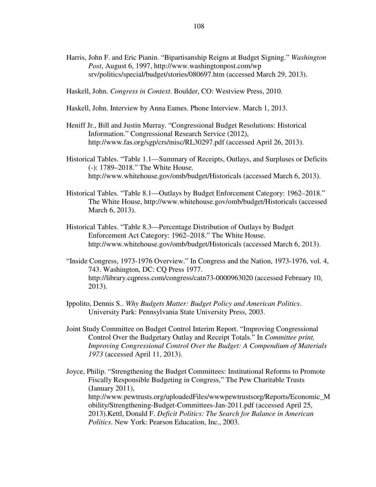- Harris, John F. and Eric Pianin. "Bipartisanship Reigns at Budget Signing." *Washington Post*, August 6, 1997, http://www.washingtonpost.com/wp srv/politics/special/budget/stories/080697.htm (accessed March 29, 2013).
- Haskell, John. *Congress in Context*. Boulder, CO: Westview Press, 2010.
- Haskell, John. Interview by Anna Eames. Phone Interview. March 1, 2013.
- Heniff Jr., Bill and Justin Murray. "Congressional Budget Resolutions: Historical Information." Congressional Research Service (2012), http://www.fas.org/sgp/crs/misc/RL30297.pdf (accessed April 26, 2013).
- Historical Tables. "Table 1.1—Summary of Receipts, Outlays, and Surpluses or Deficits (-): 1789–2018." The White House. http://www.whitehouse.gov/omb/budget/Historicals (accessed March 6, 2013).
- Historical Tables. "Table 8.1—Outlays by Budget Enforcement Category: 1962–2018." The White House, http://www.whitehouse.gov/omb/budget/Historicals (accessed March 6, 2013).
- Historical Tables. "Table 8.3—Percentage Distribution of Outlays by Budget Enforcement Act Category: 1962–2018." The White House. http://www.whitehouse.gov/omb/budget/Historicals (accessed March 6, 2013).
- "Inside Congress, 1973-1976 Overview." In Congress and the Nation, 1973-1976, vol. 4, 743. Washington, DC: CQ Press 1977. http://library.cqpress.com/congress/catn73-0000963020 (accessed February 10, 2013).
- Ippolito, Dennis S.. *Why Budgets Matter: Budget Policy and American Politics*. University Park: Pennsylvania State University Press, 2003.
- Joint Study Committee on Budget Control Interim Report. "Improving Congressional Control Over the Budgetary Outlay and Receipt Totals." In *Committee print, Improving Congressional Control Over the Budget: A Compendium of Materials 1973* (accessed April 11, 2013).
- Joyce, Philip. "Strengthening the Budget Committees: Institutional Reforms to Promote Fiscally Responsible Budgeting in Congress," The Pew Charitable Trusts (January 2011), http://www.pewtrusts.org/uploadedFiles/wwwpewtrustsorg/Reports/Economic\_M obility/Strengthening-Budget-Committees-Jan-2011.pdf (accessed April 25, 2013).Kettl, Donald F. *Deficit Politics: The Search for Balance in American Politics*. New York: Pearson Education, Inc., 2003.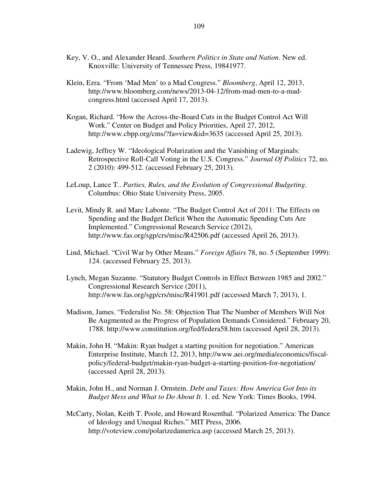- Key, V. O., and Alexander Heard. *Southern Politics in State and Nation*. New ed. Knoxville: University of Tennessee Press, 19841977.
- Klein, Ezra. "From 'Mad Men' to a Mad Congress." *Bloomberg*, April 12, 2013, http://www.bloomberg.com/news/2013-04-12/from-mad-men-to-a-madcongress.html (accessed April 17, 2013).
- Kogan, Richard. "How the Across-the-Board Cuts in the Budget Control Act Will Work." Center on Budget and Policy Priorities, April 27, 2012, http://www.cbpp.org/cms/?fa=view&id=3635 (accessed April 25, 2013).
- Ladewig, Jeffrey W. "Ideological Polarization and the Vanishing of Marginals: Retrospective Roll-Call Voting in the U.S. Congress." *Journal Of Politics* 72, no. 2 (2010): 499-512. (accessed February 25, 2013).
- LeLoup, Lance T.. *Parties, Rules, and the Evolution of Congressional Budgeting*. Columbus: Ohio State University Press, 2005.
- Levit, Mindy R. and Marc Labonte. "The Budget Control Act of 2011: The Effects on Spending and the Budget Deficit When the Automatic Spending Cuts Are Implemented." Congressional Research Service (2012), http://www.fas.org/sgp/crs/misc/R42506.pdf (accessed April 26, 2013).
- Lind, Michael. "Civil War by Other Means." *Foreign Affairs* 78, no. 5 (September 1999): 124. (accessed February 25, 2013).
- Lynch, Megan Suzanne. "Statutory Budget Controls in Effect Between 1985 and 2002." Congressional Research Service (2011), http://www.fas.org/sgp/crs/misc/R41901.pdf (accessed March 7, 2013), 1.
- Madison, James. "Federalist No. 58: Objection That The Number of Members Will Not Be Augmented as the Progress of Population Demands Considered." February 20, 1788. http://www.constitution.org/fed/federa58.htm (accessed April 28, 2013).
- Makin, John H. "Makin: Ryan budget a starting position for negotiation." American Enterprise Institute, March 12, 2013, http://www.aei.org/media/economics/fiscalpolicy/federal-budget/makin-ryan-budget-a-starting-position-for-negotiation/ (accessed April 28, 2013).
- Makin, John H., and Norman J. Ornstein. *Debt and Taxes: How America Got Into its Budget Mess and What to Do About It*. 1. ed. New York: Times Books, 1994.
- McCarty, Nolan, Keith T. Poole, and Howard Rosenthal. "Polarized America: The Dance of Ideology and Unequal Riches." MIT Press, 2006. http://voteview.com/polarizedamerica.asp (accessed March 25, 2013).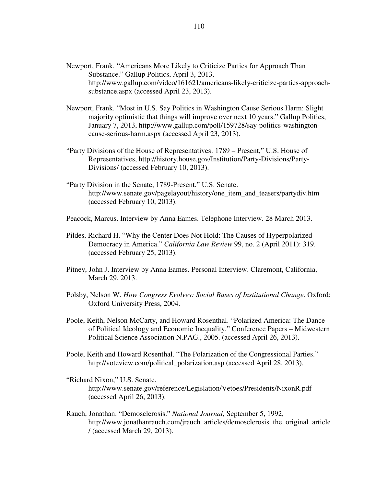- Newport, Frank. "Americans More Likely to Criticize Parties for Approach Than Substance." Gallup Politics, April 3, 2013, http://www.gallup.com/video/161621/americans-likely-criticize-parties-approachsubstance.aspx (accessed April 23, 2013).
- Newport, Frank. "Most in U.S. Say Politics in Washington Cause Serious Harm: Slight majority optimistic that things will improve over next 10 years." Gallup Politics, January 7, 2013, http://www.gallup.com/poll/159728/say-politics-washingtoncause-serious-harm.aspx (accessed April 23, 2013).
- "Party Divisions of the House of Representatives: 1789 Present," U.S. House of Representatives, http://history.house.gov/Institution/Party-Divisions/Party-Divisions/ (accessed February 10, 2013).
- "Party Division in the Senate, 1789-Present." U.S. Senate. http://www.senate.gov/pagelayout/history/one\_item\_and\_teasers/partydiv.htm (accessed February 10, 2013).
- Peacock, Marcus. Interview by Anna Eames. Telephone Interview. 28 March 2013.
- Pildes, Richard H. "Why the Center Does Not Hold: The Causes of Hyperpolarized Democracy in America." *California Law Review* 99, no. 2 (April 2011): 319. (accessed February 25, 2013).
- Pitney, John J. Interview by Anna Eames. Personal Interview. Claremont, California, March 29, 2013.
- Polsby, Nelson W. *How Congress Evolves: Social Bases of Institutional Change*. Oxford: Oxford University Press, 2004.
- Poole, Keith, Nelson McCarty, and Howard Rosenthal. "Polarized America: The Dance of Political Ideology and Economic Inequality." Conference Papers – Midwestern Political Science Association N.PAG., 2005. (accessed April 26, 2013).
- Poole, Keith and Howard Rosenthal. "The Polarization of the Congressional Parties." http://voteview.com/political\_polarization.asp (accessed April 28, 2013).

"Richard Nixon," U.S. Senate. http://www.senate.gov/reference/Legislation/Vetoes/Presidents/NixonR.pdf (accessed April 26, 2013).

Rauch, Jonathan. "Demosclerosis." *National Journal*, September 5, 1992, http://www.jonathanrauch.com/jrauch\_articles/demosclerosis\_the\_original\_article / (accessed March 29, 2013).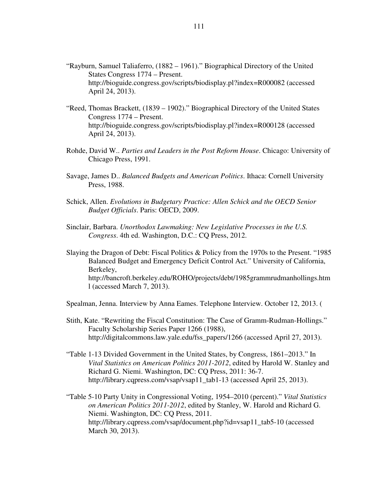- "Rayburn, Samuel Taliaferro, (1882 1961)." Biographical Directory of the United States Congress 1774 – Present. http://bioguide.congress.gov/scripts/biodisplay.pl?index=R000082 (accessed April 24, 2013).
- "Reed, Thomas Brackett, (1839 1902)." Biographical Directory of the United States Congress 1774 – Present. http://bioguide.congress.gov/scripts/biodisplay.pl?index=R000128 (accessed April 24, 2013).
- Rohde, David W.. *Parties and Leaders in the Post Reform House*. Chicago: University of Chicago Press, 1991.
- Savage, James D.. *Balanced Budgets and American Politics*. Ithaca: Cornell University Press, 1988.
- Schick, Allen. *Evolutions in Budgetary Practice: Allen Schick and the OECD Senior Budget Officials*. Paris: OECD, 2009.
- Sinclair, Barbara. *Unorthodox Lawmaking: New Legislative Processes in the U.S. Congress*. 4th ed. Washington, D.C.: CQ Press, 2012.
- Slaying the Dragon of Debt: Fiscal Politics & Policy from the 1970s to the Present. "1985 Balanced Budget and Emergency Deficit Control Act." University of California, Berkeley, http://bancroft.berkeley.edu/ROHO/projects/debt/1985grammrudmanhollings.htm l (accessed March 7, 2013).
- Spealman, Jenna. Interview by Anna Eames. Telephone Interview. October 12, 2013. (
- Stith, Kate. "Rewriting the Fiscal Constitution: The Case of Gramm-Rudman-Hollings." Faculty Scholarship Series Paper 1266 (1988), http://digitalcommons.law.yale.edu/fss\_papers/1266 (accessed April 27, 2013).
- "Table 1-13 Divided Government in the United States, by Congress, 1861–2013." In *Vital Statistics on American Politics 2011-2012*, edited by Harold W. Stanley and Richard G. Niemi. Washington, DC: CQ Press, 2011: 36-7. http://library.cqpress.com/vsap/vsap11\_tab1-13 (accessed April 25, 2013).
- "Table 5-10 Party Unity in Congressional Voting, 1954–2010 (percent)." *Vital Statistics on American Politics 2011-2012*, edited by Stanley, W. Harold and Richard G. Niemi. Washington, DC: CQ Press, 2011. http://library.cqpress.com/vsap/document.php?id=vsap11\_tab5-10 (accessed March 30, 2013).